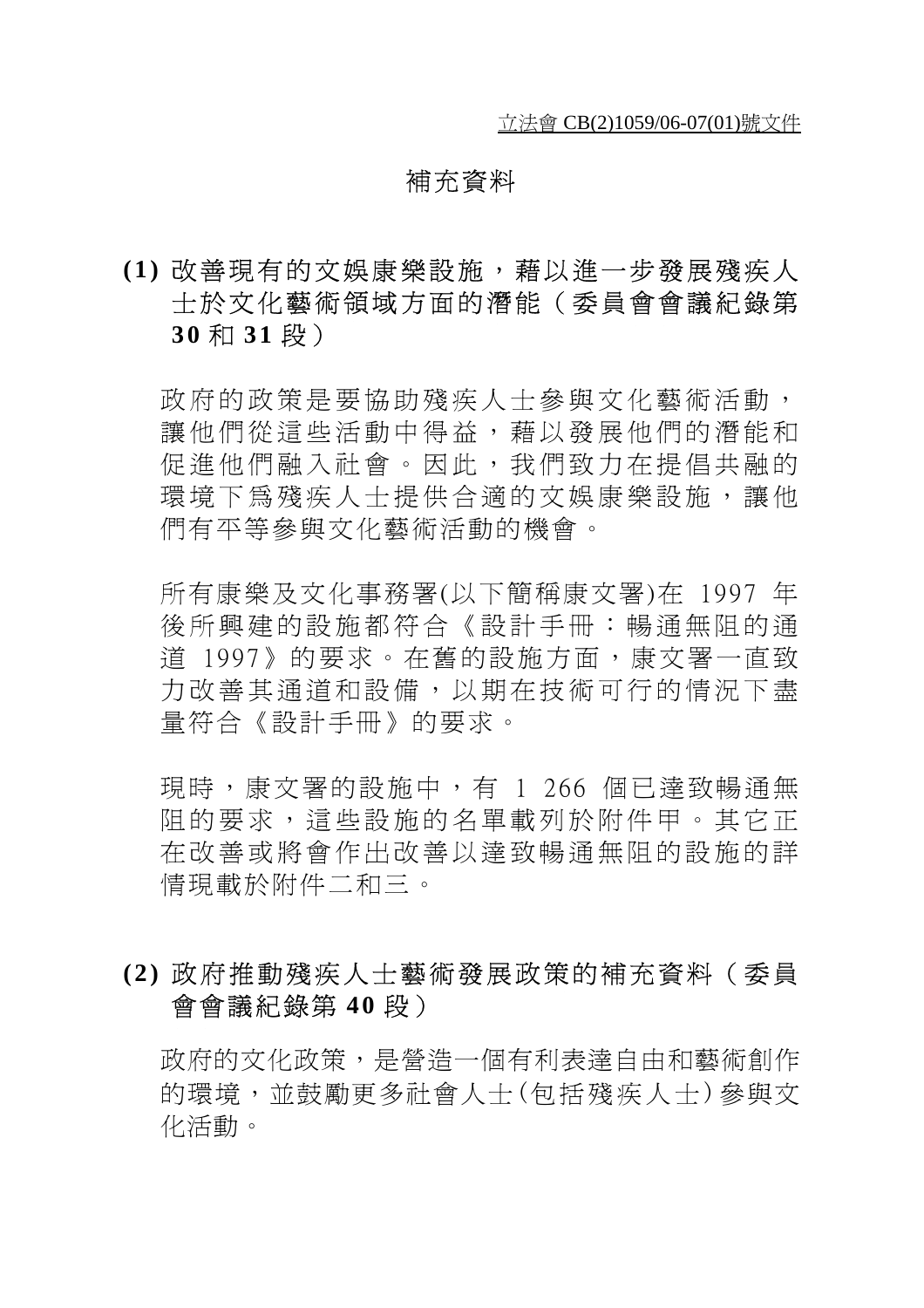### 補充資料

# **(1)** 改善現有的文娛康樂設施,藉以進一步發展殘疾人 士於文化藝術領域方面的潛能(委員會會議紀錄第 **3 0** 和 **31** 段)

政府的政策是要協助殘疾人士參與文化藝術活動, 讓他們從這些活動中得益,藉以發展他們的潛能和 促進他們融入社會。因此,我們致力在提倡共融的 環境下為殘疾人士提供合適的文娛康樂設施,讓他 們有平等參與文化藝術活動的機會。

所有康樂及文化事務署(以下簡稱康文署)在 1997 年 後所興建的設施都符合《設計手冊:暢通無阻的通 道 1997》的要求。在舊的設施方面,康文署一直致 力改善其通道和設備,以期在技術可行的情況下盡 量符合《設計手冊》的要求。

現時,康文署的設施中,有 1 266 個已達致暢通無 阻的要求,這些設施的名單載列於附件甲。其它正 在改善或將會作出改善以達致暢通無阻的設施的詳 情現載於附件二和三。

## **(2)** 政府推動殘疾人士藝術發展政策的補充資料(委員 會會議紀錄第 **4 0** 段)

政府的文化政策,是營浩一個有利表達自由和藝術創作 的環境,並鼓勵更多社會人士(包括殘疾人士)參與文 化活動。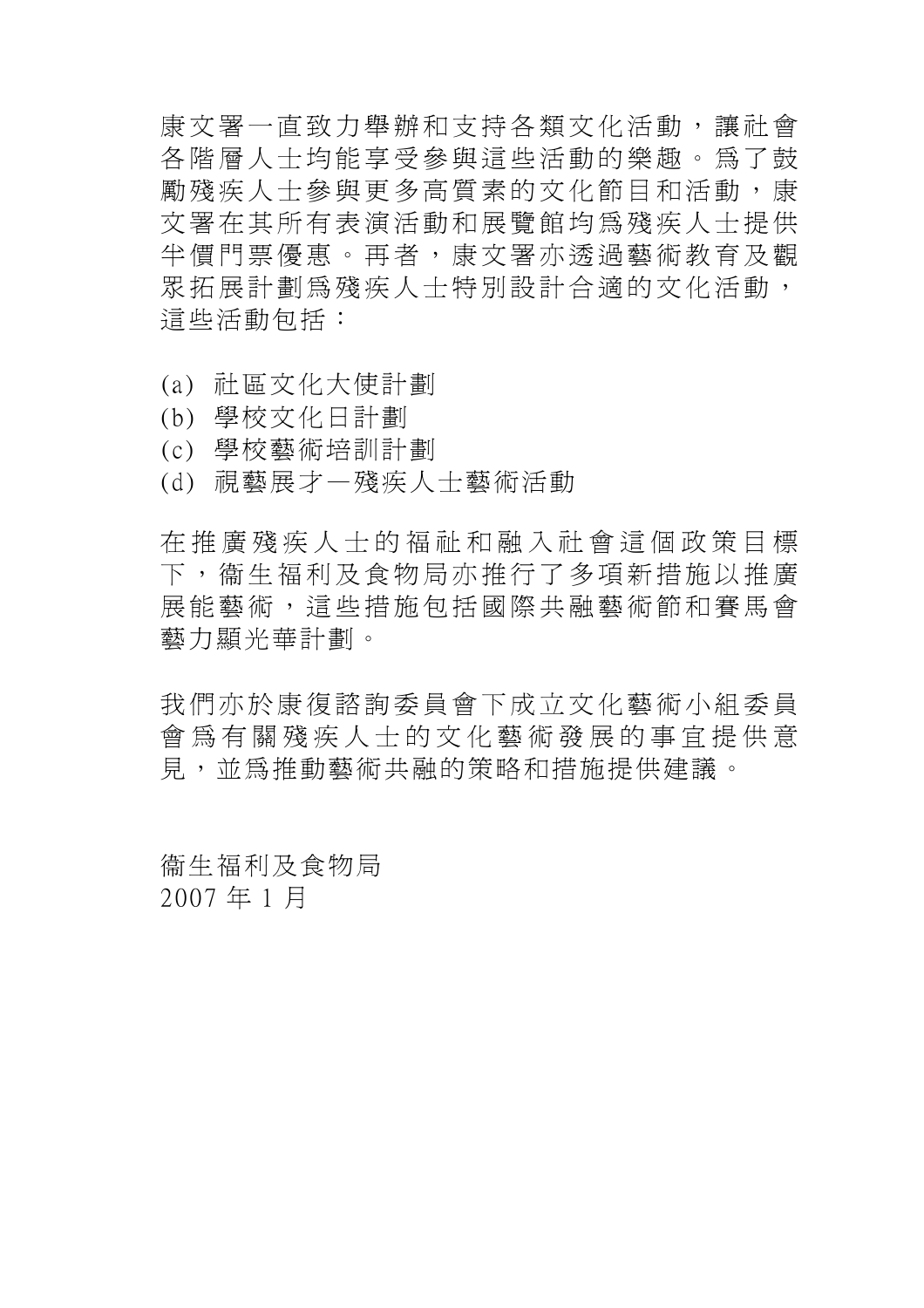康文署一直致力舉辦和支持各類文化活動,讓社會 各階層人士均能享受參與這些活動的樂趣。為了鼓 勵殘疾人士參與更多高質素的文化節目和活動,康 文署在其所有表演活動和展覽館均為殘疾人士提供 半價門票優惠。再者,康文署亦透過藝術教育及觀 眾拓展計劃為殘疾人士特別設計合適的文化活動, 這些活動包括:

- (a) 社區文化大使計劃
- (b) 學校文化日計劃
- (c) 學校藝術培訓計劃
- (d) 視藝展才—殘疾人士藝術活動

在推廣殘疾人士的福祉和融入社會這個政策目標 下,衞生福利及食物局亦推行了多項新措施以推廣 展能藝術,這些措施包括國際共融藝術節和賽馬會 藝力顯光華計劃。

我們亦於康復諮詢委員會下成立文化藝術小組委員 會為有關殘疾人士的文化藝術發展的事宜提供意 見,並為推動藝術共融的策略和措施提供建議。

衞生福利及食物局 2007 年 1 月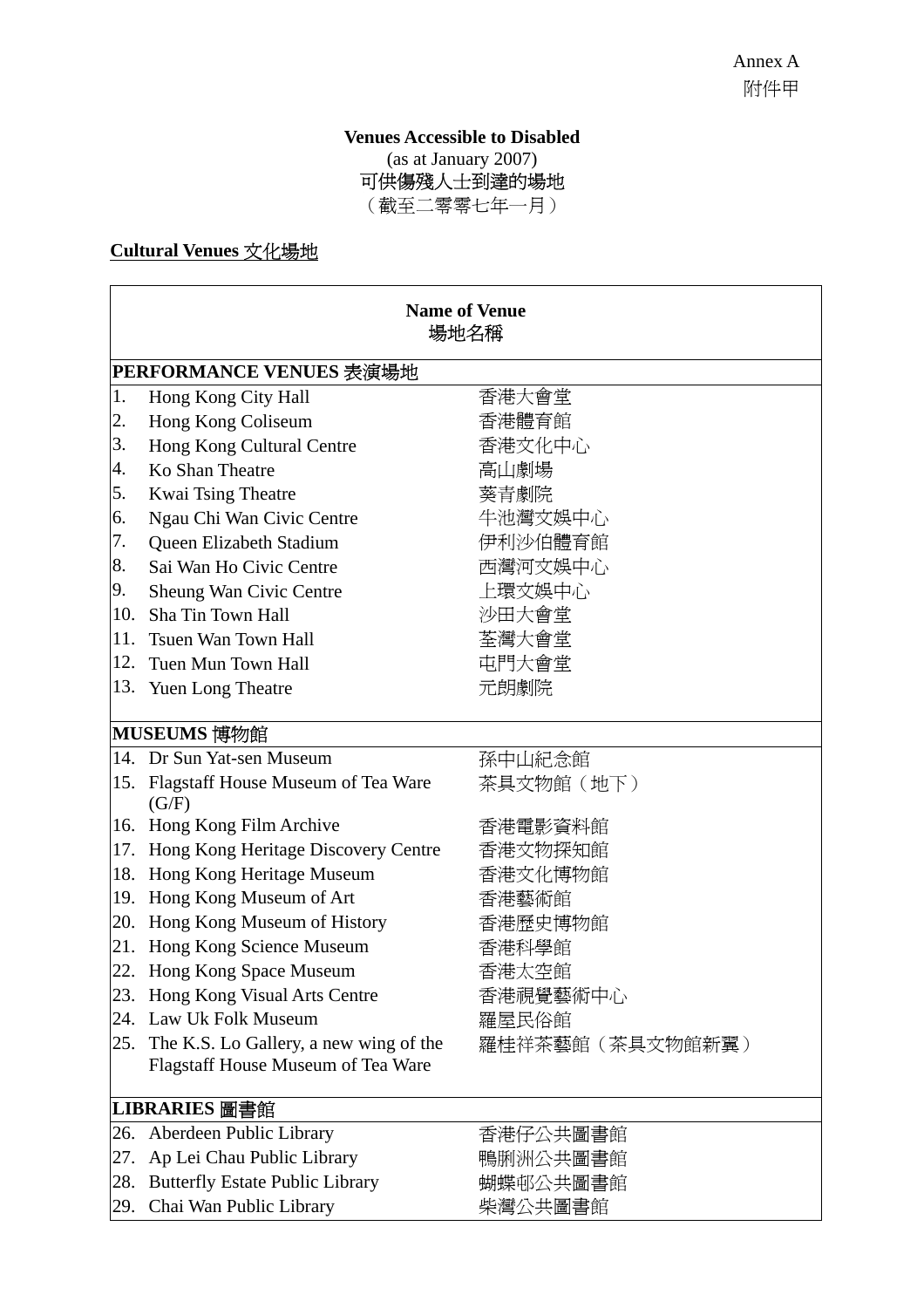**Venues Accessible to Disabled**  (as at January 2007) 可供傷殘人士到達的場地 (截至二零零七年一月)

## **Cultural Venues** 文化場地

|     | <b>Name of Venue</b><br>場地名稱                              |            |  |  |  |
|-----|-----------------------------------------------------------|------------|--|--|--|
|     | PERFORMANCE VENUES 表演場地                                   |            |  |  |  |
| 1.  | Hong Kong City Hall                                       | 香港大會堂      |  |  |  |
| 2.  | Hong Kong Coliseum                                        | 香港體育館      |  |  |  |
| 3.  | Hong Kong Cultural Centre                                 | 香港文化中心     |  |  |  |
| 4.  | Ko Shan Theatre                                           | 高山劇場       |  |  |  |
| 5.  | Kwai Tsing Theatre                                        | 葵青劇院       |  |  |  |
| 6.  | Ngau Chi Wan Civic Centre                                 | 牛池灣文娛中心    |  |  |  |
| 7.  | Queen Elizabeth Stadium                                   | 伊利沙伯體育館    |  |  |  |
| 8.  | Sai Wan Ho Civic Centre                                   | 西灣河文娛中心    |  |  |  |
| 9.  | Sheung Wan Civic Centre                                   | 上環文娛中心     |  |  |  |
| 10. | Sha Tin Town Hall                                         | 沙田大會堂      |  |  |  |
| 11. | Tsuen Wan Town Hall                                       | 荃灣大會堂      |  |  |  |
| 12. | Tuen Mun Town Hall                                        | 屯門大會堂      |  |  |  |
|     | 13. Yuen Long Theatre                                     | 元朗劇院       |  |  |  |
|     | MUSEUMS 博物館                                               |            |  |  |  |
|     | 14. Dr Sun Yat-sen Museum                                 | 孫中山紀念館     |  |  |  |
|     | 15. Flagstaff House Museum of Tea Ware<br>(G/F)           | 茶具文物館 (地下) |  |  |  |
| 16. | Hong Kong Film Archive                                    | 香港電影資料館    |  |  |  |
| 17. | Hong Kong Heritage Discovery Centre                       | 香港文物探知館    |  |  |  |
| 18. | Hong Kong Heritage Museum                                 | 香港文化博物館    |  |  |  |
| 19. | Hong Kong Museum of Art                                   | 香港藝術館      |  |  |  |
| 20. | Hong Kong Museum of History                               | 香港歷史博物館    |  |  |  |
|     | 21. Hong Kong Science Museum                              | 香港科學館      |  |  |  |
|     | 22. Hong Kong Space Museum                                | 香港太空館      |  |  |  |
| 23. | Hong Kong Visual Arts Centre                              | 香港視覺藝術中心   |  |  |  |
| 24. | Law Uk Folk Museum                                        | 羅屋民俗館      |  |  |  |
| 25. | The K.S. Lo Gallery, a new wing of the<br>羅桂祥茶藝館(茶具文物館新翼) |            |  |  |  |
|     | Flagstaff House Museum of Tea Ware                        |            |  |  |  |
|     | LIBRARIES 圖書館                                             |            |  |  |  |
| 26. | Aberdeen Public Library                                   | 香港仔公共圖書館   |  |  |  |
| 27. | Ap Lei Chau Public Library                                | 鴨脷洲公共圖書館   |  |  |  |
| 28. | <b>Butterfly Estate Public Library</b>                    | 蝴蝶邨公共圖書館   |  |  |  |
| 29. | Chai Wan Public Library                                   | 柴灣公共圖書館    |  |  |  |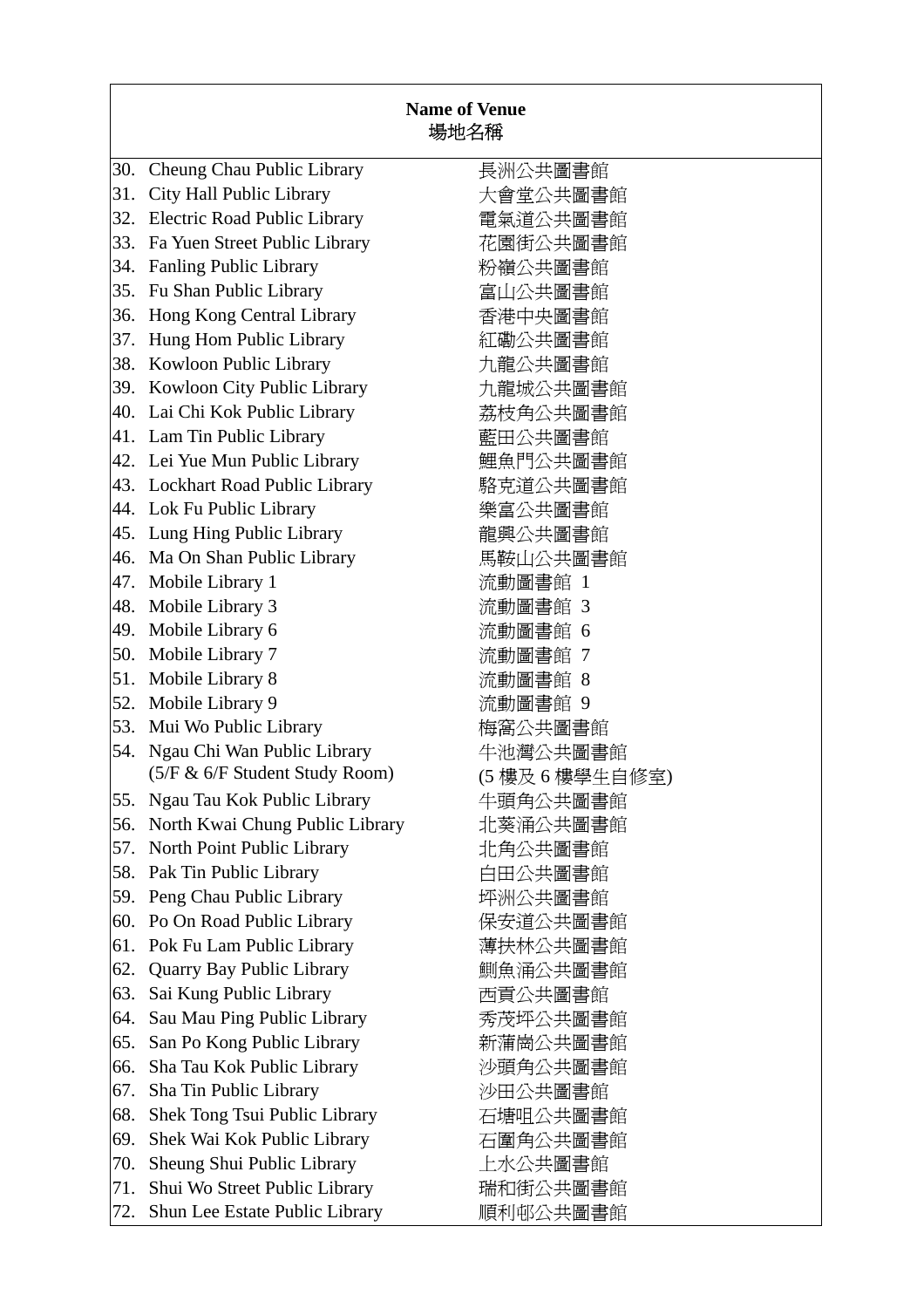|     |                                     | <b>Name of Venue</b><br>場地名稱 |
|-----|-------------------------------------|------------------------------|
| 30. | Cheung Chau Public Library          | 長洲公共圖書館                      |
| 31. | City Hall Public Library            | 大會堂公共圖書館                     |
| 32. | <b>Electric Road Public Library</b> | 電氣道公共圖書館                     |
| 33. | Fa Yuen Street Public Library       | 花園街公共圖書館                     |
| 34. | <b>Fanling Public Library</b>       | 粉嶺公共圖書館                      |
| 35. | Fu Shan Public Library              | 富山公共圖書館                      |
| 36. | Hong Kong Central Library           | 香港中央圖書館                      |
| 37. | Hung Hom Public Library             | 紅磡公共圖書館                      |
| 38. | Kowloon Public Library              | 九龍公共圖書館                      |
| 39. | Kowloon City Public Library         | 九龍城公共圖書館                     |
|     | 40. Lai Chi Kok Public Library      | 荔枝角公共圖書館                     |
|     | 41. Lam Tin Public Library          | 藍田公共圖書館                      |
|     | 42. Lei Yue Mun Public Library      | 鯉魚門公共圖書館                     |
|     | 43. Lockhart Road Public Library    | 駱克道公共圖書館                     |
|     | 44. Lok Fu Public Library           | 樂富公共圖書館                      |
|     | 45. Lung Hing Public Library        | 龍興公共圖書館                      |
| 46. | Ma On Shan Public Library           | 馬鞍山公共圖書館                     |
| 47. | Mobile Library 1                    | 流動圖書館 1                      |
| 48. | Mobile Library 3                    | 流動圖書館 3                      |
| 49. | Mobile Library 6                    | 流動圖書館 6                      |
| 50. | Mobile Library 7                    | 流動圖書館 7                      |
| 51. | Mobile Library 8                    | 流動圖書館 8                      |
| 52. | Mobile Library 9                    | 流動圖書館 9                      |
| 53. | Mui Wo Public Library               | 梅窩公共圖書館                      |
| 54. | Ngau Chi Wan Public Library         | 牛池灣公共圖書館                     |
|     | (5/F & 6/F Student Study Room)      | (5 樓及 6 樓學生自修室)              |
| 55. | Ngau Tau Kok Public Library         | 牛頭角公共圖書館                     |
| 56. | North Kwai Chung Public Library     | 北葵涌公共圖書館                     |
| 57. | North Point Public Library          | 北角公共圖書館                      |
| 58. | Pak Tin Public Library              | 白田公共圖書館                      |
| 59. | Peng Chau Public Library            | 坪洲公共圖書館                      |
| 60. | Po On Road Public Library           | 保安道公共圖書館                     |
| 61. | Pok Fu Lam Public Library           | 薄扶林公共圖書館                     |
| 62. | <b>Quarry Bay Public Library</b>    | 鰂魚涌公共圖書館                     |
| 63. | Sai Kung Public Library             | 西貢公共圖書館                      |
| 64. | Sau Mau Ping Public Library         | 秀茂坪公共圖書館                     |
| 65. | San Po Kong Public Library          | 新蒲崗公共圖書館                     |
| 66. | Sha Tau Kok Public Library          | 沙頭角公共圖書館                     |
| 67. | Sha Tin Public Library              | 沙田公共圖書館                      |
| 68. | Shek Tong Tsui Public Library       | 石塘咀公共圖書館                     |
| 69. | Shek Wai Kok Public Library         | 石圍角公共圖書館                     |
| 70. | Sheung Shui Public Library          | 上水公共圖書館                      |
| 71. | Shui Wo Street Public Library       | 瑞和街公共圖書館                     |
| 72. | Shun Lee Estate Public Library      | 順利邨公共圖書館                     |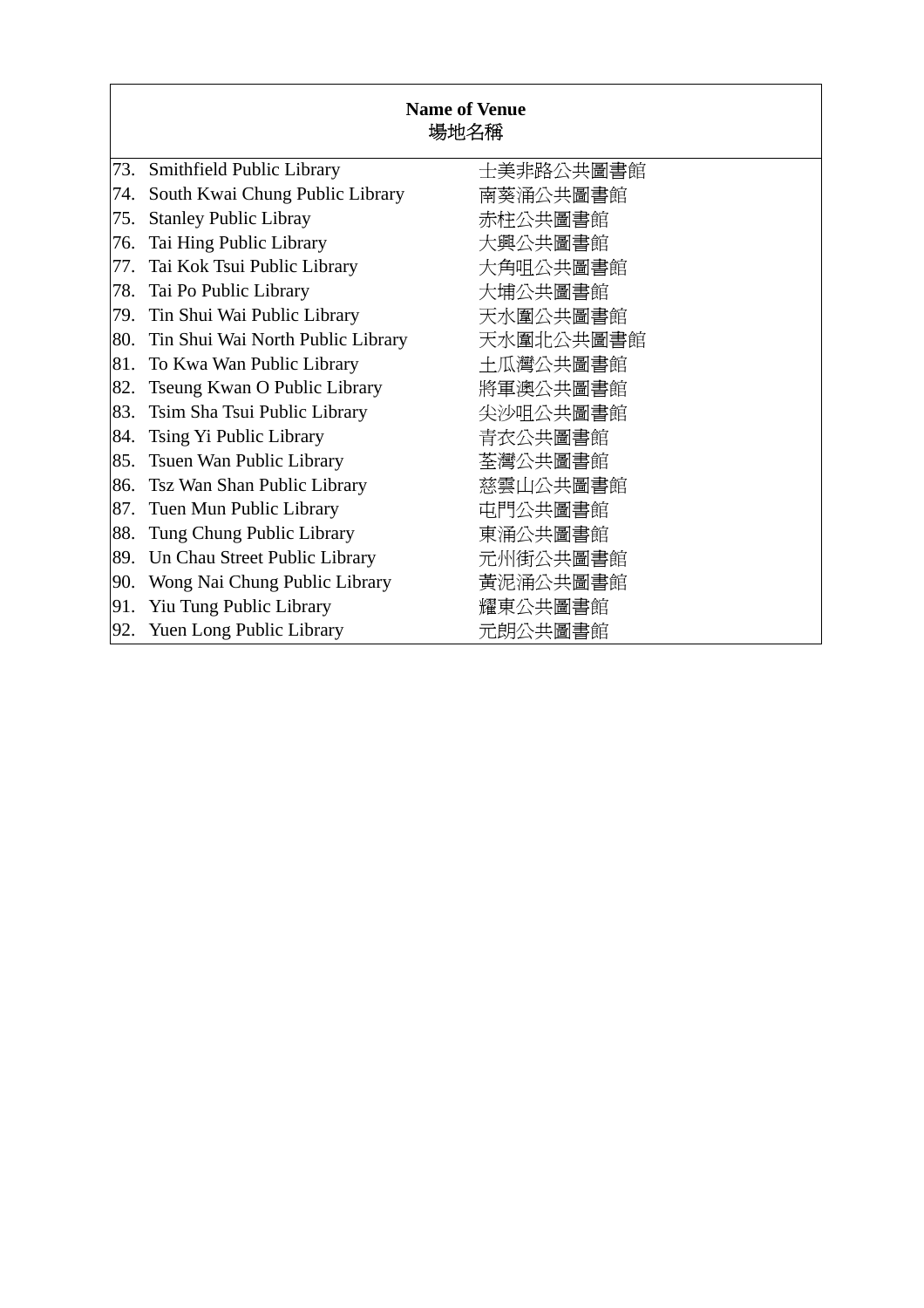|     | <b>Name of Venue</b><br>場地名稱      |           |  |  |  |
|-----|-----------------------------------|-----------|--|--|--|
| 73. | Smithfield Public Library         | 士美非路公共圖書館 |  |  |  |
| 74. | South Kwai Chung Public Library   | 南葵涌公共圖書館  |  |  |  |
| 75. | <b>Stanley Public Libray</b>      | 赤柱公共圖書館   |  |  |  |
| 76. | Tai Hing Public Library           | 大興公共圖書館   |  |  |  |
| 77. | Tai Kok Tsui Public Library       | 大角咀公共圖書館  |  |  |  |
| 78. | Tai Po Public Library             | 大埔公共圖書館   |  |  |  |
| 79. | Tin Shui Wai Public Library       | 天水圍公共圖書館  |  |  |  |
| 80. | Tin Shui Wai North Public Library | 天水圍北公共圖書館 |  |  |  |
| 81. | To Kwa Wan Public Library         | 土瓜灣公共圖書館  |  |  |  |
| 82. | Tseung Kwan O Public Library      | 將軍澳公共圖書館  |  |  |  |
| 83. | Tsim Sha Tsui Public Library      | 尖沙咀公共圖書館  |  |  |  |
| 84. | Tsing Yi Public Library           | 青衣公共圖書館   |  |  |  |
| 85. | Tsuen Wan Public Library          | 荃灣公共圖書館   |  |  |  |
| 86. | Tsz Wan Shan Public Library       | 慈雲山公共圖書館  |  |  |  |
| 87. | Tuen Mun Public Library           | 屯門公共圖書館   |  |  |  |
| 88. | Tung Chung Public Library         | 東涌公共圖書館   |  |  |  |
| 89. | Un Chau Street Public Library     | 元州街公共圖書館  |  |  |  |
| 90. | Wong Nai Chung Public Library     | 黃泥涌公共圖書館  |  |  |  |
| 91. | Yiu Tung Public Library           | 耀東公共圖書館   |  |  |  |
| 92. | <b>Yuen Long Public Library</b>   | 元朗公共圖書館   |  |  |  |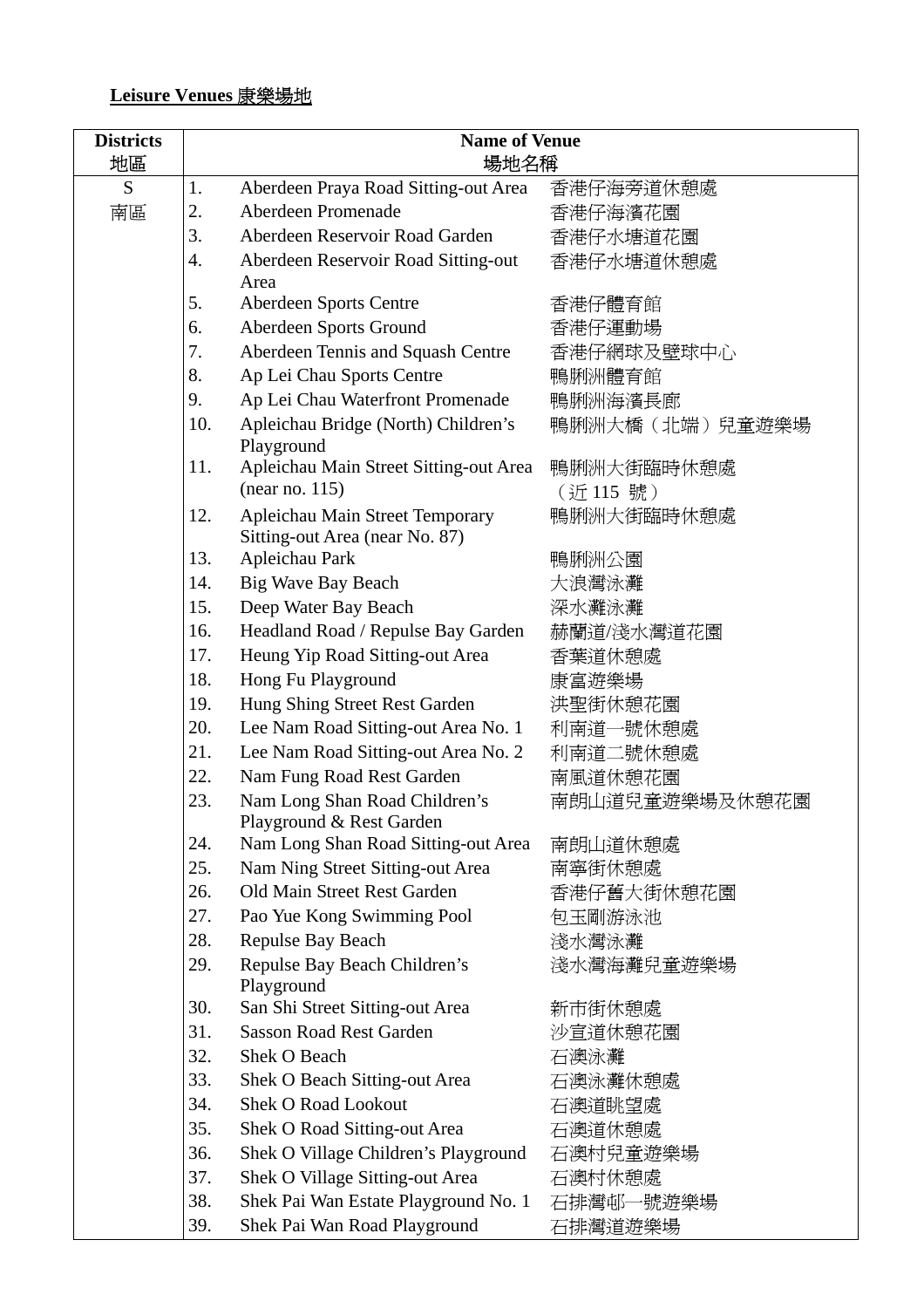### **Leisure Venues** 康樂場地

| <b>Districts</b> | <b>Name of Venue</b> |                                                                   |                       |
|------------------|----------------------|-------------------------------------------------------------------|-----------------------|
| 地區               | 場地名稱                 |                                                                   |                       |
| S                | 1.                   | Aberdeen Praya Road Sitting-out Area                              | 香港仔海旁道休憩處             |
| 南區               | 2.                   | Aberdeen Promenade                                                | 香港仔海濱花園               |
|                  | 3.                   | Aberdeen Reservoir Road Garden                                    | 香港仔水塘道花園              |
|                  | 4.                   | Aberdeen Reservoir Road Sitting-out                               | 香港仔水塘道休憩處             |
|                  |                      | Area                                                              |                       |
|                  | 5.                   | <b>Aberdeen Sports Centre</b>                                     | 香港仔體育館                |
|                  | 6.                   | Aberdeen Sports Ground                                            | 香港仔運動場                |
|                  | 7.                   | Aberdeen Tennis and Squash Centre                                 | 香港仔網球及壁球中心            |
|                  | 8.                   | Ap Lei Chau Sports Centre                                         | 鴨脷洲體育館                |
|                  | 9.                   | Ap Lei Chau Waterfront Promenade                                  | 鴨脷洲海濱長廊               |
|                  | 10.                  | Apleichau Bridge (North) Children's<br>Playground                 | 鴨脷洲大橋(北端)兒童遊樂場        |
|                  | 11.                  | Apleichau Main Street Sitting-out Area<br>(near no. 115)          | 鴨脷洲大街臨時休憩處<br>(近115號) |
|                  | 12.                  | Apleichau Main Street Temporary<br>Sitting-out Area (near No. 87) | 鴨脷洲大街臨時休憩處            |
|                  | 13.                  | Apleichau Park                                                    | 鴨脷洲公園                 |
|                  | 14.                  | <b>Big Wave Bay Beach</b>                                         | 大浪灣泳灘                 |
|                  | 15.                  | Deep Water Bay Beach                                              | 深水灘泳灘                 |
|                  | 16.                  | Headland Road / Repulse Bay Garden                                | 赫蘭道/淺水灣道花園            |
|                  | 17.                  | Heung Yip Road Sitting-out Area                                   | 香葉道休憩處                |
|                  | 18.                  | Hong Fu Playground                                                | 康富遊樂場                 |
|                  | 19.                  | Hung Shing Street Rest Garden                                     | 洪聖街休憩花園               |
|                  | 20.                  | Lee Nam Road Sitting-out Area No. 1                               | 利南道一號休憩處              |
|                  | 21.                  | Lee Nam Road Sitting-out Area No. 2                               | 利南道二號休憩處              |
|                  | 22.                  | Nam Fung Road Rest Garden                                         | 南風道休憩花園               |
|                  | 23.                  | Nam Long Shan Road Children's                                     | 南朗山道兒童遊樂場及休憩花園        |
|                  |                      | Playground & Rest Garden                                          |                       |
|                  | 24.                  | Nam Long Shan Road Sitting-out Area                               | 南朗山道休憩處               |
|                  | 25.                  | Nam Ning Street Sitting-out Area                                  | 南寧街休憩處                |
|                  | 26.                  | Old Main Street Rest Garden                                       | 香港仔舊大街休憩花園            |
|                  | 27.                  | Pao Yue Kong Swimming Pool                                        | 包玉剛游泳池                |
|                  | 28.                  | <b>Repulse Bay Beach</b>                                          | 淺水灣泳灘                 |
|                  | 29.                  | Repulse Bay Beach Children's<br>Playground                        | 淺水灣海灘兒童遊樂場            |
|                  | 30.                  | San Shi Street Sitting-out Area                                   | 新市街休憩處                |
|                  | 31.                  | <b>Sasson Road Rest Garden</b>                                    | 沙宣道休憩花園               |
|                  | 32.                  | Shek O Beach                                                      | 石澳泳灘                  |
|                  | 33.                  | Shek O Beach Sitting-out Area                                     | 石澳泳灘休憩處               |
|                  | 34.                  | <b>Shek O Road Lookout</b>                                        | 石澳道眺望處                |
|                  | 35.                  | Shek O Road Sitting-out Area                                      | 石澳道休憩處                |
|                  | 36.                  | Shek O Village Children's Playground                              | 石澳村兒童遊樂場              |
|                  | 37.                  | Shek O Village Sitting-out Area                                   | 石澳村休憩處                |
|                  | 38.                  | Shek Pai Wan Estate Playground No. 1                              | 石排灣邨一號遊樂場             |
|                  | 39.                  | Shek Pai Wan Road Playground                                      | 石排灣道遊樂場               |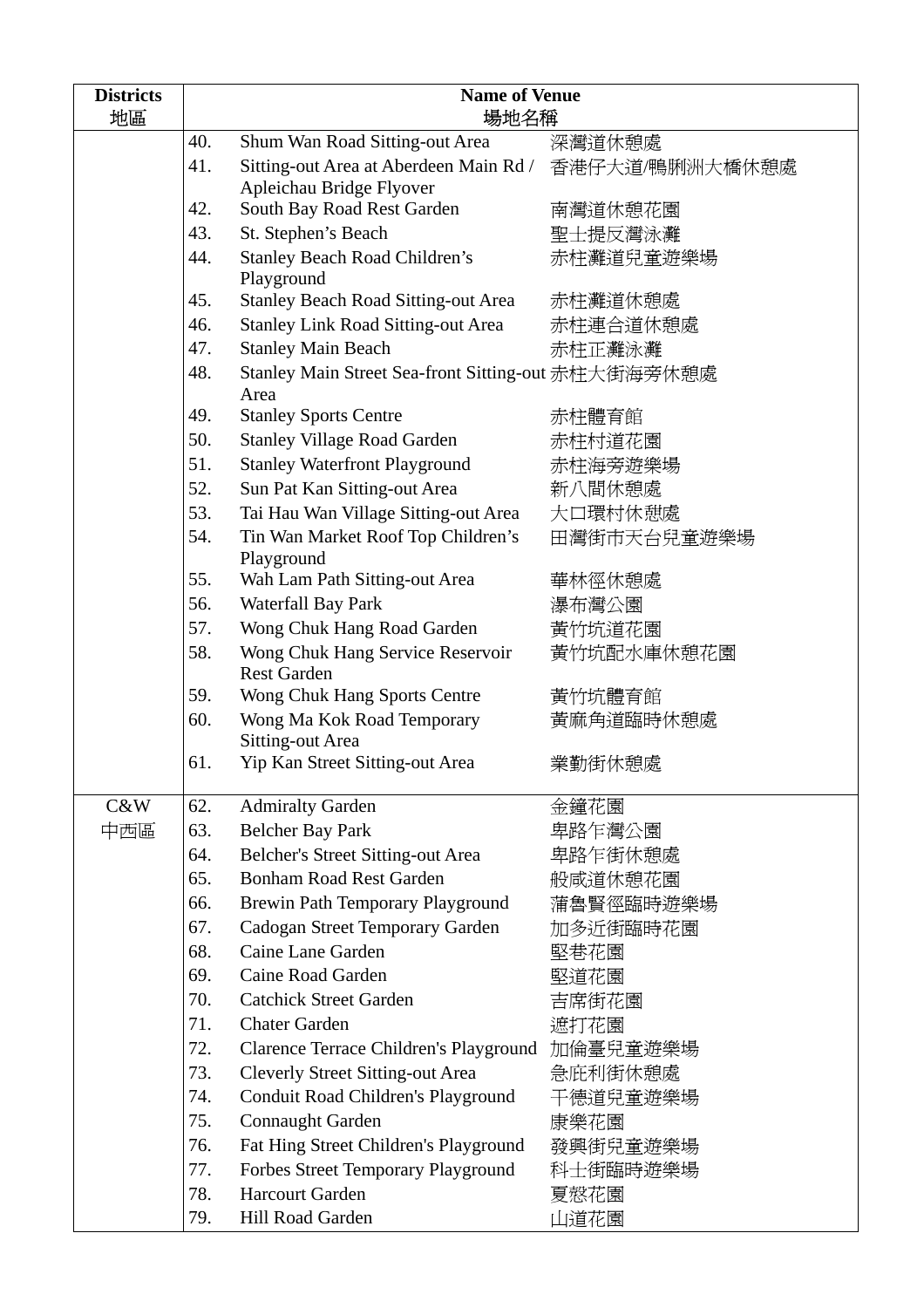| <b>Districts</b><br>地區 | <b>Name of Venue</b><br>場地名稱 |                                                             |                |
|------------------------|------------------------------|-------------------------------------------------------------|----------------|
|                        | 40.                          | Shum Wan Road Sitting-out Area                              | 深灣道休憩處         |
|                        | 41.                          | Sitting-out Area at Aberdeen Main Rd /                      | 香港仔大道/鴨脷洲大橋休憩處 |
|                        |                              | Apleichau Bridge Flyover                                    |                |
|                        | 42.                          | South Bay Road Rest Garden                                  | 南灣道休憩花園        |
|                        | 43.                          | St. Stephen's Beach                                         | 聖士提反灣泳灘        |
|                        | 44.                          | <b>Stanley Beach Road Children's</b><br>Playground          | 赤柱灘道兒童遊樂場      |
|                        | 45.                          | <b>Stanley Beach Road Sitting-out Area</b>                  | 赤柱灘道休憩處        |
|                        | 46.                          | <b>Stanley Link Road Sitting-out Area</b>                   | 赤柱連合道休憩處       |
|                        | 47.                          | <b>Stanley Main Beach</b>                                   | 赤柱正灘泳灘         |
|                        | 48.                          | Stanley Main Street Sea-front Sitting-out 赤柱大街海旁休憩處<br>Area |                |
|                        | 49.                          | <b>Stanley Sports Centre</b>                                | 赤柱體育館          |
|                        | 50.                          | <b>Stanley Village Road Garden</b>                          | 赤柱村道花園         |
|                        | 51.                          | <b>Stanley Waterfront Playground</b>                        | 赤柱海旁遊樂場        |
|                        | 52.                          | Sun Pat Kan Sitting-out Area                                | 新八間休憩處         |
|                        | 53.                          | Tai Hau Wan Village Sitting-out Area                        | 大口環村休憩處        |
|                        | 54.                          | Tin Wan Market Roof Top Children's<br>Playground            | 田灣街市天台兒童遊樂場    |
|                        | 55.                          | Wah Lam Path Sitting-out Area                               | 華林徑休憩處         |
|                        | 56.                          | Waterfall Bay Park                                          | 瀑布灣公園          |
|                        | 57.                          | Wong Chuk Hang Road Garden                                  | 黃竹坑道花園         |
|                        | 58.                          | Wong Chuk Hang Service Reservoir<br><b>Rest Garden</b>      | 黃竹坑配水庫休憩花園     |
|                        | 59.                          | Wong Chuk Hang Sports Centre                                | 黃竹坑體育館         |
|                        | 60.                          | Wong Ma Kok Road Temporary<br><b>Sitting-out Area</b>       | 黃麻角道臨時休憩處      |
|                        | 61.                          | Yip Kan Street Sitting-out Area                             | 業勤街休憩處         |
| C&W                    | 62.                          | <b>Admiralty Garden</b>                                     | 金鐘花園           |
| 中西區                    | 63.                          | <b>Belcher Bay Park</b>                                     | 卑路乍灣公園         |
|                        | 64.                          | Belcher's Street Sitting-out Area                           | 卑路乍街休憩處        |
|                        | 65.                          | <b>Bonham Road Rest Garden</b>                              | 般咸道休憩花園        |
|                        | 66.                          | Brewin Path Temporary Playground                            | 蒲魯賢徑臨時遊樂場      |
|                        | 67.                          | Cadogan Street Temporary Garden                             | 加多近街臨時花園       |
|                        | 68.                          | Caine Lane Garden                                           | 堅巷花園           |
|                        | 69.                          | Caine Road Garden                                           | 堅道花園           |
|                        | 70.                          | <b>Catchick Street Garden</b>                               | 吉席街花園          |
|                        | 71.                          | <b>Chater Garden</b>                                        | 遮打花園           |
|                        | 72.                          | Clarence Terrace Children's Playground 加倫臺兒童遊樂場             |                |
|                        | 73.                          | <b>Cleverly Street Sitting-out Area</b>                     | 急庇利街休憩處        |
|                        | 74.                          | Conduit Road Children's Playground                          | 干德道兒童遊樂場       |
|                        | 75.                          | <b>Connaught Garden</b>                                     | 康樂花園           |
|                        | 76.                          | Fat Hing Street Children's Playground                       | 發興街兒童遊樂場       |
|                        | 77.                          | Forbes Street Temporary Playground                          | 科士街臨時遊樂場       |
|                        | 78.                          | <b>Harcourt Garden</b>                                      | 夏慤花園           |
|                        | 79.                          | Hill Road Garden                                            | 山道花園           |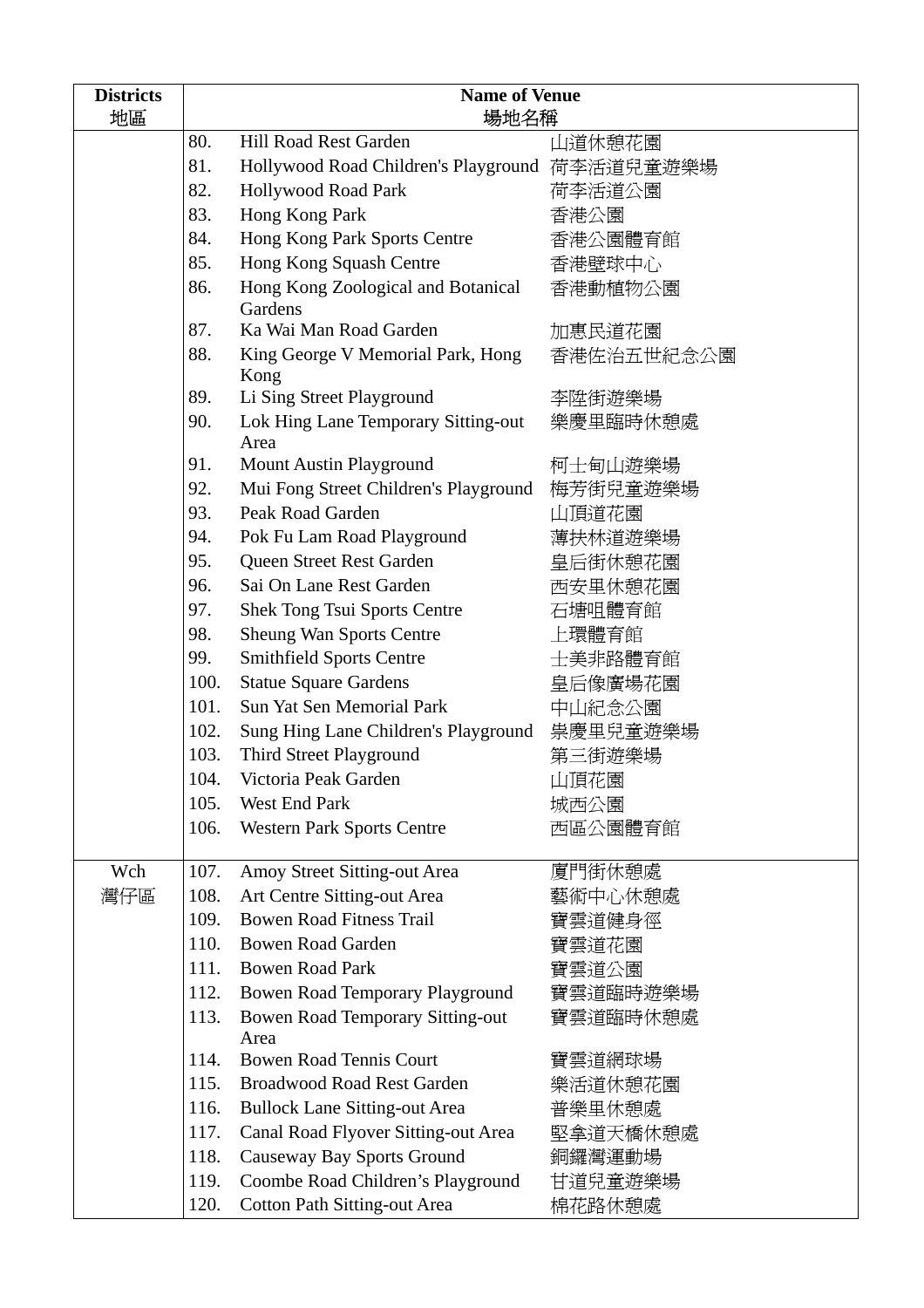| <b>Districts</b> | <b>Name of Venue</b> |                                                 |            |
|------------------|----------------------|-------------------------------------------------|------------|
| 地區               | 場地名稱                 |                                                 |            |
|                  | 80.                  | Hill Road Rest Garden                           | 山道休憩花園     |
|                  | 81.                  | Hollywood Road Children's Playground 荷李活道兒童遊樂場  |            |
|                  | 82.                  | <b>Hollywood Road Park</b>                      | 荷李活道公園     |
|                  | 83.                  | Hong Kong Park                                  | 香港公園       |
|                  | 84.                  | Hong Kong Park Sports Centre                    | 香港公園體育館    |
|                  | 85.                  | Hong Kong Squash Centre                         | 香港壁球中心     |
|                  | 86.                  | Hong Kong Zoological and Botanical<br>Gardens   | 香港動植物公園    |
|                  | 87.                  | Ka Wai Man Road Garden                          | 加惠民道花園     |
|                  | 88.                  | King George V Memorial Park, Hong<br>Kong       | 香港佐治五世紀念公園 |
|                  | 89.                  | Li Sing Street Playground                       | 李陞街遊樂場     |
|                  | 90.                  | Lok Hing Lane Temporary Sitting-out             | 樂慶里臨時休憩處   |
|                  |                      | Area                                            |            |
|                  | 91.                  | <b>Mount Austin Playground</b>                  | 柯士甸山遊樂場    |
|                  | 92.                  | Mui Fong Street Children's Playground           | 梅芳街兒童遊樂場   |
|                  | 93.                  | Peak Road Garden                                | 山頂道花園      |
|                  | 94.                  | Pok Fu Lam Road Playground                      | 薄扶林道遊樂場    |
|                  | 95.                  | Queen Street Rest Garden                        | 皇后街休憩花園    |
|                  | 96.                  | Sai On Lane Rest Garden                         | 西安里休憩花園    |
|                  | 97.                  | <b>Shek Tong Tsui Sports Centre</b>             | 石塘咀體育館     |
|                  | 98.                  | <b>Sheung Wan Sports Centre</b>                 | 上環體育館      |
|                  | 99.                  | <b>Smithfield Sports Centre</b>                 | 士美非路體育館    |
|                  | 100.                 | <b>Statue Square Gardens</b>                    | 皇后像廣場花園    |
|                  | 101.                 | Sun Yat Sen Memorial Park                       | 中山紀念公園     |
|                  | 102.                 | Sung Hing Lane Children's Playground 祟慶里兒童遊樂場   |            |
|                  | 103.                 | Third Street Playground                         | 第三街遊樂場     |
|                  | 104.                 | Victoria Peak Garden                            | 山頂花園       |
|                  | 105.                 | West End Park                                   | 城西公園       |
|                  | 106.                 | <b>Western Park Sports Centre</b>               | 西區公園體育館    |
| Wch              | 107.                 | Amoy Street Sitting-out Area                    | 廈門街休憩處     |
| 灣仔區              | 108.                 | Art Centre Sitting-out Area                     | 藝術中心休憩處    |
|                  | 109.                 | <b>Bowen Road Fitness Trail</b>                 | 寶雲道健身徑     |
|                  | 110.                 | <b>Bowen Road Garden</b>                        | 寶雲道花園      |
|                  | 111.                 | <b>Bowen Road Park</b>                          | 寶雲道公園      |
|                  | 112.                 | Bowen Road Temporary Playground                 | 寶雲道臨時遊樂場   |
|                  | 113.                 | <b>Bowen Road Temporary Sitting-out</b><br>Area | 寶雲道臨時休憩處   |
|                  | 114.                 | <b>Bowen Road Tennis Court</b>                  | 寶雲道網球場     |
|                  | 115.                 | <b>Broadwood Road Rest Garden</b>               | 樂活道休憩花園    |
|                  | 116.                 | <b>Bullock Lane Sitting-out Area</b>            | 普樂里休憩處     |
|                  | 117.                 | Canal Road Flyover Sitting-out Area             | 堅拿道天橋休憩處   |
|                  | 118.                 | Causeway Bay Sports Ground                      | 銅鑼灣運動場     |
|                  | 119.                 | Coombe Road Children's Playground               | 甘道兒童遊樂場    |
|                  | 120.                 | <b>Cotton Path Sitting-out Area</b>             | 棉花路休憩處     |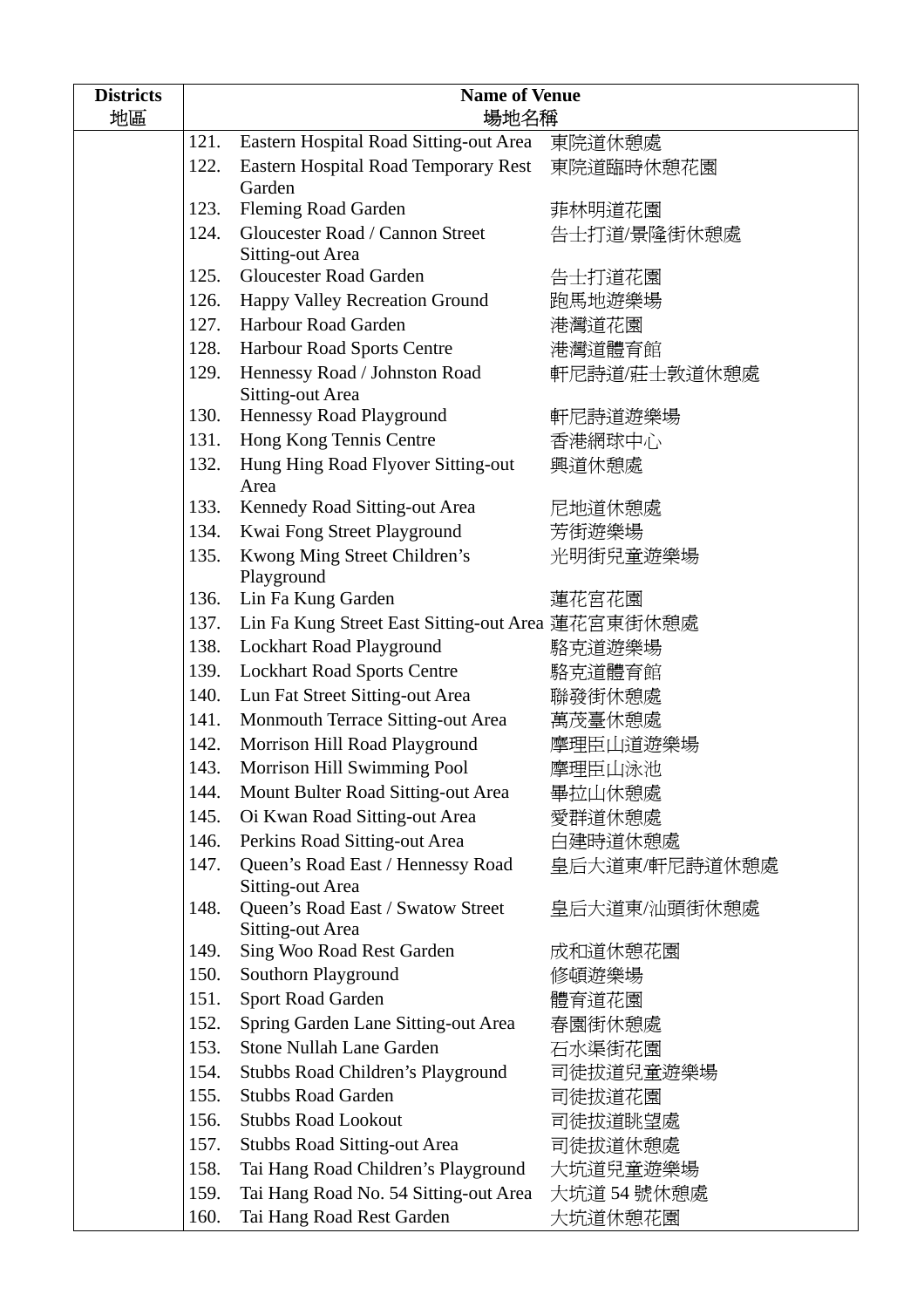| <b>Districts</b> | <b>Name of Venue</b> |                                                              |               |
|------------------|----------------------|--------------------------------------------------------------|---------------|
| 地區               |                      | 場地名稱                                                         |               |
|                  | 121.                 | Eastern Hospital Road Sitting-out Area                       | 東院道休憩處        |
|                  | 122.                 | <b>Eastern Hospital Road Temporary Rest</b><br>Garden        | 東院道臨時休憩花園     |
|                  | 123.                 | <b>Fleming Road Garden</b>                                   | 菲林明道花園        |
|                  | 124.                 | Gloucester Road / Cannon Street                              | 告士打道/景隆街休憩處   |
|                  |                      | Sitting-out Area                                             |               |
|                  | 125.                 | <b>Gloucester Road Garden</b>                                | 告士打道花園        |
|                  | 126.                 | Happy Valley Recreation Ground                               | 跑馬地遊樂場        |
|                  | 127.                 | Harbour Road Garden                                          | 港灣道花園         |
|                  | 128.                 | Harbour Road Sports Centre                                   | 港灣道體育館        |
|                  | 129.                 | Hennessy Road / Johnston Road                                | 軒尼詩道/莊士敦道休憩處  |
|                  |                      | Sitting-out Area                                             |               |
|                  | 130.                 | Hennessy Road Playground                                     | 軒尼詩道遊樂場       |
|                  | 131.                 | Hong Kong Tennis Centre                                      | 香港網球中心        |
|                  | 132.                 | Hung Hing Road Flyover Sitting-out<br>Area                   | 興道休憩處         |
|                  | 133.                 | Kennedy Road Sitting-out Area                                | 尼地道休憩處        |
|                  | 134.                 | Kwai Fong Street Playground                                  | 芳街遊樂場         |
|                  | 135.                 | Kwong Ming Street Children's                                 | 光明街兒童遊樂場      |
|                  |                      | Playground                                                   |               |
|                  | 136.                 | Lin Fa Kung Garden                                           | 蓮花宮花園         |
|                  | 137.                 | Lin Fa Kung Street East Sitting-out Area 蓮花宮東街休憩處            |               |
|                  | 138.                 | Lockhart Road Playground                                     | 駱克道遊樂場        |
|                  | 139.                 | <b>Lockhart Road Sports Centre</b>                           | 駱克道體育館        |
|                  | 140.                 | Lun Fat Street Sitting-out Area                              | 聯發街休憩處        |
|                  | 141.                 | Monmouth Terrace Sitting-out Area                            | 萬茂臺休憩處        |
|                  | 142.                 | Morrison Hill Road Playground                                | 摩理臣山道遊樂場      |
|                  | 143.                 | Morrison Hill Swimming Pool                                  | 摩理臣山泳池        |
|                  | 144.                 | Mount Bulter Road Sitting-out Area                           | 畢拉山休憩處        |
|                  | 145.                 | Oi Kwan Road Sitting-out Area                                | 愛群道休憩處        |
|                  | 146.                 | Perkins Road Sitting-out Area                                | 白建時道休憩處       |
|                  | 147.                 | Queen's Road East / Hennessy Road<br><b>Sitting-out Area</b> | 皇后大道東/軒尼詩道休憩處 |
|                  | 148.                 | Queen's Road East / Swatow Street                            | 皇后大道東⁄汕頭街休憩處  |
|                  | 149.                 | <b>Sitting-out Area</b><br>Sing Woo Road Rest Garden         | 成和道休憩花園       |
|                  | 150.                 | Southorn Playground                                          | 修頓遊樂場         |
|                  | 151.                 | Sport Road Garden                                            | 體育道花園         |
|                  | 152.                 | Spring Garden Lane Sitting-out Area                          | 春園街休憩處        |
|                  | 153.                 | <b>Stone Nullah Lane Garden</b>                              | 石水渠街花園        |
|                  | 154.                 | Stubbs Road Children's Playground                            | 司徒拔道兒童遊樂場     |
|                  | 155.                 | <b>Stubbs Road Garden</b>                                    | 司徒拔道花園        |
|                  | 156.                 | <b>Stubbs Road Lookout</b>                                   | 司徒拔道眺望處       |
|                  | 157.                 | <b>Stubbs Road Sitting-out Area</b>                          | 司徒拔道休憩處       |
|                  | 158.                 | Tai Hang Road Children's Playground                          | 大坑道兒童遊樂場      |
|                  | 159.                 | Tai Hang Road No. 54 Sitting-out Area                        | 大坑道 54 號休憩處   |
|                  | 160.                 | Tai Hang Road Rest Garden                                    | 大坑道休憩花園       |
|                  |                      |                                                              |               |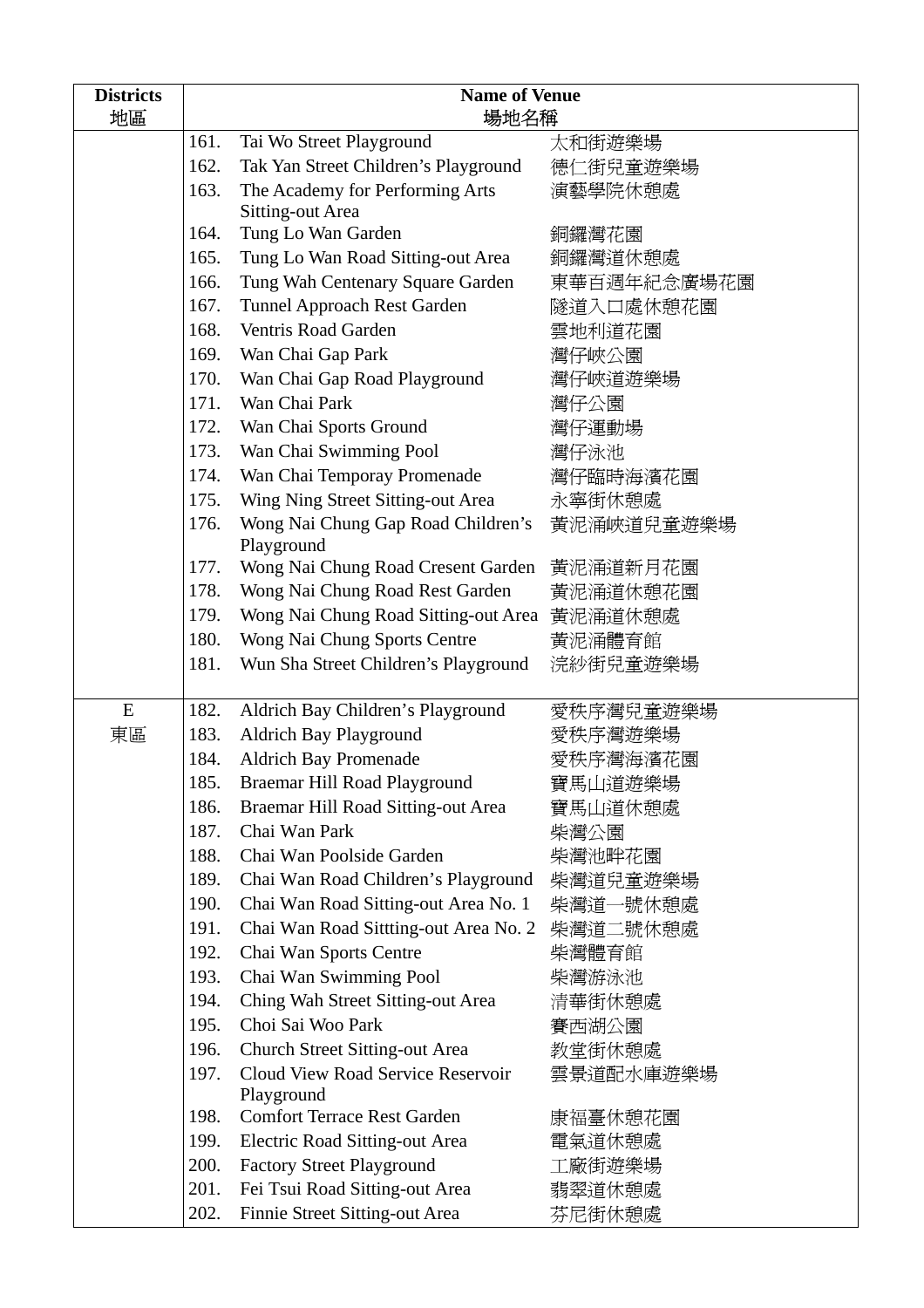| <b>Districts</b> | <b>Name of Venue</b> |                                                  |             |
|------------------|----------------------|--------------------------------------------------|-------------|
| 地區               |                      | 場地名稱                                             |             |
|                  | 161.                 | Tai Wo Street Playground                         | 太和街遊樂場      |
|                  | 162.                 | Tak Yan Street Children's Playground             | 德仁街兒童遊樂場    |
|                  | 163.                 | The Academy for Performing Arts                  | 演藝學院休憩處     |
|                  |                      | <b>Sitting-out Area</b>                          |             |
|                  | 164.                 | Tung Lo Wan Garden                               | 銅鑼灣花園       |
|                  | 165.                 | Tung Lo Wan Road Sitting-out Area                | 銅鑼灣道休憩處     |
|                  | 166.                 | Tung Wah Centenary Square Garden                 | 東華百週年紀念廣場花園 |
|                  | 167.                 | Tunnel Approach Rest Garden                      | 隧道入口處休憩花園   |
|                  | 168.                 | Ventris Road Garden                              | 雲地利道花園      |
|                  | 169.                 | Wan Chai Gap Park                                | 灣仔峽公園       |
|                  | 170.                 | Wan Chai Gap Road Playground                     | 灣仔峽道遊樂場     |
|                  | 171.                 | Wan Chai Park                                    | 灣仔公園        |
|                  | 172.                 | Wan Chai Sports Ground                           | 灣仔運動場       |
|                  | 173.                 | Wan Chai Swimming Pool                           | 灣仔泳池        |
|                  | 174.                 | Wan Chai Temporay Promenade                      | 灣仔臨時海濱花園    |
|                  | 175.                 | Wing Ning Street Sitting-out Area                | 永寧街休憩處      |
|                  | 176.                 | Wong Nai Chung Gap Road Children's<br>Playground | 黃泥涌峽道兒童遊樂場  |
|                  | 177.                 | Wong Nai Chung Road Cresent Garden               | 黃泥涌道新月花園    |
|                  | 178.                 | Wong Nai Chung Road Rest Garden                  | 黃泥涌道休憩花園    |
|                  | 179.                 | Wong Nai Chung Road Sitting-out Area 黃泥涌道休憩處     |             |
|                  | 180.                 | Wong Nai Chung Sports Centre                     | 黃泥涌體育館      |
|                  | 181.                 | Wun Sha Street Children's Playground             | 浣紗街兒童遊樂場    |
|                  |                      |                                                  |             |
| E                | 182.                 | Aldrich Bay Children's Playground                | 愛秩序灣兒童遊樂場   |
| 東區               | 183.                 | Aldrich Bay Playground                           | 愛秩序灣遊樂場     |
|                  | 184.                 | <b>Aldrich Bay Promenade</b>                     | 愛秩序灣海濱花園    |
|                  | 185.                 | Braemar Hill Road Playground                     | 寶馬山道遊樂場     |
|                  | 186.                 | Braemar Hill Road Sitting-out Area               | 寶馬山道休憩處     |
|                  | 187.                 | Chai Wan Park                                    | 柴灣公園        |
|                  | 188.                 | Chai Wan Poolside Garden                         | 柴灣池畔花園      |
|                  | 189.                 | Chai Wan Road Children's Playground              | 柴灣道兒童遊樂場    |
|                  | 190.                 | Chai Wan Road Sitting-out Area No. 1             | 柴灣道一號休憩處    |
|                  | 191.                 | Chai Wan Road Sittting-out Area No. 2            | 柴灣道二號休憩處    |
|                  | 192.                 | Chai Wan Sports Centre                           | 柴灣體育館       |
|                  | 193.                 | Chai Wan Swimming Pool                           | 柴灣游泳池       |
|                  | 194.                 | Ching Wah Street Sitting-out Area                | 清華街休憩處      |
|                  | 195.                 | Choi Sai Woo Park                                | 賽西湖公園       |
|                  | 196.                 | <b>Church Street Sitting-out Area</b>            | 教堂街休憩處      |
|                  | 197.                 | Cloud View Road Service Reservoir                | 雲景道配水庫遊樂場   |
|                  |                      | Playground                                       |             |
|                  | 198.                 | <b>Comfort Terrace Rest Garden</b>               | 康福臺休憩花園     |
|                  | 199.                 | Electric Road Sitting-out Area                   | 電氣道休憩處      |
|                  | 200.                 | <b>Factory Street Playground</b>                 | 工廠街遊樂場      |
|                  | 201.                 | Fei Tsui Road Sitting-out Area                   | 翡翠道休憩處      |
|                  | 202.                 | Finnie Street Sitting-out Area                   | 芬尼街休憩處      |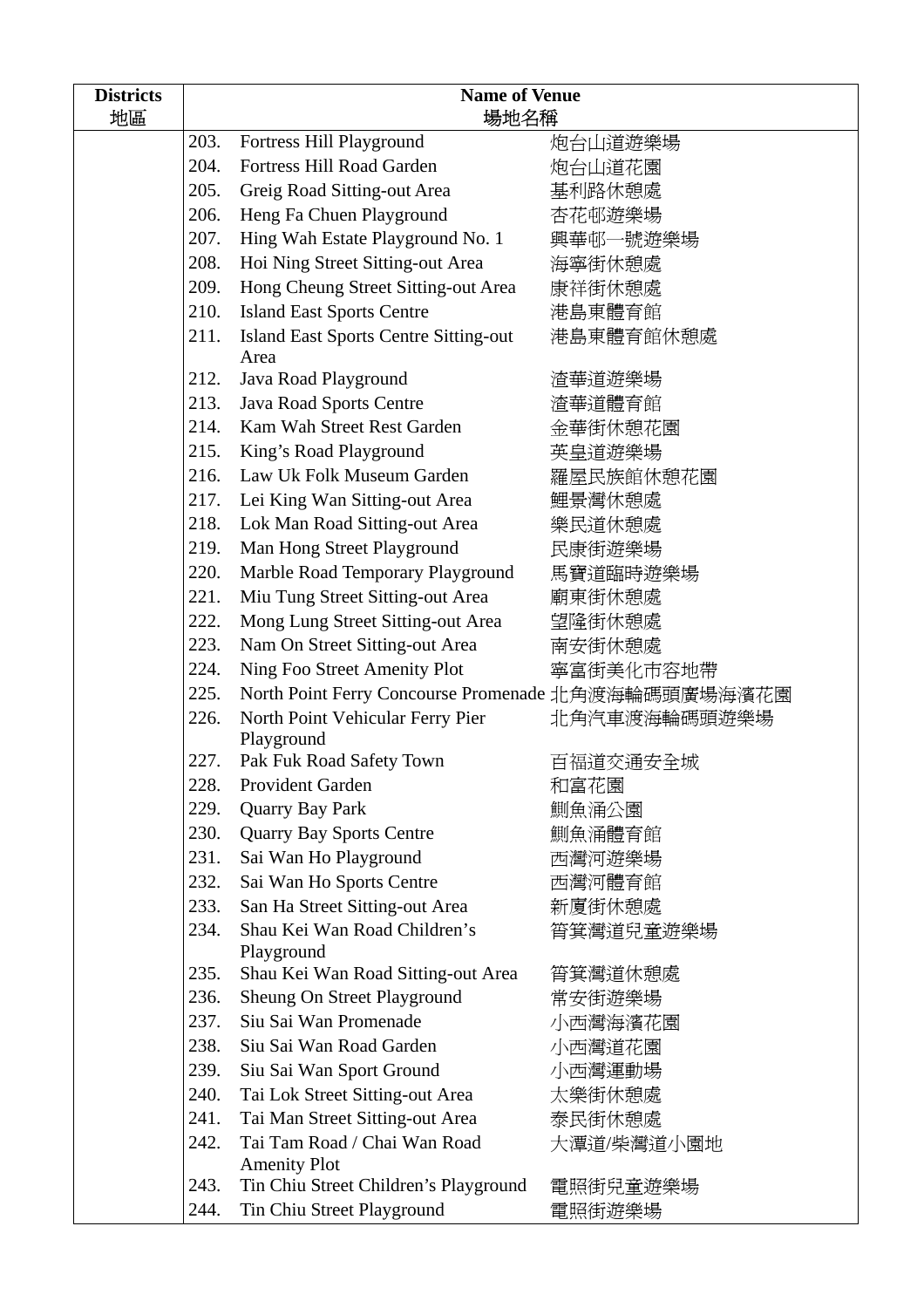| <b>Districts</b> | <b>Name of Venue</b> |                                                      |              |
|------------------|----------------------|------------------------------------------------------|--------------|
| 地區               |                      | 場地名稱                                                 |              |
|                  | 203.                 | Fortress Hill Playground                             | 炮台山道遊樂場      |
|                  | 204.                 | <b>Fortress Hill Road Garden</b>                     | 炮台山道花園       |
|                  | 205.                 | Greig Road Sitting-out Area                          | 基利路休憩處       |
|                  | 206.                 | Heng Fa Chuen Playground                             | 杏花邨遊樂場       |
|                  | 207.                 | Hing Wah Estate Playground No. 1                     | 興華邨一號遊樂場     |
|                  | 208.                 | Hoi Ning Street Sitting-out Area                     | 海寧街休憩處       |
|                  | 209.                 | Hong Cheung Street Sitting-out Area                  | 康祥街休憩處       |
|                  | 210.                 | <b>Island East Sports Centre</b>                     | 港島東體育館       |
|                  | 211.                 | <b>Island East Sports Centre Sitting-out</b><br>Area | 港島東體育館休憩處    |
|                  | 212.                 | Java Road Playground                                 | 渣華道遊樂場       |
|                  | 213.                 | Java Road Sports Centre                              | 渣華道體育館       |
|                  | 214.                 | Kam Wah Street Rest Garden                           | 金華街休憩花園      |
|                  | 215.                 | King's Road Playground                               | 英皇道遊樂場       |
|                  | 216.                 | Law Uk Folk Museum Garden                            | 羅屋民族館休憩花園    |
|                  | 217.                 | Lei King Wan Sitting-out Area                        | 鯉景灣休憩處       |
|                  | 218.                 | Lok Man Road Sitting-out Area                        | 樂民道休憩處       |
|                  | 219.                 | Man Hong Street Playground                           | 民康街遊樂場       |
|                  | 220.                 | Marble Road Temporary Playground                     | 馬寶道臨時遊樂場     |
|                  | 221.                 | Miu Tung Street Sitting-out Area                     | 廟東街休憩處       |
|                  | 222.                 | Mong Lung Street Sitting-out Area                    | 望隆街休憩處       |
|                  | 223.                 | Nam On Street Sitting-out Area                       | 南安街休憩處       |
|                  | 224.                 | Ning Foo Street Amenity Plot                         | 寧富街美化市容地帶    |
|                  | 225.                 | North Point Ferry Concourse Promenade 北角渡海輪碼頭廣場海濱花園  |              |
|                  | 226.                 | North Point Vehicular Ferry Pier<br>Playground       | 北角汽車渡海輪碼頭遊樂場 |
|                  | 227.                 | Pak Fuk Road Safety Town                             | 百福道交通安全城     |
|                  | 228.                 | Provident Garden                                     | 和富花園         |
|                  | 229.                 | <b>Quarry Bay Park</b>                               | 鰂魚涌公園        |
|                  | 230.                 | <b>Quarry Bay Sports Centre</b>                      | 鰂魚涌體育館       |
|                  | 231.                 | Sai Wan Ho Playground                                | 西灣河遊樂場       |
|                  | 232.                 | Sai Wan Ho Sports Centre                             | 西灣河體育館       |
|                  | 233.                 | San Ha Street Sitting-out Area                       | 新廈街休憩處       |
|                  | 234.                 | Shau Kei Wan Road Children's                         | 筲箕灣道兒童遊樂場    |
|                  |                      | Playground                                           |              |
|                  | 235.                 | Shau Kei Wan Road Sitting-out Area                   | 筲箕灣道休憩處      |
|                  | 236.                 | Sheung On Street Playground                          | 常安街遊樂場       |
|                  | 237.                 | Siu Sai Wan Promenade                                | 小西灣海濱花園      |
|                  | 238.                 | Siu Sai Wan Road Garden                              | 小西灣道花園       |
|                  | 239.                 | Siu Sai Wan Sport Ground                             | 小西灣運動場       |
|                  | 240.                 | Tai Lok Street Sitting-out Area                      | 太樂街休憩處       |
|                  | 241.                 | Tai Man Street Sitting-out Area                      | 泰民街休憩處       |
|                  | 242.                 | Tai Tam Road / Chai Wan Road                         | 大潭道/柴灣道小園地   |
|                  |                      | <b>Amenity Plot</b>                                  |              |
|                  | 243.                 | Tin Chiu Street Children's Playground                | 電照街兒童遊樂場     |
|                  | 244.                 | Tin Chiu Street Playground                           | 電照街遊樂場       |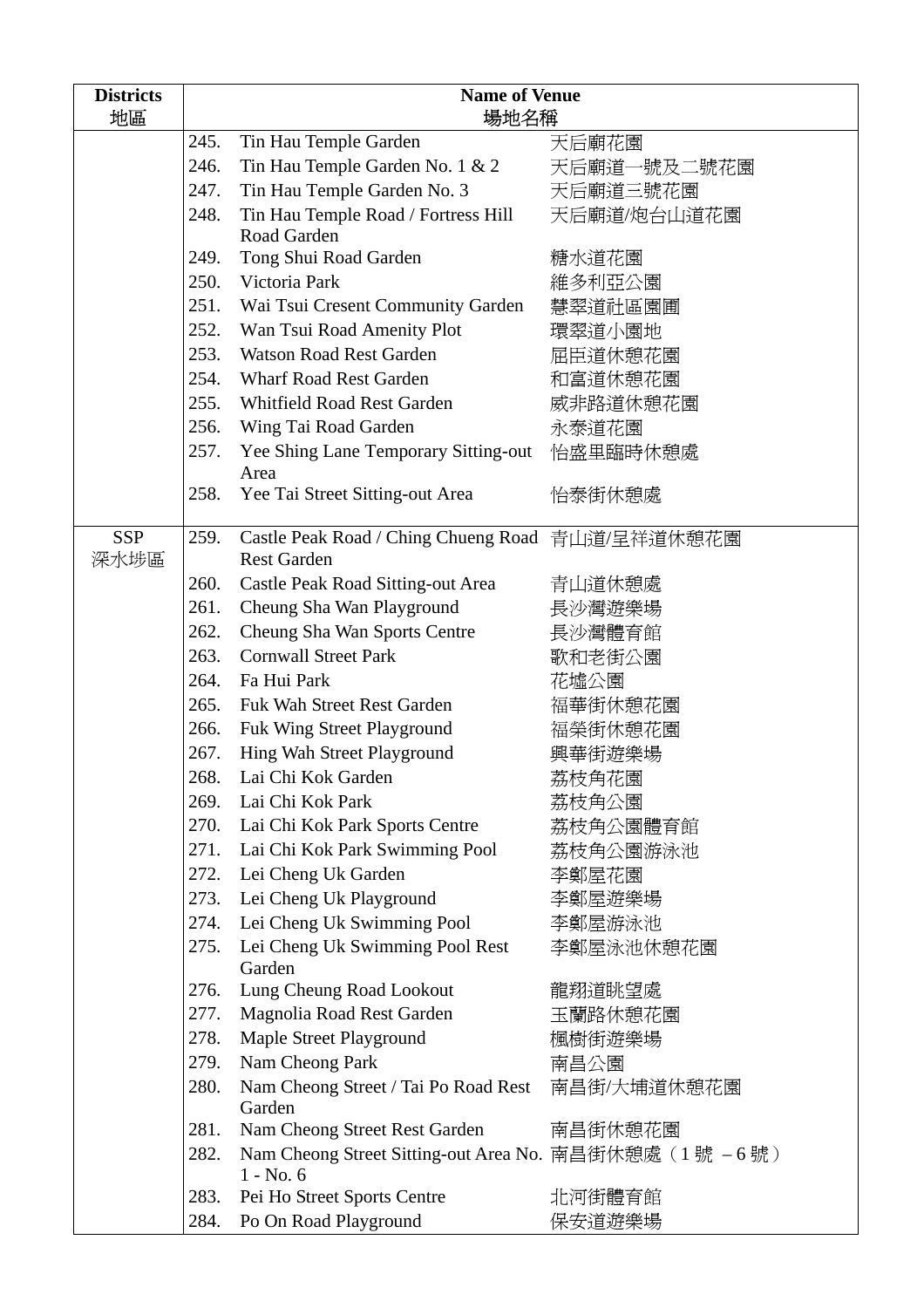| <b>Districts</b> | <b>Name of Venue</b> |                                                        |             |
|------------------|----------------------|--------------------------------------------------------|-------------|
| 地區               |                      | 場地名稱                                                   |             |
|                  | 245.                 | Tin Hau Temple Garden                                  | 天后廟花園       |
|                  | 246.                 | Tin Hau Temple Garden No. 1 & 2                        | 天后廟道一號及二號花園 |
|                  | 247.                 | Tin Hau Temple Garden No. 3                            | 天后廟道三號花園    |
|                  | 248.                 | Tin Hau Temple Road / Fortress Hill<br>Road Garden     | 天后廟道/炮台山道花園 |
|                  | 249.                 | Tong Shui Road Garden                                  | 糖水道花園       |
|                  | 250.                 | Victoria Park                                          | 維多利亞公園      |
|                  | 251.                 | Wai Tsui Cresent Community Garden                      | 慧翠道社區園圃     |
|                  | 252.                 | Wan Tsui Road Amenity Plot                             | 環翠道小園地      |
|                  | 253.                 | <b>Watson Road Rest Garden</b>                         | 屈臣道休憩花園     |
|                  | 254.                 | <b>Wharf Road Rest Garden</b>                          | 和富道休憩花園     |
|                  | 255.                 | <b>Whitfield Road Rest Garden</b>                      | 威非路道休憩花園    |
|                  | 256.                 |                                                        |             |
|                  |                      | Wing Tai Road Garden                                   | 永泰道花園       |
|                  | 257.                 | Yee Shing Lane Temporary Sitting-out 怡盛里臨時休憩處<br>Area  |             |
|                  | 258.                 | Yee Tai Street Sitting-out Area                        | 怡泰街休憩處      |
| <b>SSP</b>       | 259.                 | Castle Peak Road / Ching Chueng Road 青山道/呈祥道休憩花園       |             |
| 深水埗區             |                      | <b>Rest Garden</b>                                     |             |
|                  | 260.                 | Castle Peak Road Sitting-out Area                      | 青山道休憩處      |
|                  | 261.                 | Cheung Sha Wan Playground                              | 長沙灣遊樂場      |
|                  | 262.                 | Cheung Sha Wan Sports Centre                           | 長沙灣體育館      |
|                  | 263.                 | <b>Cornwall Street Park</b>                            | 歌和老街公園      |
|                  | 264.                 | Fa Hui Park                                            | 花墟公園        |
|                  | 265.                 | Fuk Wah Street Rest Garden                             | 福華街休憩花園     |
|                  | 266.                 | Fuk Wing Street Playground                             | 福榮街休憩花園     |
|                  | 267.                 | Hing Wah Street Playground                             | 興華街遊樂場      |
|                  | 268.                 | Lai Chi Kok Garden                                     | 荔枝角花園       |
|                  | 269.                 | Lai Chi Kok Park                                       | 荔枝角公園       |
|                  | 270.                 | Lai Chi Kok Park Sports Centre                         | 荔枝角公園體育館    |
|                  |                      | 271. Lai Chi Kok Park Swimming Pool                    | 荔枝角公園游泳池    |
|                  | 272.                 | Lei Cheng Uk Garden                                    | 李鄭屋花園       |
|                  | 273.                 | Lei Cheng Uk Playground                                | 李鄭屋遊樂場      |
|                  | 274.                 | Lei Cheng Uk Swimming Pool                             | 李鄭屋游泳池      |
|                  | 275.                 | Lei Cheng Uk Swimming Pool Rest                        | 李鄭屋泳池休憩花園   |
|                  |                      | Garden                                                 |             |
|                  | 276.                 | Lung Cheung Road Lookout                               | 龍翔道眺望處      |
|                  | 277.                 | Magnolia Road Rest Garden                              | 玉蘭路休憩花園     |
|                  | 278.                 | Maple Street Playground                                | 楓樹街遊樂場      |
|                  | 279.                 | Nam Cheong Park                                        | 南昌公園        |
|                  | 280.                 | Nam Cheong Street / Tai Po Road Rest<br>Garden         | 南昌街/大埔道休憩花園 |
|                  | 281.                 | Nam Cheong Street Rest Garden                          | 南昌街休憩花園     |
|                  | 282.                 | Nam Cheong Street Sitting-out Area No. 南昌街休憩處 (1號 -6號) |             |
|                  | 283.                 | $1 - No. 6$                                            |             |
|                  |                      | Pei Ho Street Sports Centre                            | 北河街體育館      |
|                  | 284.                 | Po On Road Playground                                  | 保安道遊樂場      |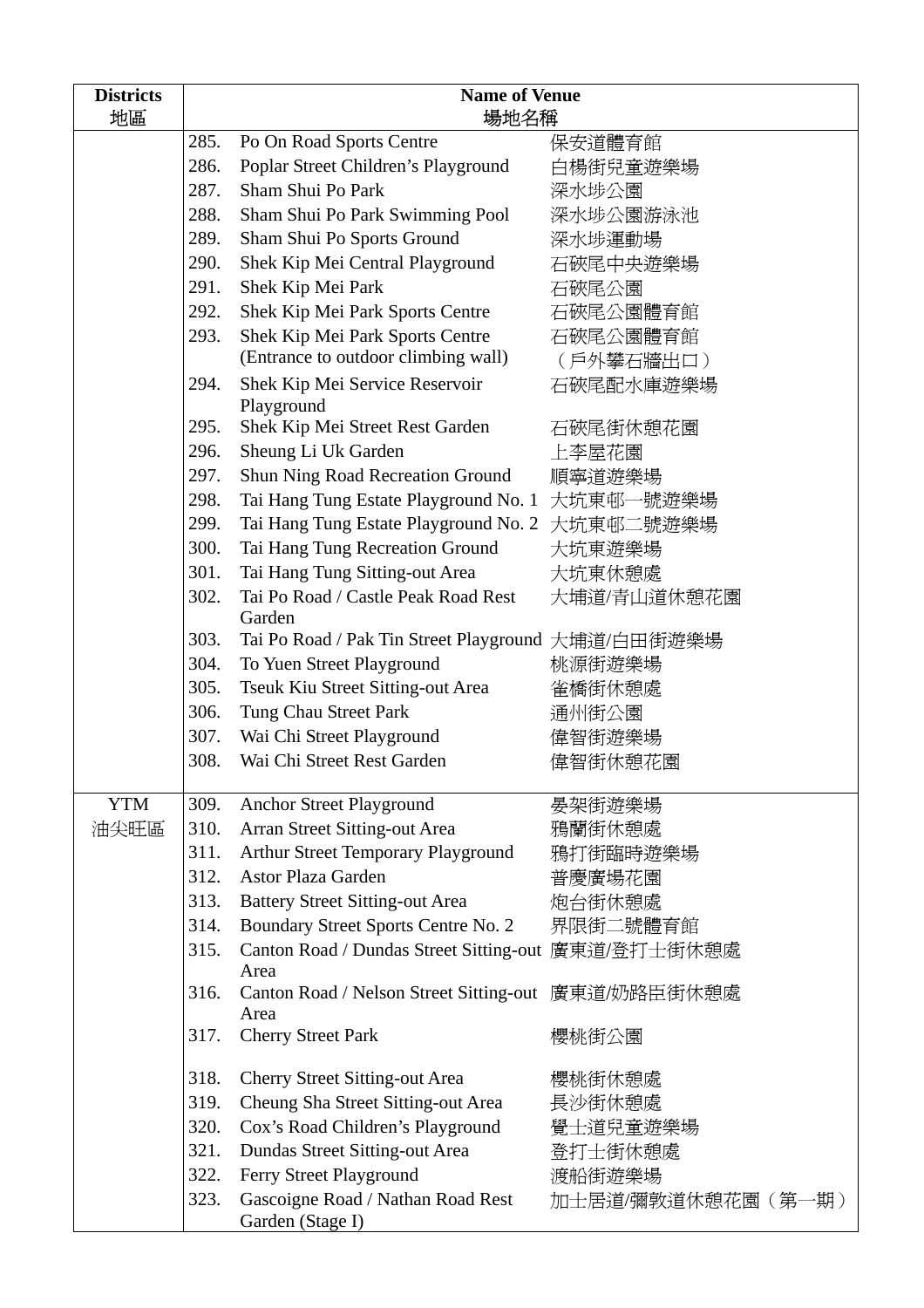| <b>Districts</b> | <b>Name of Venue</b> |                                                                 |                    |
|------------------|----------------------|-----------------------------------------------------------------|--------------------|
| 地區               | 場地名稱                 |                                                                 |                    |
|                  | 285.                 | Po On Road Sports Centre                                        | 保安道體育館             |
|                  | 286.                 | Poplar Street Children's Playground                             | 白楊街兒童遊樂場           |
|                  | 287.                 | Sham Shui Po Park                                               | 深水埗公園              |
|                  | 288.                 | Sham Shui Po Park Swimming Pool                                 | 深水埗公園游泳池           |
|                  | 289.                 | Sham Shui Po Sports Ground                                      | 深水埗運動場             |
|                  | 290.                 | Shek Kip Mei Central Playground                                 | 石硤尾中央遊樂場           |
|                  | 291.                 | Shek Kip Mei Park                                               | 石硤尾公園              |
|                  | 292.                 | Shek Kip Mei Park Sports Centre                                 | 石硤尾公園體育館           |
|                  | 293.                 | Shek Kip Mei Park Sports Centre                                 | 石硤尾公園體育館           |
|                  |                      | (Entrance to outdoor climbing wall)                             | (戶外攀石牆出口)          |
|                  | 294.                 | Shek Kip Mei Service Reservoir<br>Playground                    | 石硤尾配水庫遊樂場          |
|                  | 295.                 | Shek Kip Mei Street Rest Garden                                 | 石硤尾街休憩花園           |
|                  | 296.                 | Sheung Li Uk Garden                                             | 上李屋花園              |
|                  | 297.                 | Shun Ning Road Recreation Ground                                | 順寧道遊樂場             |
|                  | 298.                 | Tai Hang Tung Estate Playground No. 1                           | 大坑東邨一號遊樂場          |
|                  | 299.                 | Tai Hang Tung Estate Playground No. 2                           | 大坑東邨二號遊樂場          |
|                  | 300.                 | Tai Hang Tung Recreation Ground                                 | 大坑東遊樂場             |
|                  | 301.                 | Tai Hang Tung Sitting-out Area                                  | 大坑東休憩處             |
|                  | 302.                 | Tai Po Road / Castle Peak Road Rest                             | 大埔道/青山道休憩花園        |
|                  |                      | Garden                                                          |                    |
|                  | 303.                 | Tai Po Road / Pak Tin Street Playground 大埔道/白田街遊樂場              |                    |
|                  | 304.                 | To Yuen Street Playground                                       | 桃源街遊樂場             |
|                  | 305.                 | Tseuk Kiu Street Sitting-out Area                               | 雀橋街休憩處             |
|                  | 306.                 | Tung Chau Street Park                                           | 通州街公園              |
|                  | 307.                 | Wai Chi Street Playground                                       | 偉智街遊樂場             |
|                  | 308.                 | Wai Chi Street Rest Garden                                      | 偉智街休憩花園            |
| <b>YTM</b>       |                      |                                                                 |                    |
|                  | 309.                 | Anchor Street Playground                                        | 晏架街遊樂場             |
| 油尖旺區             | 310.                 | Arran Street Sitting-out Area                                   | 鴉蘭街休憩處             |
|                  | 311.                 | Arthur Street Temporary Playground<br><b>Astor Plaza Garden</b> | 鴉打街臨時遊樂場           |
|                  | 312.                 |                                                                 | 普慶廣場花園             |
|                  | 313.                 | <b>Battery Street Sitting-out Area</b>                          | 炮台街休憩處             |
|                  | 314.                 | Boundary Street Sports Centre No. 2                             | 界限街二號體育館           |
|                  | 315.                 | Canton Road / Dundas Street Sitting-out 廣東道/登打士街休憩處             |                    |
|                  | 316.                 | Area<br>Canton Road / Nelson Street Sitting-out<br>Area         | 廣東道/奶路臣街休憩處        |
|                  | 317.                 | <b>Cherry Street Park</b>                                       | 櫻桃街公園              |
|                  | 318.                 | <b>Cherry Street Sitting-out Area</b>                           | 櫻桃街休憩處             |
|                  | 319.                 | Cheung Sha Street Sitting-out Area                              | 長沙街休憩處             |
|                  | 320.                 | Cox's Road Children's Playground                                | 覺士道兒童遊樂場           |
|                  | 321.                 | Dundas Street Sitting-out Area                                  | 登打士街休憩處            |
|                  | 322.                 | Ferry Street Playground                                         | 渡船街遊樂場             |
|                  | 323.                 | Gascoigne Road / Nathan Road Rest                               | 加士居道/彌敦道休憩花園 (第一期) |
|                  |                      | Garden (Stage I)                                                |                    |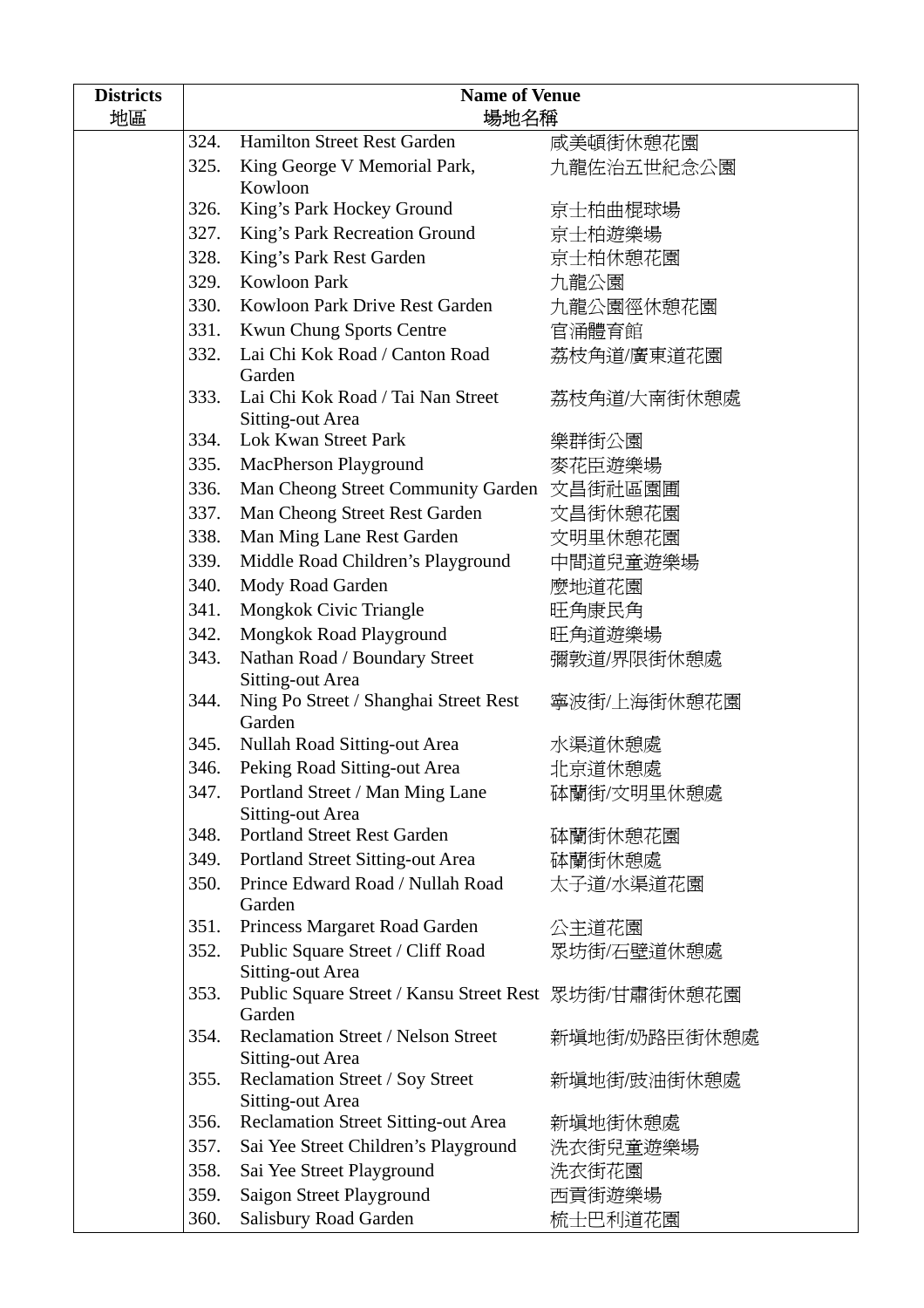| <b>Districts</b> | <b>Name of Venue</b> |                                                                |              |
|------------------|----------------------|----------------------------------------------------------------|--------------|
| 地區               | 場地名稱                 |                                                                |              |
|                  | 324.                 | <b>Hamilton Street Rest Garden</b>                             | 咸美頓街休憩花園     |
|                  | 325.                 | King George V Memorial Park,                                   | 九龍佐治五世紀念公園   |
|                  | 326.                 | Kowloon<br>King's Park Hockey Ground                           | 京士柏曲棍球場      |
|                  | 327.                 |                                                                |              |
|                  |                      | King's Park Recreation Ground                                  | 京士柏遊樂場       |
|                  | 328.                 | King's Park Rest Garden                                        | 京士柏休憩花園      |
|                  | 329.                 | <b>Kowloon Park</b>                                            | 九龍公園         |
|                  | 330.                 | Kowloon Park Drive Rest Garden                                 | 九龍公園徑休憩花園    |
|                  | 331.                 | Kwun Chung Sports Centre                                       | 官涌體育館        |
|                  | 332.                 | Lai Chi Kok Road / Canton Road<br>Garden                       | 荔枝角道/廣東道花園   |
|                  | 333.                 | Lai Chi Kok Road / Tai Nan Street<br>Sitting-out Area          | 荔枝角道/大南街休憩處  |
|                  | 334.                 | Lok Kwan Street Park                                           | 樂群街公園        |
|                  | 335.                 | MacPherson Playground                                          | 麥花臣遊樂場       |
|                  | 336.                 | Man Cheong Street Community Garden 文昌街社區園圃                     |              |
|                  | 337.                 | Man Cheong Street Rest Garden                                  | 文昌街休憩花園      |
|                  | 338.                 | Man Ming Lane Rest Garden                                      | 文明里休憩花園      |
|                  | 339.                 | Middle Road Children's Playground                              | 中間道兒童遊樂場     |
|                  | 340.                 | Mody Road Garden                                               | 麼地道花園        |
|                  | 341.                 | Mongkok Civic Triangle                                         | 旺角康民角        |
|                  | 342.                 | Mongkok Road Playground                                        | 旺角道遊樂場       |
|                  | 343.                 | Nathan Road / Boundary Street                                  | 彌敦道/界限街休憩處   |
|                  |                      | <b>Sitting-out Area</b>                                        |              |
|                  | 344.                 | Ning Po Street / Shanghai Street Rest<br>Garden                | 寧波街/上海街休憩花園  |
|                  | 345.                 | Nullah Road Sitting-out Area                                   | 水渠道休憩處       |
|                  | 346.                 | Peking Road Sitting-out Area                                   | 北京道休憩處       |
|                  | 347.                 | Portland Street / Man Ming Lane                                | 砵蘭街/文明里休憩處   |
|                  |                      | <b>Sitting-out Area</b>                                        |              |
|                  | 348.                 | <b>Portland Street Rest Garden</b>                             | 砵蘭街休憩花園      |
|                  | 349.                 | Portland Street Sitting-out Area                               | 砵蘭街休憩處       |
|                  | 350.                 | Prince Edward Road / Nullah Road<br>Garden                     | 太子道/水渠道花園    |
|                  | 351.                 | Princess Margaret Road Garden                                  | 公主道花園        |
|                  | 352.                 | Public Square Street / Cliff Road                              | 眾坊街/石壁道休憩處   |
|                  |                      | Sitting-out Area                                               |              |
|                  | 353.                 | Public Square Street / Kansu Street Rest 眾坊街/甘肅街休憩花園<br>Garden |              |
|                  | 354.                 | Reclamation Street / Nelson Street<br>Sitting-out Area         | 新填地街/奶路臣街休憩處 |
|                  | 355.                 | Reclamation Street / Soy Street                                | 新填地街/豉油街休憩處  |
|                  | 356.                 | Sitting-out Area<br>Reclamation Street Sitting-out Area        | 新填地街休憩處      |
|                  | 357.                 | Sai Yee Street Children's Playground                           | 洗衣街兒童遊樂場     |
|                  | 358.                 | Sai Yee Street Playground                                      |              |
|                  |                      |                                                                | 洗衣街花園        |
|                  | 359.                 | Saigon Street Playground                                       | 西貢街遊樂場       |
|                  | 360.                 | Salisbury Road Garden                                          | 梳士巴利道花園      |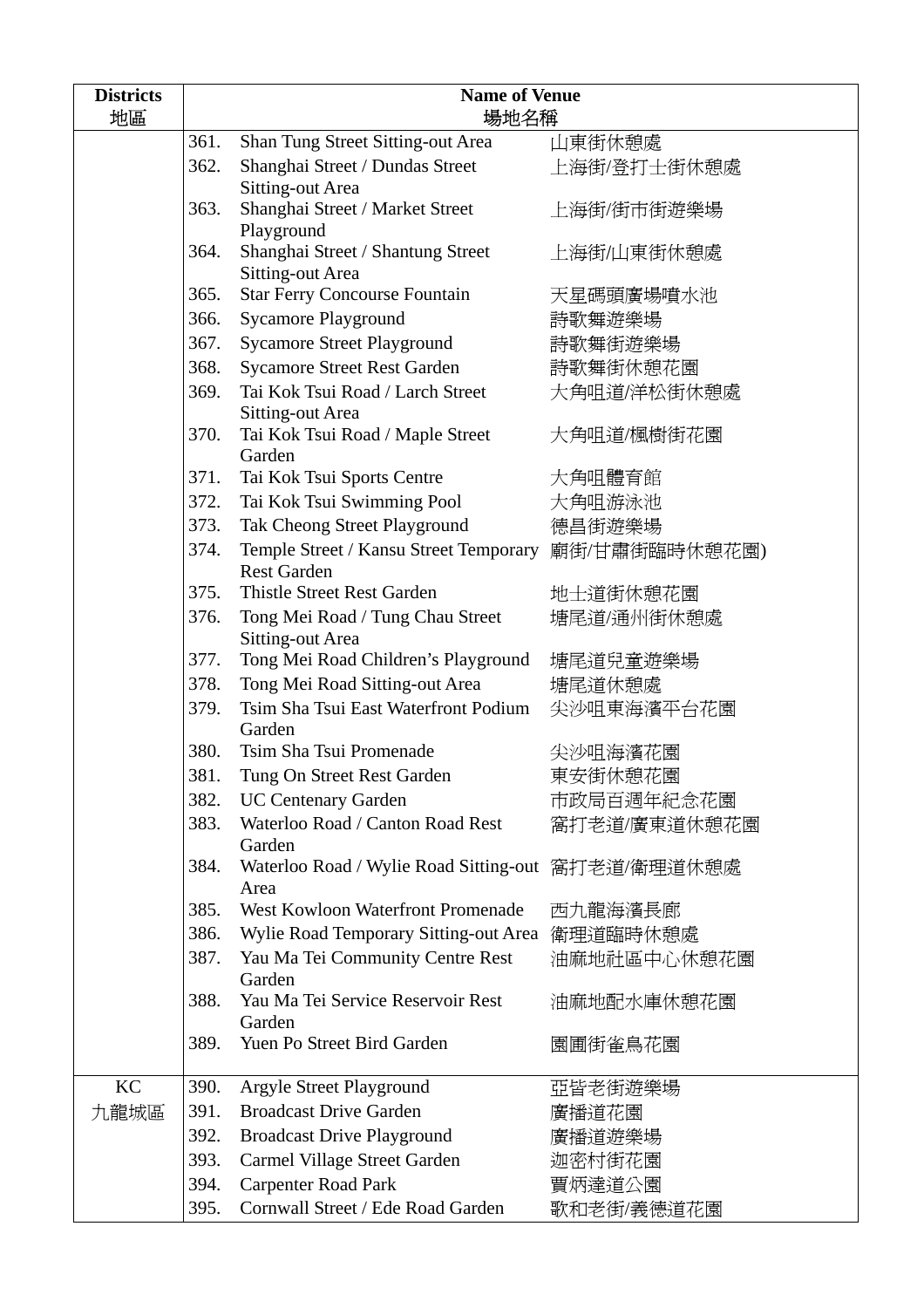| <b>Districts</b> | <b>Name of Venue</b> |                                                              |               |  |
|------------------|----------------------|--------------------------------------------------------------|---------------|--|
| 地區               |                      | 場地名稱                                                         |               |  |
|                  | 361.                 | Shan Tung Street Sitting-out Area                            | 山東街休憩處        |  |
|                  | 362.                 | Shanghai Street / Dundas Street                              | 上海街/登打士街休憩處   |  |
|                  |                      | Sitting-out Area                                             |               |  |
|                  | 363.                 | Shanghai Street / Market Street                              | 上海街/街市街遊樂場    |  |
|                  |                      | Playground                                                   |               |  |
|                  | 364.                 | Shanghai Street / Shantung Street<br><b>Sitting-out Area</b> | 上海街/山東街休憩處    |  |
|                  | 365.                 | <b>Star Ferry Concourse Fountain</b>                         | 天星碼頭廣場噴水池     |  |
|                  | 366.                 | <b>Sycamore Playground</b>                                   | 詩歌舞遊樂場        |  |
|                  | 367.                 | <b>Sycamore Street Playground</b>                            | 詩歌舞街遊樂場       |  |
|                  | 368.                 | <b>Sycamore Street Rest Garden</b>                           | 詩歌舞街休憩花園      |  |
|                  | 369.                 | Tai Kok Tsui Road / Larch Street                             | 大角咀道/洋松街休憩處   |  |
|                  |                      | Sitting-out Area                                             |               |  |
|                  | 370.                 | Tai Kok Tsui Road / Maple Street                             | 大角咀道/楓樹街花園    |  |
|                  |                      | Garden                                                       |               |  |
|                  | 371.                 | Tai Kok Tsui Sports Centre                                   | 大角咀體育館        |  |
|                  | 372.                 | Tai Kok Tsui Swimming Pool                                   | 大角咀游泳池        |  |
|                  | 373.                 | Tak Cheong Street Playground                                 | 德昌街遊樂場        |  |
|                  | 374.                 | Temple Street / Kansu Street Temporary                       | 廟街/甘肅街臨時休憩花園) |  |
|                  |                      | <b>Rest Garden</b>                                           |               |  |
|                  | 375.                 | <b>Thistle Street Rest Garden</b>                            | 地士道街休憩花園      |  |
|                  | 376.                 | Tong Mei Road / Tung Chau Street<br>Sitting-out Area         | 塘尾道/通州街休憩處    |  |
|                  | 377.                 | Tong Mei Road Children's Playground                          | 塘尾道兒童遊樂場      |  |
|                  | 378.                 | Tong Mei Road Sitting-out Area                               | 塘尾道休憩處        |  |
|                  | 379.                 | Tsim Sha Tsui East Waterfront Podium<br>Garden               | 尖沙咀東海濱平台花園    |  |
|                  | 380.                 | Tsim Sha Tsui Promenade                                      | 尖沙咀海濱花園       |  |
|                  | 381.                 | Tung On Street Rest Garden                                   | 東安街休憩花園       |  |
|                  | 382.                 | <b>UC Centenary Garden</b>                                   | 市政局百週年紀念花園    |  |
|                  | 383.                 | Waterloo Road / Canton Road Rest                             | 窩打老道/廣東道休憩花園  |  |
|                  |                      | Garden                                                       |               |  |
|                  | 384.                 | Waterloo Road / Wylie Road Sitting-out 窩打老道/衛理道休憩處<br>Area   |               |  |
|                  | 385.                 | West Kowloon Waterfront Promenade                            | 西九龍海濱長廊       |  |
|                  | 386.                 | Wylie Road Temporary Sitting-out Area                        | 衛理道臨時休憩處      |  |
|                  | 387.                 | Yau Ma Tei Community Centre Rest                             | 油麻地社區中心休憩花園   |  |
|                  |                      | Garden                                                       |               |  |
|                  | 388.                 | Yau Ma Tei Service Reservoir Rest                            | 油麻地配水庫休憩花園    |  |
|                  | 389.                 | Garden<br>Yuen Po Street Bird Garden                         | 園圃街雀鳥花園       |  |
|                  |                      |                                                              |               |  |
| KC               | 390.                 | Argyle Street Playground                                     | 亞皆老街遊樂場       |  |
| 九龍城區             | 391.                 | <b>Broadcast Drive Garden</b>                                | 廣播道花園         |  |
|                  | 392.                 | <b>Broadcast Drive Playground</b>                            | 廣播道遊樂場        |  |
|                  | 393.                 | Carmel Village Street Garden                                 | 迦密村街花園        |  |
|                  | 394.                 | <b>Carpenter Road Park</b>                                   | 賈炳達道公園        |  |
|                  | 395.                 | Cornwall Street / Ede Road Garden                            | 歌和老街/義德道花園    |  |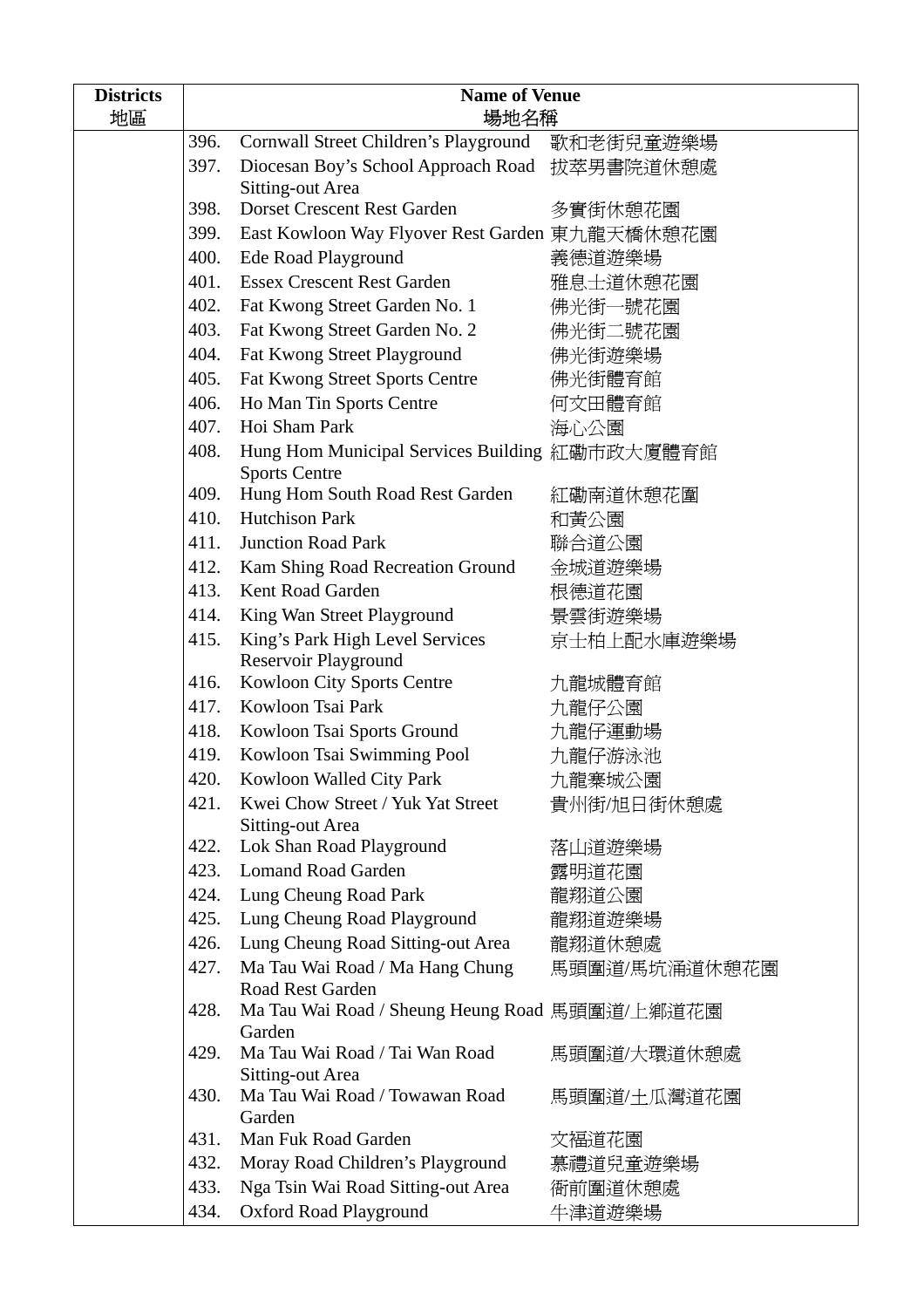| <b>Districts</b> | <b>Name of Venue</b> |                                                                        |               |
|------------------|----------------------|------------------------------------------------------------------------|---------------|
| 地區               |                      | 場地名稱                                                                   |               |
|                  | 396.                 | Cornwall Street Children's Playground 歌和老街兒童遊樂場                        |               |
|                  | 397.                 | Diocesan Boy's School Approach Road 拔萃男書院道休憩處                          |               |
|                  | 398.                 | Sitting-out Area<br>Dorset Crescent Rest Garden                        | 多實街休憩花園       |
|                  | 399.                 |                                                                        |               |
|                  | 400.                 | East Kowloon Way Flyover Rest Garden 東九龍天橋休憩花園                         | 義德道遊樂場        |
|                  | 401.                 | Ede Road Playground<br><b>Essex Crescent Rest Garden</b>               |               |
|                  | 402.                 |                                                                        | 雅息士道休憩花園      |
|                  | 403.                 | Fat Kwong Street Garden No. 1                                          | 佛光街一號花園       |
|                  |                      | Fat Kwong Street Garden No. 2                                          | 佛光街二號花園       |
|                  | 404.                 | Fat Kwong Street Playground                                            | 佛光街遊樂場        |
|                  | 405.                 | Fat Kwong Street Sports Centre                                         | 佛光街體育館        |
|                  | 406.                 | Ho Man Tin Sports Centre                                               | 何文田體育館        |
|                  | 407.                 | Hoi Sham Park                                                          | 海心公園          |
|                  | 408.                 | Hung Hom Municipal Services Building 紅磡市政大廈體育館<br><b>Sports Centre</b> |               |
|                  | 409.                 | Hung Hom South Road Rest Garden                                        | 紅磡南道休憩花圍      |
|                  | 410.                 | <b>Hutchison Park</b>                                                  | 和黃公園          |
|                  | 411.                 | <b>Junction Road Park</b>                                              | 聯合道公園         |
|                  | 412.                 | Kam Shing Road Recreation Ground                                       | 金城道遊樂場        |
|                  | 413.                 | Kent Road Garden                                                       | 根德道花園         |
|                  | 414.                 | King Wan Street Playground                                             | 景雲街遊樂場        |
|                  | 415.                 | King's Park High Level Services                                        | 京士柏上配水庫遊樂場    |
|                  |                      | Reservoir Playground                                                   |               |
|                  | 416.                 | <b>Kowloon City Sports Centre</b>                                      | 九龍城體育館        |
|                  | 417.                 | Kowloon Tsai Park                                                      | 九龍仔公園         |
|                  | 418.                 | Kowloon Tsai Sports Ground                                             | 九龍仔運動場        |
|                  | 419.                 | Kowloon Tsai Swimming Pool                                             | 九龍仔游泳池        |
|                  |                      | 420. Kowloon Walled City Park                                          | 九龍寨城公園        |
|                  | 421.                 | Kwei Chow Street / Yuk Yat Street<br>Sitting-out Area                  | 貴州街/旭日街休憩處    |
|                  | 422.                 | Lok Shan Road Playground                                               | 落山道遊樂場        |
|                  | 423.                 | <b>Lomand Road Garden</b>                                              | 露明道花園         |
|                  | 424.                 | Lung Cheung Road Park                                                  | 龍翔道公園         |
|                  | 425.                 | Lung Cheung Road Playground                                            | 龍翔道遊樂場        |
|                  | 426.                 | Lung Cheung Road Sitting-out Area                                      | 龍翔道休憩處        |
|                  | 427.                 | Ma Tau Wai Road / Ma Hang Chung<br><b>Road Rest Garden</b>             | 馬頭圍道/馬坑涌道休憩花園 |
|                  | 428.                 | Ma Tau Wai Road / Sheung Heung Road 馬頭圍道/上鄉道花園                         |               |
|                  | 429.                 | Garden<br>Ma Tau Wai Road / Tai Wan Road                               | 馬頭圍道/大環道休憩處   |
|                  | 430.                 | Sitting-out Area<br>Ma Tau Wai Road / Towawan Road                     | 馬頭圍道/土瓜灣道花園   |
|                  |                      | Garden                                                                 |               |
|                  | 431.                 | Man Fuk Road Garden                                                    | 文福道花園         |
|                  | 432.                 | Moray Road Children's Playground                                       | 慕禮道兒童遊樂場      |
|                  | 433.                 | Nga Tsin Wai Road Sitting-out Area                                     | 衙前圍道休憩處       |
|                  | 434.                 | Oxford Road Playground                                                 | 牛津道遊樂場        |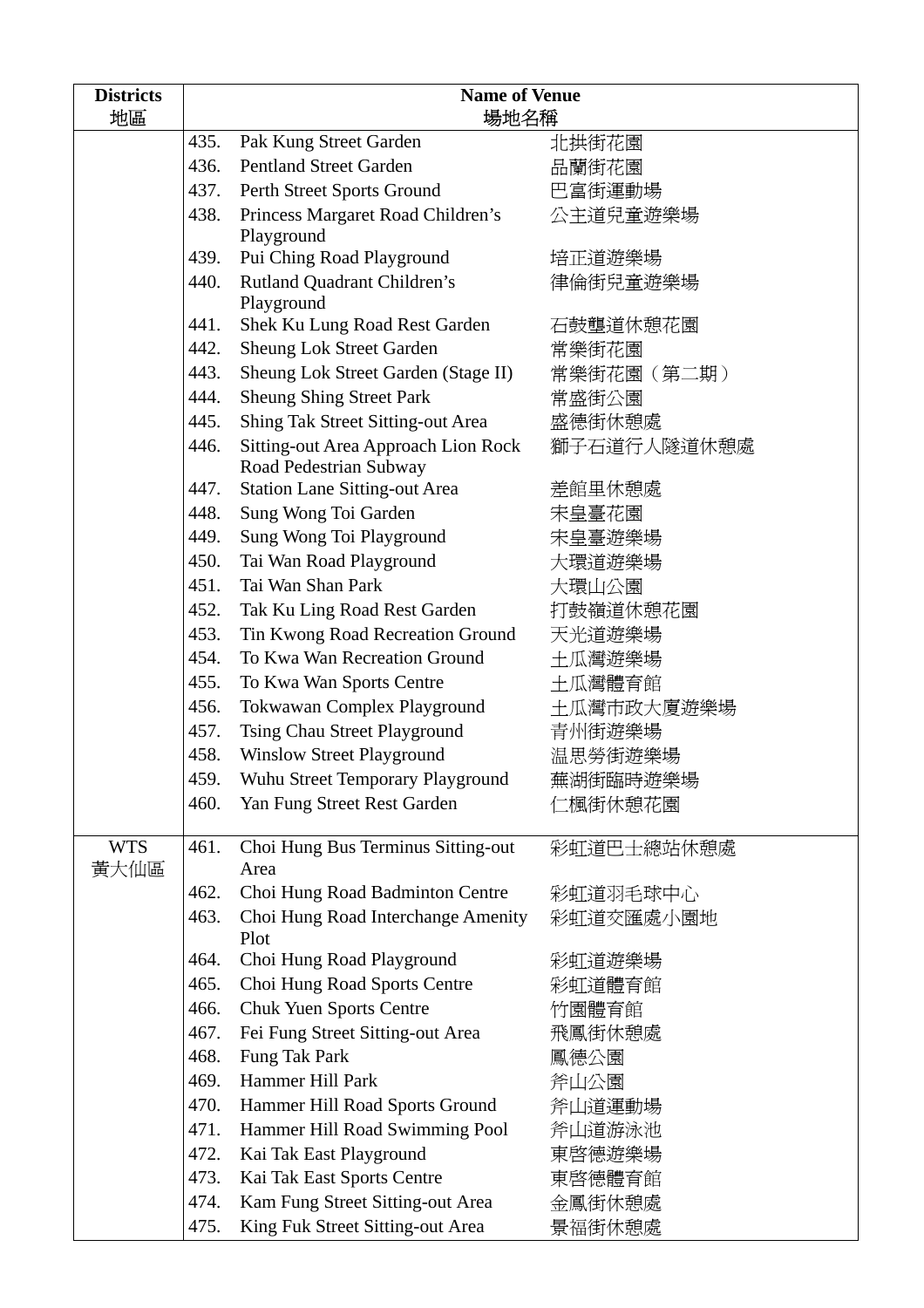| <b>Districts</b> | <b>Name of Venue</b> |                                            |             |
|------------------|----------------------|--------------------------------------------|-------------|
| 地區               |                      | 場地名稱                                       |             |
|                  | 435.                 | Pak Kung Street Garden                     | 北拱街花園       |
|                  | 436.                 | <b>Pentland Street Garden</b>              | 品蘭街花園       |
|                  | 437.                 | Perth Street Sports Ground                 | 巴富街運動場      |
|                  | 438.                 | Princess Margaret Road Children's          | 公主道兒童遊樂場    |
|                  |                      | Playground                                 |             |
|                  | 439.                 | Pui Ching Road Playground                  | 培正道遊樂場      |
|                  | 440.                 | Rutland Quadrant Children's<br>Playground  | 律倫街兒童遊樂場    |
|                  | 441.                 | Shek Ku Lung Road Rest Garden              | 石鼓壟道休憩花園    |
|                  | 442.                 | <b>Sheung Lok Street Garden</b>            | 常樂街花園       |
|                  | 443.                 | Sheung Lok Street Garden (Stage II)        | 常樂街花園(第二期)  |
|                  | 444.                 | <b>Sheung Shing Street Park</b>            | 常盛街公園       |
|                  | 445.                 | Shing Tak Street Sitting-out Area          | 盛德街休憩處      |
|                  | 446.                 | Sitting-out Area Approach Lion Rock        | 獅子石道行人隧道休憩處 |
|                  |                      | Road Pedestrian Subway                     |             |
|                  | 447.                 | <b>Station Lane Sitting-out Area</b>       | 差館里休憩處      |
|                  | 448.                 | Sung Wong Toi Garden                       | 宋皇臺花園       |
|                  | 449.                 | Sung Wong Toi Playground                   | 宋皇臺遊樂場      |
|                  | 450.                 | Tai Wan Road Playground                    | 大環道遊樂場      |
|                  | 451.                 | Tai Wan Shan Park                          | 大環山公園       |
|                  | 452.                 | Tak Ku Ling Road Rest Garden               | 打鼓嶺道休憩花園    |
|                  | 453.                 | Tin Kwong Road Recreation Ground           | 天光道遊樂場      |
|                  | 454.                 | To Kwa Wan Recreation Ground               | 土瓜灣遊樂場      |
|                  | 455.                 | To Kwa Wan Sports Centre                   | 土瓜灣體育館      |
|                  | 456.                 | Tokwawan Complex Playground                | 土瓜灣市政大廈遊樂場  |
|                  | 457.                 | Tsing Chau Street Playground               | 青州街遊樂場      |
|                  | 458.                 | <b>Winslow Street Playground</b>           | 温思勞街遊樂場     |
|                  | 459.                 | Wuhu Street Temporary Playground           | 蕪湖街臨時遊樂場    |
|                  | 460.                 | Yan Fung Street Rest Garden                | 仁楓街休憩花園     |
| <b>WTS</b>       | 461.                 | Choi Hung Bus Terminus Sitting-out         | 彩虹道巴士總站休憩處  |
| 黃大仙區             |                      | Area                                       |             |
|                  | 462.                 | Choi Hung Road Badminton Centre            | 彩虹道羽毛球中心    |
|                  | 463.                 | Choi Hung Road Interchange Amenity<br>Plot | 彩虹道交匯處小園地   |
|                  | 464.                 | Choi Hung Road Playground                  | 彩虹道遊樂場      |
|                  | 465.                 | Choi Hung Road Sports Centre               | 彩虹道體育館      |
|                  | 466.                 | <b>Chuk Yuen Sports Centre</b>             | 竹園體育館       |
|                  | 467.                 | Fei Fung Street Sitting-out Area           | 飛鳳街休憩處      |
|                  | 468.                 | Fung Tak Park                              | 鳳德公園        |
|                  | 469.                 | Hammer Hill Park                           | 斧山公園        |
|                  | 470.                 | Hammer Hill Road Sports Ground             | 斧山道運動場      |
|                  | 471.                 | Hammer Hill Road Swimming Pool             | 斧山道游泳池      |
|                  | 472.                 | Kai Tak East Playground                    | 東啓德遊樂場      |
|                  | 473.                 | Kai Tak East Sports Centre                 | 東啓德體育館      |
|                  | 474.                 | Kam Fung Street Sitting-out Area           | 金鳳街休憩處      |
|                  | 475.                 | King Fuk Street Sitting-out Area           | 景福街休憩處      |
|                  |                      |                                            |             |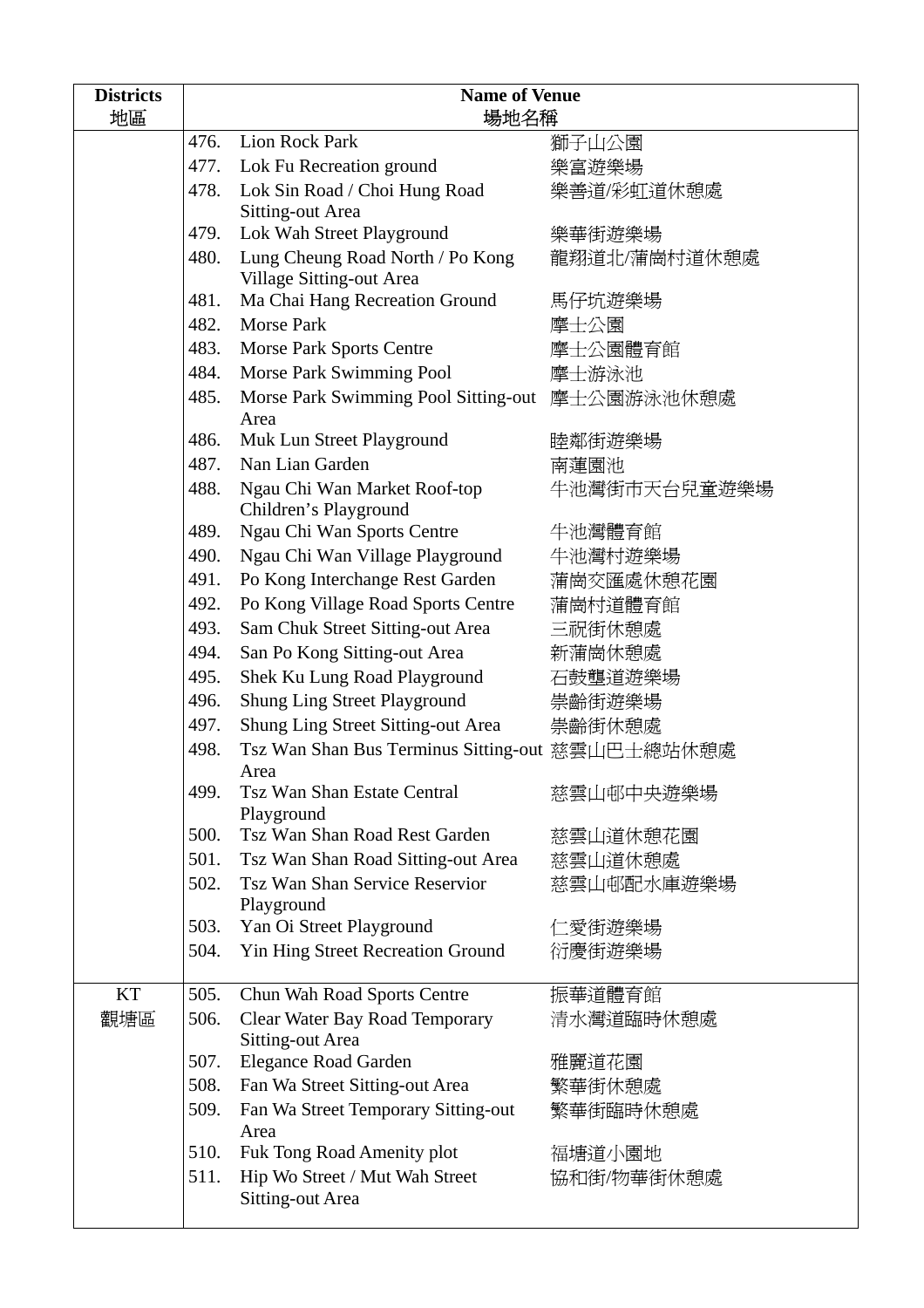| <b>Districts</b><br>地區 | <b>Name of Venue</b><br>場地名稱 |                                                           |              |
|------------------------|------------------------------|-----------------------------------------------------------|--------------|
|                        | 476.                         | <b>Lion Rock Park</b>                                     | 獅子山公園        |
|                        | 477.                         | Lok Fu Recreation ground                                  | 樂富遊樂場        |
|                        | 478.                         | Lok Sin Road / Choi Hung Road<br><b>Sitting-out Area</b>  | 樂善道/彩虹道休憩處   |
|                        | 479.                         | Lok Wah Street Playground                                 | 樂華街遊樂場       |
|                        | 480.                         | Lung Cheung Road North / Po Kong                          | 龍翔道北/蒲崗村道休憩處 |
|                        |                              | Village Sitting-out Area                                  |              |
|                        | 481.                         | Ma Chai Hang Recreation Ground                            | 馬仔坑遊樂場       |
|                        | 482.                         | Morse Park                                                | 摩士公園         |
|                        | 483.                         | Morse Park Sports Centre                                  | 摩士公園體育館      |
|                        | 484.                         | Morse Park Swimming Pool                                  | 摩士游泳池        |
|                        | 485.                         | Morse Park Swimming Pool Sitting-out 摩士公園游泳池休憩處<br>Area   |              |
|                        | 486.                         | Muk Lun Street Playground                                 | 睦鄰街遊樂場       |
|                        | 487.                         | Nan Lian Garden                                           | 南蓮園池         |
|                        | 488.                         | Ngau Chi Wan Market Roof-top<br>Children's Playground     | 牛池灣街市天台兒童遊樂場 |
|                        | 489.                         | Ngau Chi Wan Sports Centre                                | 牛池灣體育館       |
|                        | 490.                         | Ngau Chi Wan Village Playground                           | 牛池灣村遊樂場      |
|                        | 491.                         | Po Kong Interchange Rest Garden                           | 蒲崗交匯處休憩花園    |
|                        | 492.                         | Po Kong Village Road Sports Centre                        | 蒲崗村道體育館      |
|                        | 493.                         | Sam Chuk Street Sitting-out Area                          | 三祝街休憩處       |
|                        | 494.                         | San Po Kong Sitting-out Area                              | 新蒲崗休憩處       |
|                        | 495.                         | Shek Ku Lung Road Playground                              | 石鼓壟道遊樂場      |
|                        | 496.                         | <b>Shung Ling Street Playground</b>                       | 崇齡街遊樂場       |
|                        | 497.                         | <b>Shung Ling Street Sitting-out Area</b>                 | 崇齡街休憩處       |
|                        | 498.                         | Tsz Wan Shan Bus Terminus Sitting-out 慈雲山巴士總站休憩處          |              |
|                        | 499.                         | Area<br>Tsz Wan Shan Estate Central<br>Playground         | 慈雲山邨中央遊樂場    |
|                        | 500.                         | Tsz Wan Shan Road Rest Garden                             | 慈雲山道休憩花園     |
|                        | 501.                         | Tsz Wan Shan Road Sitting-out Area                        | 慈雲山道休憩處      |
|                        | 502.                         | Tsz Wan Shan Service Reservior<br>Playground              | 慈雲山邨配水庫遊樂場   |
|                        | 503.                         | Yan Oi Street Playground                                  | 仁愛街遊樂場       |
|                        | 504.                         | Yin Hing Street Recreation Ground                         | 衍慶街遊樂場       |
| KT                     | 505.                         | Chun Wah Road Sports Centre                               | 振華道體育館       |
| 觀塘區                    | 506.                         | Clear Water Bay Road Temporary<br><b>Sitting-out Area</b> | 清水灣道臨時休憩處    |
|                        | 507.                         | <b>Elegance Road Garden</b>                               | 雅麗道花園        |
|                        | 508.                         | Fan Wa Street Sitting-out Area                            | 繁華街休憩處       |
|                        | 509.                         | Fan Wa Street Temporary Sitting-out<br>Area               | 繁華街臨時休憩處     |
|                        | 510.                         | Fuk Tong Road Amenity plot                                | 福塘道小園地       |
|                        | 511.                         | Hip Wo Street / Mut Wah Street                            | 協和街/物華街休憩處   |
|                        |                              | <b>Sitting-out Area</b>                                   |              |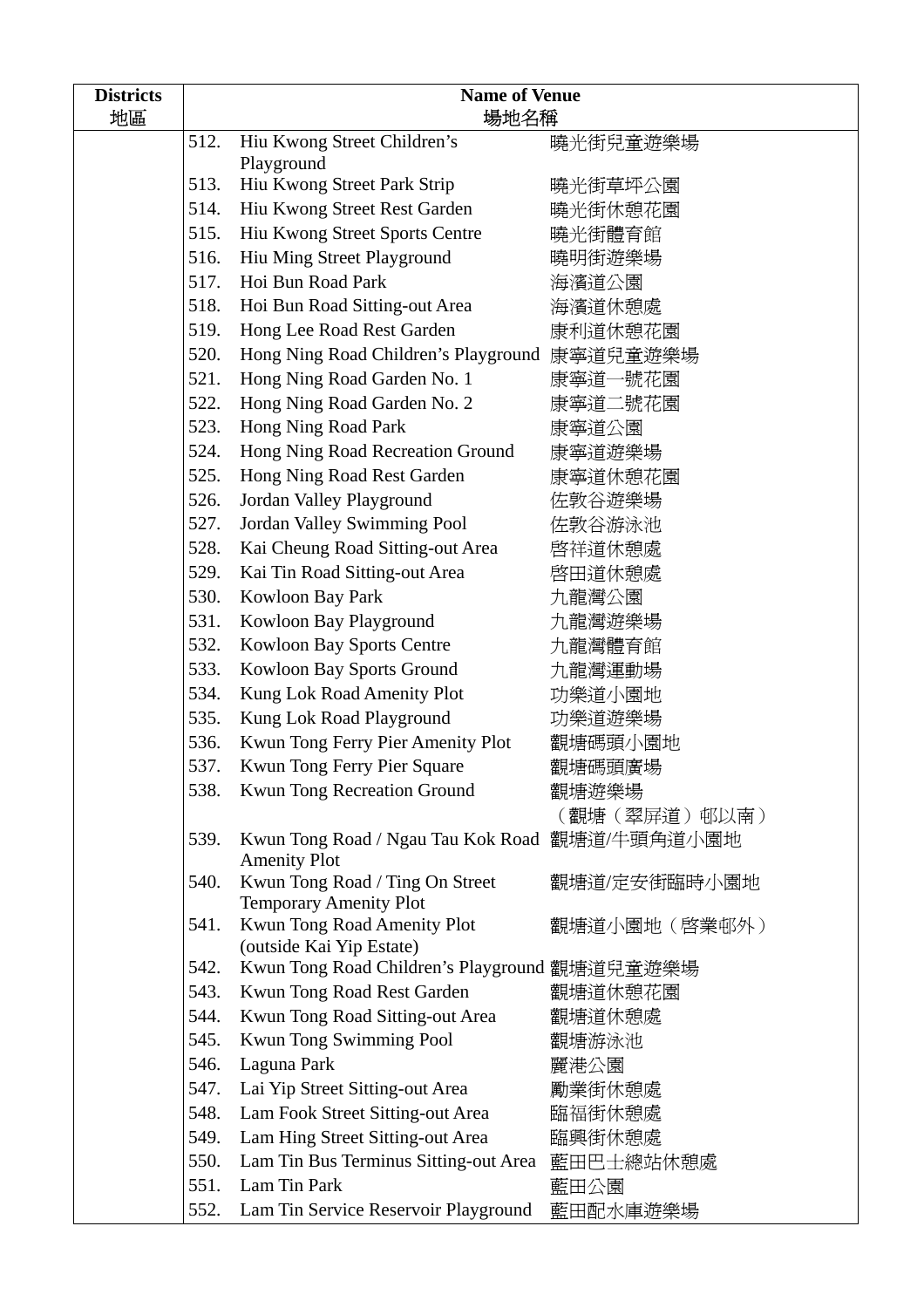| <b>Districts</b><br>地區 | <b>Name of Venue</b><br>場地名稱 |                                                                       |              |
|------------------------|------------------------------|-----------------------------------------------------------------------|--------------|
|                        | 512.                         | Hiu Kwong Street Children's                                           | 曉光街兒童遊樂場     |
|                        |                              | Playground                                                            |              |
|                        | 513.                         | Hiu Kwong Street Park Strip                                           | 曉光街草坪公園      |
|                        | 514.                         | Hiu Kwong Street Rest Garden                                          | 曉光街休憩花園      |
|                        | 515.                         | Hiu Kwong Street Sports Centre                                        | 曉光街體育館       |
|                        | 516.                         | Hiu Ming Street Playground                                            | 曉明街遊樂場       |
|                        | 517.                         | Hoi Bun Road Park                                                     | 海濱道公園        |
|                        | 518.                         | Hoi Bun Road Sitting-out Area                                         | 海濱道休憩處       |
|                        | 519.                         | Hong Lee Road Rest Garden                                             | 康利道休憩花園      |
|                        | 520.                         | Hong Ning Road Children's Playground                                  | 康寧道兒童遊樂場     |
|                        | 521.                         | Hong Ning Road Garden No. 1                                           | 康寧道一號花園      |
|                        | 522.                         | Hong Ning Road Garden No. 2                                           | 康寧道二號花園      |
|                        | 523.                         | Hong Ning Road Park                                                   | 康寧道公園        |
|                        | 524.                         | Hong Ning Road Recreation Ground                                      | 康寧道遊樂場       |
|                        | 525.                         | Hong Ning Road Rest Garden                                            | 康寧道休憩花園      |
|                        | 526.                         | Jordan Valley Playground                                              | 佐敦谷遊樂場       |
|                        | 527.                         | Jordan Valley Swimming Pool                                           | 佐敦谷游泳池       |
|                        | 528.                         | Kai Cheung Road Sitting-out Area                                      | 啓祥道休憩處       |
|                        | 529.                         | Kai Tin Road Sitting-out Area                                         | 啓田道休憩處       |
|                        | 530.                         | Kowloon Bay Park                                                      | 九龍灣公園        |
|                        | 531.                         | Kowloon Bay Playground                                                | 九龍灣遊樂場       |
|                        | 532.                         | <b>Kowloon Bay Sports Centre</b>                                      | 九龍灣體育館       |
|                        | 533.                         | Kowloon Bay Sports Ground                                             | 九龍灣運動場       |
|                        | 534.                         | Kung Lok Road Amenity Plot                                            | 功樂道小園地       |
|                        | 535.                         | Kung Lok Road Playground                                              | 功樂道遊樂場       |
|                        | 536.                         | Kwun Tong Ferry Pier Amenity Plot                                     | 觀塘碼頭小園地      |
|                        | 537.                         | Kwun Tong Ferry Pier Square                                           | 觀塘碼頭廣場       |
|                        | 538.                         | Kwun Tong Recreation Ground                                           | 觀塘遊樂場        |
|                        |                              |                                                                       | (觀塘(翠屏道)邨以南) |
|                        | 539.                         | Kwun Tong Road / Ngau Tau Kok Road 觀塘道/牛頭角道小園地<br><b>Amenity Plot</b> |              |
|                        | 540.                         | Kwun Tong Road / Ting On Street<br><b>Temporary Amenity Plot</b>      | 觀塘道/定安街臨時小園地 |
|                        | 541.                         | Kwun Tong Road Amenity Plot                                           | 觀塘道小園地(啓業邨外) |
|                        |                              | (outside Kai Yip Estate)                                              |              |
|                        | 542.                         | Kwun Tong Road Children's Playground 觀塘道兒童遊樂場                         |              |
|                        | 543.                         | Kwun Tong Road Rest Garden                                            | 觀塘道休憩花園      |
|                        | 544.                         | Kwun Tong Road Sitting-out Area                                       | 觀塘道休憩處       |
|                        | 545.                         | Kwun Tong Swimming Pool                                               | 觀塘游泳池        |
|                        | 546.                         | Laguna Park                                                           | 麗港公園         |
|                        | 547.                         | Lai Yip Street Sitting-out Area                                       | 勵業街休憩處       |
|                        | 548.                         | Lam Fook Street Sitting-out Area                                      | 臨福街休憩處       |
|                        | 549.                         | Lam Hing Street Sitting-out Area                                      | 臨興街休憩處       |
|                        | 550.                         | Lam Tin Bus Terminus Sitting-out Area                                 | 藍田巴士總站休憩處    |
|                        | 551.                         | Lam Tin Park                                                          | 藍田公園         |
|                        | 552.                         | Lam Tin Service Reservoir Playground                                  | 藍田配水庫遊樂場     |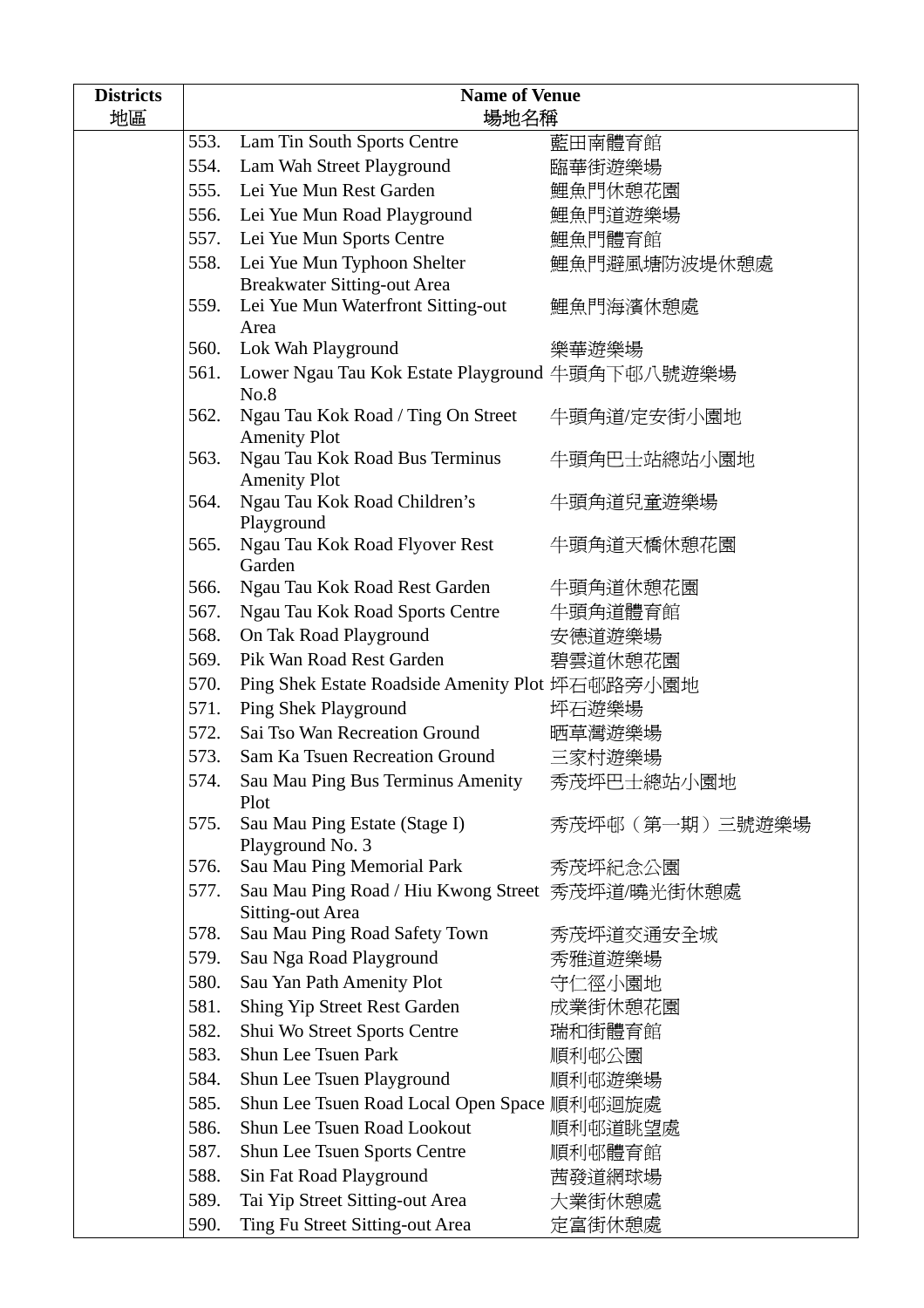| <b>Districts</b><br>地區 | <b>Name of Venue</b><br>場地名稱 |                                                                             |                |
|------------------------|------------------------------|-----------------------------------------------------------------------------|----------------|
|                        | 553.                         | Lam Tin South Sports Centre                                                 | 藍田南體育館         |
|                        | 554.                         | Lam Wah Street Playground                                                   | 臨華街遊樂場         |
|                        |                              | 555. Lei Yue Mun Rest Garden                                                | 鯉魚門休憩花園        |
|                        |                              | 556. Lei Yue Mun Road Playground                                            | 鯉魚門道遊樂場        |
|                        |                              | 557. Lei Yue Mun Sports Centre                                              | 鯉魚門體育館         |
|                        | 558.                         | Lei Yue Mun Typhoon Shelter                                                 | 鯉魚門避風塘防波堤休憩處   |
|                        |                              | <b>Breakwater Sitting-out Area</b>                                          |                |
|                        | 559.                         | Lei Yue Mun Waterfront Sitting-out                                          | 鯉魚門海濱休憩處       |
|                        |                              | Area                                                                        |                |
|                        | 560.                         | Lok Wah Playground                                                          | 樂華遊樂場          |
|                        | 561.                         | Lower Ngau Tau Kok Estate Playground 牛頭角下邨八號遊樂場<br>No.8                     |                |
|                        | 562.                         | Ngau Tau Kok Road / Ting On Street<br><b>Amenity Plot</b>                   | 牛頭角道/定安街小園地    |
|                        | 563.                         | Ngau Tau Kok Road Bus Terminus<br><b>Amenity Plot</b>                       | 牛頭角巴士站總站小園地    |
|                        | 564.                         | Ngau Tau Kok Road Children's<br>Playground                                  | 牛頭角道兒童遊樂場      |
|                        | 565.                         | Ngau Tau Kok Road Flyover Rest<br>Garden                                    | 牛頭角道天橋休憩花園     |
|                        | 566.                         | Ngau Tau Kok Road Rest Garden                                               | 牛頭角道休憩花園       |
|                        | 567.                         | Ngau Tau Kok Road Sports Centre                                             | 牛頭角道體育館        |
|                        | 568.                         | On Tak Road Playground                                                      | 安德道遊樂場         |
|                        | 569.                         | Pik Wan Road Rest Garden                                                    | 碧雲道休憩花園        |
|                        | 570.                         | Ping Shek Estate Roadside Amenity Plot 坪石邨路旁小園地                             |                |
|                        | 571.                         | Ping Shek Playground                                                        | 坪石遊樂場          |
|                        | 572.                         | Sai Tso Wan Recreation Ground                                               | 晒草灣遊樂場         |
|                        | 573.                         | Sam Ka Tsuen Recreation Ground                                              | 三家村遊樂場         |
|                        | 574.                         | Sau Mau Ping Bus Terminus Amenity<br>Plot                                   | 秀茂坪巴士總站小園地     |
|                        | 575.                         | Sau Mau Ping Estate (Stage I)<br>Playground No. 3                           | 秀茂坪邨(第一期)三號遊樂場 |
|                        | 576.                         | Sau Mau Ping Memorial Park                                                  | 秀茂坪紀念公園        |
|                        | 577.                         | Sau Mau Ping Road / Hiu Kwong Street 秀茂坪道/曉光街休憩處<br><b>Sitting-out Area</b> |                |
|                        | 578.                         | Sau Mau Ping Road Safety Town                                               | 秀茂坪道交通安全城      |
|                        | 579.                         | Sau Nga Road Playground                                                     | 秀雅道遊樂場         |
|                        | 580.                         | Sau Yan Path Amenity Plot                                                   | 守仁徑小園地         |
|                        | 581.                         | Shing Yip Street Rest Garden                                                | 成業街休憩花園        |
|                        | 582.                         | Shui Wo Street Sports Centre                                                | 瑞和街體育館         |
|                        | 583.                         | <b>Shun Lee Tsuen Park</b>                                                  | 順利邨公園          |
|                        | 584.                         | Shun Lee Tsuen Playground                                                   | 順利邨遊樂場         |
|                        | 585.                         | Shun Lee Tsuen Road Local Open Space 順利邨迴旋處                                 |                |
|                        | 586.                         | Shun Lee Tsuen Road Lookout                                                 | 順利邨道眺望處        |
|                        | 587.                         | <b>Shun Lee Tsuen Sports Centre</b>                                         | 順利邨體育館         |
|                        | 588.                         | Sin Fat Road Playground                                                     | 茜發道網球場         |
|                        | 589.                         | Tai Yip Street Sitting-out Area                                             | 大業街休憩處         |
|                        | 590.                         | Ting Fu Street Sitting-out Area                                             | 定富街休憩處         |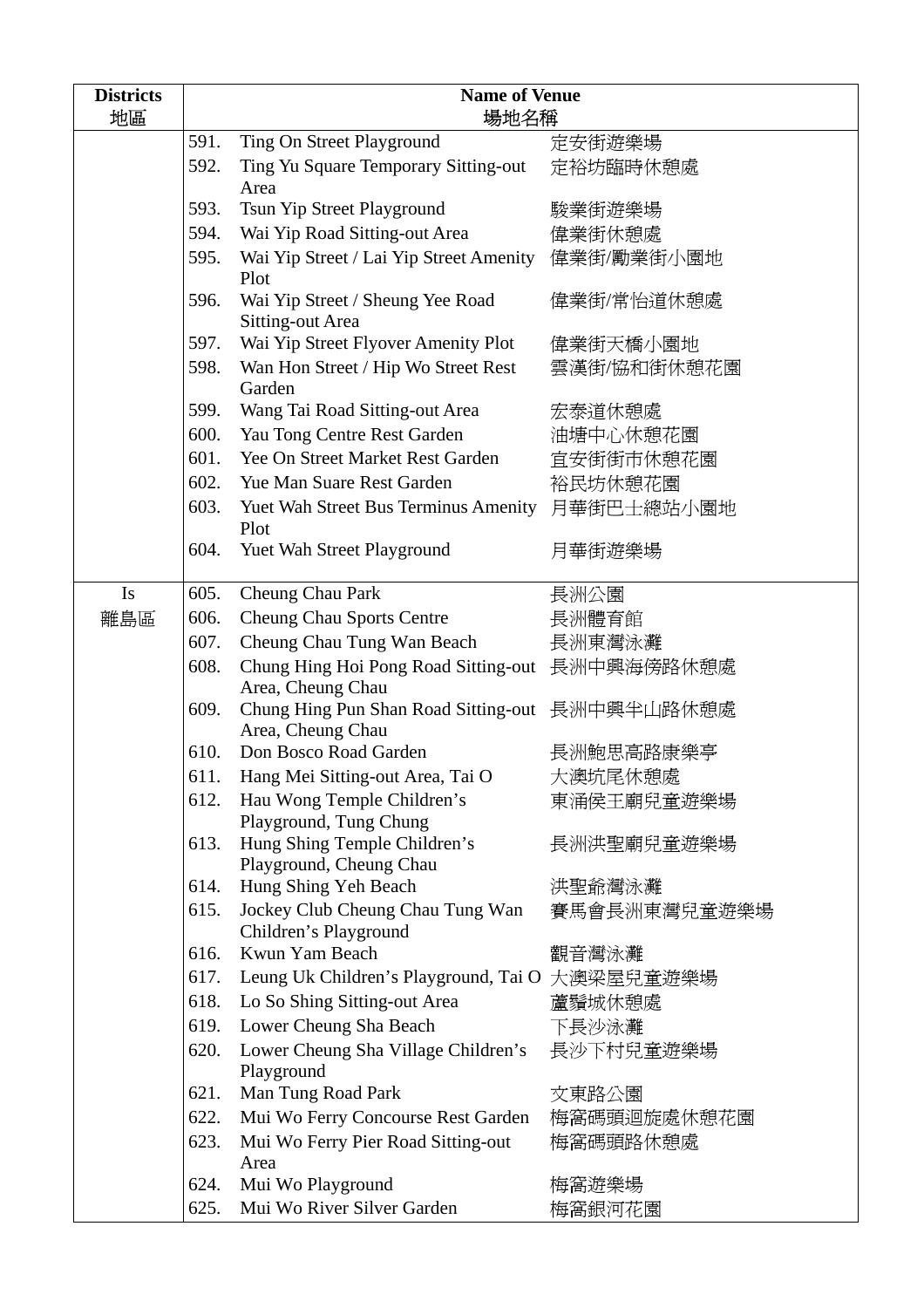| <b>Districts</b> | <b>Name of Venue</b> |                                                                      |              |
|------------------|----------------------|----------------------------------------------------------------------|--------------|
| 地區               |                      | 場地名稱                                                                 |              |
|                  | 591.                 | Ting On Street Playground                                            | 定安街遊樂場       |
|                  | 592.                 | Ting Yu Square Temporary Sitting-out<br>Area                         | 定裕坊臨時休憩處     |
|                  | 593.                 | Tsun Yip Street Playground                                           | 駿業街遊樂場       |
|                  | 594.                 | Wai Yip Road Sitting-out Area                                        | 偉業街休憩處       |
|                  | 595.                 | Wai Yip Street / Lai Yip Street Amenity 偉業街/勵業街小園地<br>Plot           |              |
|                  | 596.                 | Wai Yip Street / Sheung Yee Road<br>Sitting-out Area                 | 偉業街/常怡道休憩處   |
|                  | 597.                 | Wai Yip Street Flyover Amenity Plot                                  | 偉業街天橋小園地     |
|                  | 598.                 | Wan Hon Street / Hip Wo Street Rest<br>Garden                        | 雲漢街/協和街休憩花園  |
|                  | 599.                 | Wang Tai Road Sitting-out Area                                       | 宏泰道休憩處       |
|                  | 600.                 | Yau Tong Centre Rest Garden                                          | 油塘中心休憩花園     |
|                  | 601.                 | Yee On Street Market Rest Garden                                     | 宜安街街市休憩花園    |
|                  | 602.                 | Yue Man Suare Rest Garden                                            | 裕民坊休憩花園      |
|                  | 603.                 | Yuet Wah Street Bus Terminus Amenity 月華街巴士總站小園地<br>Plot              |              |
|                  | 604.                 | Yuet Wah Street Playground                                           | 月華街遊樂場       |
| <b>Is</b>        | 605.                 | Cheung Chau Park                                                     | 長洲公園         |
| 離島區              | 606.                 | <b>Cheung Chau Sports Centre</b>                                     | 長洲體育館        |
|                  | 607.                 | Cheung Chau Tung Wan Beach                                           | 長洲東灣泳灘       |
|                  | 608.                 | Chung Hing Hoi Pong Road Sitting-out 長洲中興海傍路休憩處<br>Area, Cheung Chau |              |
|                  | 609.                 | Chung Hing Pun Shan Road Sitting-out 長洲中興半山路休憩處<br>Area, Cheung Chau |              |
|                  | 610.                 | Don Bosco Road Garden                                                | 長洲鮑思高路康樂亭    |
|                  | 611.                 | Hang Mei Sitting-out Area, Tai O                                     | 大澳坑尾休憩處      |
|                  | 612.                 | Hau Wong Temple Children's<br>Playground, Tung Chung                 | 東涌侯王廟兒童遊樂場   |
|                  | 613.                 | Hung Shing Temple Children's<br>Playground, Cheung Chau              | 長洲洪聖廟兒童遊樂場   |
|                  | 614.                 | Hung Shing Yeh Beach                                                 | 洪聖爺灣泳灘       |
|                  | 615.                 | Jockey Club Cheung Chau Tung Wan<br>Children's Playground            | 賽馬會長洲東灣兒童遊樂場 |
|                  | 616.                 | Kwun Yam Beach                                                       | 觀音灣泳灘        |
|                  | 617.                 | Leung Uk Children's Playground, Tai O 大澳梁屋兒童遊樂場                      |              |
|                  | 618.                 | Lo So Shing Sitting-out Area                                         | 蘆鬚城休憩處       |
|                  | 619.                 | Lower Cheung Sha Beach                                               | 下長沙泳灘        |
|                  | 620.                 | Lower Cheung Sha Village Children's<br>Playground                    | 長沙下村兒童遊樂場    |
|                  | 621.                 | Man Tung Road Park                                                   | 文東路公園        |
|                  | 622.                 | Mui Wo Ferry Concourse Rest Garden                                   | 梅窩碼頭迴旋處休憩花園  |
|                  | 623.                 | Mui Wo Ferry Pier Road Sitting-out<br>Area                           | 梅窩碼頭路休憩處     |
|                  | 624.                 | Mui Wo Playground                                                    | 梅窩遊樂場        |
|                  | 625.                 | Mui Wo River Silver Garden                                           | 梅窩銀河花園       |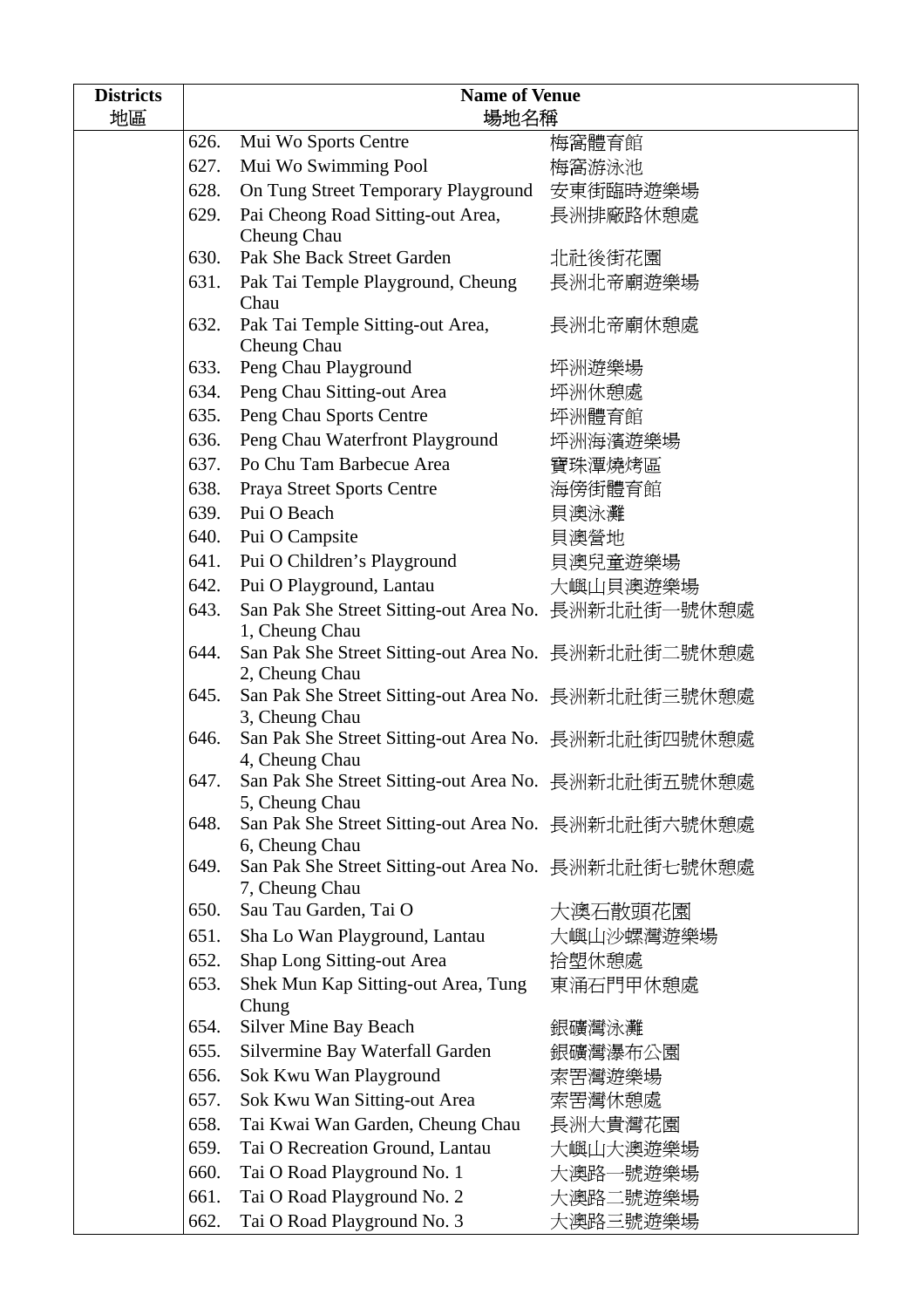| <b>Districts</b> | <b>Name of Venue</b> |                                                                       |           |  |
|------------------|----------------------|-----------------------------------------------------------------------|-----------|--|
| 地區               |                      | 場地名稱                                                                  |           |  |
|                  | 626.                 | Mui Wo Sports Centre                                                  | 梅窩體育館     |  |
|                  | 627.                 | Mui Wo Swimming Pool                                                  | 梅窩游泳池     |  |
|                  | 628.                 | On Tung Street Temporary Playground 安東街臨時遊樂場                          |           |  |
|                  | 629.                 | Pai Cheong Road Sitting-out Area,                                     | 長洲排廠路休憩處  |  |
|                  |                      | Cheung Chau                                                           |           |  |
|                  | 630.                 | Pak She Back Street Garden                                            | 北社後街花園    |  |
|                  | 631.                 | Pak Tai Temple Playground, Cheung                                     | 長洲北帝廟遊樂場  |  |
|                  |                      | Chau                                                                  |           |  |
|                  | 632.                 | Pak Tai Temple Sitting-out Area,<br>Cheung Chau                       | 長洲北帝廟休憩處  |  |
|                  | 633.                 | Peng Chau Playground                                                  | 坪洲遊樂場     |  |
|                  | 634.                 | Peng Chau Sitting-out Area                                            | 坪洲休憩處     |  |
|                  | 635.                 | Peng Chau Sports Centre                                               | 坪洲體育館     |  |
|                  | 636.                 | Peng Chau Waterfront Playground                                       | 坪洲海濱遊樂場   |  |
|                  | 637.                 | Po Chu Tam Barbecue Area                                              | 寶珠潭燒烤區    |  |
|                  | 638.                 | Praya Street Sports Centre                                            | 海傍街體育館    |  |
|                  | 639.                 | Pui O Beach                                                           | 貝澳泳灘      |  |
|                  | 640.                 | Pui O Campsite                                                        | 貝澳營地      |  |
|                  | 641.                 | Pui O Children's Playground                                           | 貝澳兒童遊樂場   |  |
|                  | 642.                 | Pui O Playground, Lantau                                              | 大嶼山貝澳遊樂場  |  |
|                  | 643.                 | San Pak She Street Sitting-out Area No. 長洲新北社街一號休憩處                   |           |  |
|                  |                      | 1, Cheung Chau                                                        |           |  |
|                  | 644.                 | San Pak She Street Sitting-out Area No. 長洲新北社街二號休憩處                   |           |  |
|                  |                      | 2, Cheung Chau                                                        |           |  |
|                  | 645.                 | San Pak She Street Sitting-out Area No. 長洲新北社街三號休憩處                   |           |  |
|                  | 646.                 | 3, Cheung Chau<br>San Pak She Street Sitting-out Area No. 長洲新北社街四號休憩處 |           |  |
|                  |                      | 4, Cheung Chau                                                        |           |  |
|                  | 647.                 | San Pak She Street Sitting-out Area No. 長洲新北社街五號休憩處                   |           |  |
|                  |                      | 5, Cheung Chau                                                        |           |  |
|                  | 648.                 | San Pak She Street Sitting-out Area No. 長洲新北社街六號休憩處                   |           |  |
|                  |                      | 6, Cheung Chau                                                        |           |  |
|                  | 649.                 | San Pak She Street Sitting-out Area No. 長洲新北社街七號休憩處<br>7, Cheung Chau |           |  |
|                  | 650.                 | Sau Tau Garden, Tai O                                                 | 大澳石散頭花園   |  |
|                  | 651.                 | Sha Lo Wan Playground, Lantau                                         | 大嶼山沙螺灣遊樂場 |  |
|                  | 652.                 | Shap Long Sitting-out Area                                            | 拾塱休憩處     |  |
|                  | 653.                 | Shek Mun Kap Sitting-out Area, Tung                                   | 東涌石門甲休憩處  |  |
|                  |                      | Chung                                                                 |           |  |
|                  | 654.                 | <b>Silver Mine Bay Beach</b>                                          | 銀礦灣泳灘     |  |
|                  | 655.                 | Silvermine Bay Waterfall Garden                                       | 銀礦灣瀑布公園   |  |
|                  | 656.                 | Sok Kwu Wan Playground                                                | 索罟灣遊樂場    |  |
|                  | 657.                 | Sok Kwu Wan Sitting-out Area                                          | 索罟灣休憩處    |  |
|                  | 658.                 | Tai Kwai Wan Garden, Cheung Chau                                      | 長洲大貴灣花園   |  |
|                  | 659.                 | Tai O Recreation Ground, Lantau                                       | 大嶼山大澳遊樂場  |  |
|                  | 660.                 | Tai O Road Playground No. 1                                           | 大澳路一號遊樂場  |  |
|                  | 661.                 | Tai O Road Playground No. 2                                           | 大澳路二號遊樂場  |  |
|                  | 662.                 | Tai O Road Playground No. 3                                           | 大澳路三號遊樂場  |  |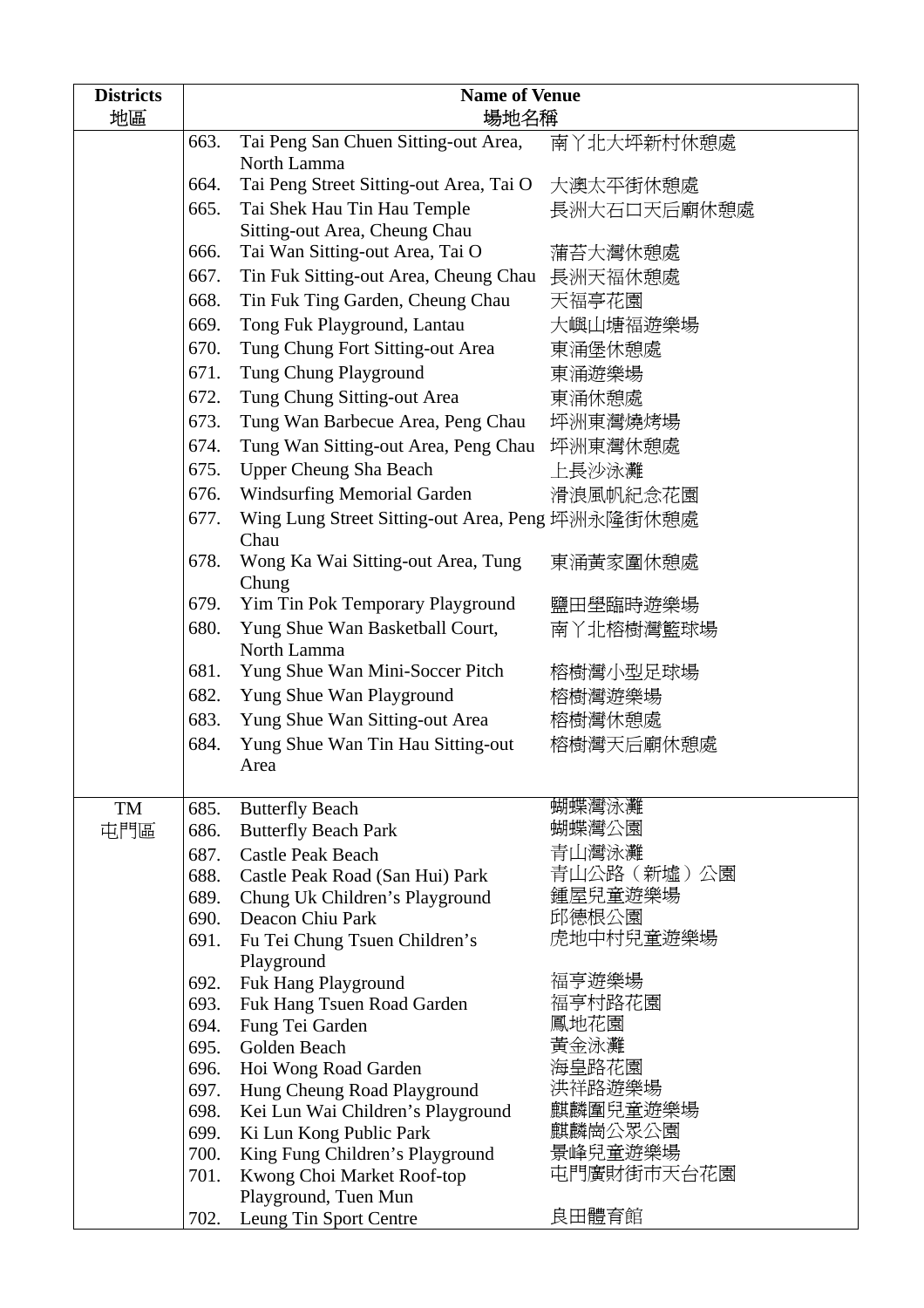| <b>Districts</b><br>地區 |              | <b>Name of Venue</b><br>場地名稱                               |                     |  |
|------------------------|--------------|------------------------------------------------------------|---------------------|--|
|                        | 663.         | Tai Peng San Chuen Sitting-out Area,<br>North Lamma        | 南丫北大坪新村休憩處          |  |
|                        | 664.         | Tai Peng Street Sitting-out Area, Tai O                    | 大澳太平街休憩處            |  |
|                        | 665.         | Tai Shek Hau Tin Hau Temple                                | 長洲大石口天后廟休憩處         |  |
|                        |              | Sitting-out Area, Cheung Chau                              |                     |  |
|                        | 666.         | Tai Wan Sitting-out Area, Tai O                            | 蒲苔大灣休憩處             |  |
|                        | 667.         | Tin Fuk Sitting-out Area, Cheung Chau 長洲天福休憩處              |                     |  |
|                        | 668.         | Tin Fuk Ting Garden, Cheung Chau                           | 天福亭花園               |  |
|                        | 669.         | Tong Fuk Playground, Lantau                                | 大嶼山塘福遊樂場            |  |
|                        | 670.         | Tung Chung Fort Sitting-out Area                           | 東涌堡休憩處              |  |
|                        | 671.         | Tung Chung Playground                                      | 東涌遊樂場               |  |
|                        | 672.         | Tung Chung Sitting-out Area                                | 東涌休憩處               |  |
|                        | 673.         | Tung Wan Barbecue Area, Peng Chau                          | 坪洲東灣燒烤場             |  |
|                        | 674.         | Tung Wan Sitting-out Area, Peng Chau                       | 坪洲東灣休憩處             |  |
|                        | 675.         | <b>Upper Cheung Sha Beach</b>                              | 上長沙泳灘               |  |
|                        | 676.         | <b>Windsurfing Memorial Garden</b>                         | 滑浪風帆紀念花園            |  |
|                        | 677.         | Wing Lung Street Sitting-out Area, Peng 坪洲永隆街休憩處<br>Chau   |                     |  |
|                        | 678.         | Wong Ka Wai Sitting-out Area, Tung<br>Chung                | 東涌黃家圍休憩處            |  |
|                        | 679.         | Yim Tin Pok Temporary Playground                           | 鹽田壆臨時遊樂場            |  |
|                        | 680.         | Yung Shue Wan Basketball Court,<br>North Lamma             | 南丫北榕樹灣籃球場           |  |
|                        | 681.         | Yung Shue Wan Mini-Soccer Pitch                            | 榕樹灣小型足球場            |  |
|                        | 682.         | Yung Shue Wan Playground                                   | 榕樹灣遊樂場              |  |
|                        | 683.         | Yung Shue Wan Sitting-out Area                             | 榕樹灣休憩處              |  |
|                        | 684.         | Yung Shue Wan Tin Hau Sitting-out<br>Area                  | 榕樹灣天后廟休憩處           |  |
| TM                     | 685.         | <b>Butterfly Beach</b>                                     | 蝴蝶灣泳灘               |  |
| 屯門區                    | 686.         | <b>Butterfly Beach Park</b>                                | 蝴蝶灣公園               |  |
|                        | 687.         | <b>Castle Peak Beach</b>                                   | 青山灣泳灘               |  |
|                        | 688.         | Castle Peak Road (San Hui) Park                            | 青山公路(新墟)公園          |  |
|                        | 689.         | Chung Uk Children's Playground                             | 鍾屋兒童遊樂場             |  |
|                        | 690.<br>691. | Deacon Chiu Park                                           | 邱德根公園<br>虎地中村兒童遊樂場  |  |
|                        |              | Fu Tei Chung Tsuen Children's<br>Playground                |                     |  |
|                        | 692.         | Fuk Hang Playground                                        | 福亨遊樂場               |  |
|                        | 693.         | Fuk Hang Tsuen Road Garden                                 | 福亨村路花園              |  |
|                        | 694.         | Fung Tei Garden                                            | 鳳地花園                |  |
|                        | 695.         | Golden Beach                                               | 黃金泳灘                |  |
|                        | 696.         | Hoi Wong Road Garden                                       | 海皇路花園               |  |
|                        | 697.         | Hung Cheung Road Playground                                | 洪祥路遊樂場              |  |
|                        | 698.         | Kei Lun Wai Children's Playground                          | 麒麟圍兒童遊樂場<br>麒麟崗公眾公園 |  |
|                        | 699.<br>700. | Ki Lun Kong Public Park<br>King Fung Children's Playground | 景峰兒童遊樂場             |  |
|                        | 701.         | Kwong Choi Market Roof-top                                 | 屯門廣財街市天台花園          |  |
|                        |              | Playground, Tuen Mun                                       |                     |  |
|                        | 702.         | Leung Tin Sport Centre                                     | 良田體育館               |  |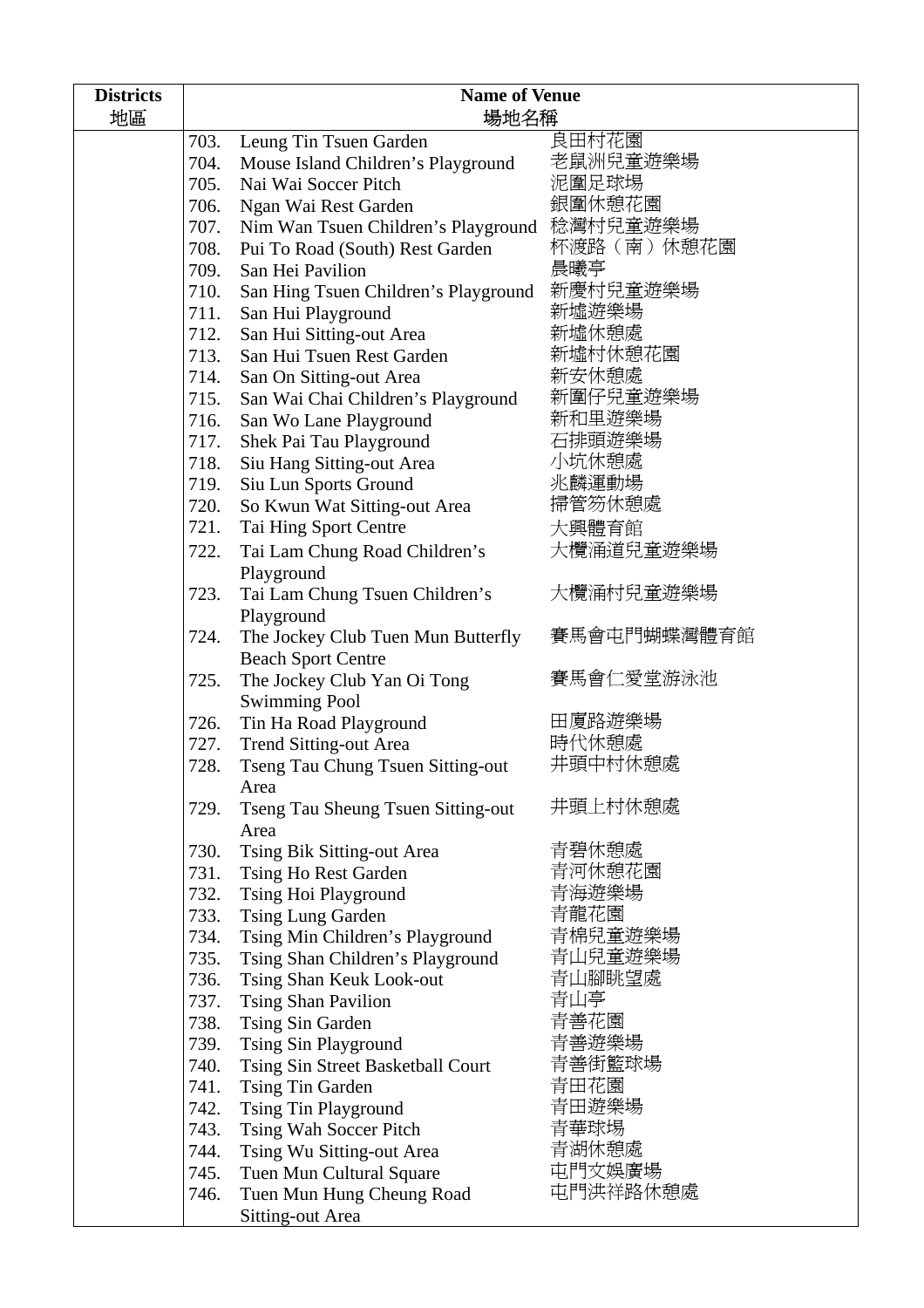| <b>Districts</b> | <b>Name of Venue</b> |                                           |             |
|------------------|----------------------|-------------------------------------------|-------------|
| 地區               |                      | 場地名稱                                      |             |
|                  | 703.                 | Leung Tin Tsuen Garden                    | 良田村花園       |
|                  | 704.                 | Mouse Island Children's Playground        | 老鼠洲兒童遊樂場    |
|                  | 705.                 | Nai Wai Soccer Pitch                      | 泥圍足球場       |
|                  | 706.                 | Ngan Wai Rest Garden                      | 銀圍休憩花園      |
|                  | 707.                 | Nim Wan Tsuen Children's Playground       | 稔灣村兒童遊樂場    |
|                  | 708.                 | Pui To Road (South) Rest Garden           | 杯渡路(南)休憩花園  |
|                  | 709.                 | San Hei Pavilion                          | 晨曦亭         |
|                  | 710.                 | San Hing Tsuen Children's Playground      | 新慶村兒童遊樂場    |
|                  | 711.                 | San Hui Playground                        | 新墟遊樂場       |
|                  | 712.                 | San Hui Sitting-out Area                  | 新墟休憩處       |
|                  | 713.                 | San Hui Tsuen Rest Garden                 | 新墟村休憩花園     |
|                  | 714.                 | San On Sitting-out Area                   | 新安休憩處       |
|                  | 715.                 | San Wai Chai Children's Playground        | 新圍仔兒童遊樂場    |
|                  | 716.                 | San Wo Lane Playground                    | 新和里遊樂場      |
|                  | 717.                 | Shek Pai Tau Playground                   | 石排頭遊樂場      |
|                  | 718.                 | Siu Hang Sitting-out Area                 | 小坑休憩處       |
|                  | 719.                 | Siu Lun Sports Ground                     | 兆麟運動場       |
|                  | 720.                 | So Kwun Wat Sitting-out Area              | 掃管笏休憩處      |
|                  | 721.                 | Tai Hing Sport Centre                     | 大興體育館       |
|                  | 722.                 | Tai Lam Chung Road Children's             | 大欖涌道兒童遊樂場   |
|                  |                      | Playground                                |             |
|                  | 723.                 | Tai Lam Chung Tsuen Children's            | 大欖涌村兒童遊樂場   |
|                  |                      | Playground                                |             |
|                  | 724.                 | The Jockey Club Tuen Mun Butterfly        | 賽馬會屯門蝴蝶灣體育館 |
|                  |                      | <b>Beach Sport Centre</b>                 |             |
|                  | 725.                 | The Jockey Club Yan Oi Tong               | 賽馬會仁愛堂游泳池   |
|                  |                      | <b>Swimming Pool</b>                      |             |
|                  | 726.                 | Tin Ha Road Playground                    | 田廈路遊樂場      |
|                  | 727.                 | <b>Trend Sitting-out Area</b>             | 時代休憩處       |
|                  | 728.                 | <b>Tseng Tau Chung Tsuen Sitting-out</b>  | 井頭中村休憩處     |
|                  |                      | Area                                      |             |
|                  | 729.                 | <b>Tseng Tau Sheung Tsuen Sitting-out</b> | 井頭上村休憩處     |
|                  |                      | Area                                      |             |
|                  | 730.                 | Tsing Bik Sitting-out Area                | 青碧休憩處       |
|                  | 731.                 | Tsing Ho Rest Garden                      | 青河休憩花園      |
|                  | 732.                 | Tsing Hoi Playground                      | 青海遊樂場       |
|                  | 733.                 | Tsing Lung Garden                         | 青龍花園        |
|                  | 734.                 | Tsing Min Children's Playground           | 青棉兒童遊樂場     |
|                  | 735.                 | Tsing Shan Children's Playground          | 青山兒童遊樂場     |
|                  | 736.                 | Tsing Shan Keuk Look-out                  | 青山腳眺望處      |
|                  | 737.                 | <b>Tsing Shan Pavilion</b>                | 青山亭         |
|                  | 738.                 | Tsing Sin Garden                          | 青善花園        |
|                  | 739.                 | <b>Tsing Sin Playground</b>               | 青善遊樂場       |
|                  | 740.                 | Tsing Sin Street Basketball Court         | 青善街籃球場      |
|                  | 741.                 | Tsing Tin Garden                          | 青田花園        |
|                  | 742.                 | <b>Tsing Tin Playground</b>               | 青田遊樂場       |
|                  | 743.                 | Tsing Wah Soccer Pitch                    | 青華球場        |
|                  | 744.                 | Tsing Wu Sitting-out Area                 | 青湖休憩處       |
|                  | 745.                 | Tuen Mun Cultural Square                  | 屯門文娛廣場      |
|                  | 746.                 | Tuen Mun Hung Cheung Road                 | 屯門洪祥路休憩處    |
|                  |                      | <b>Sitting-out Area</b>                   |             |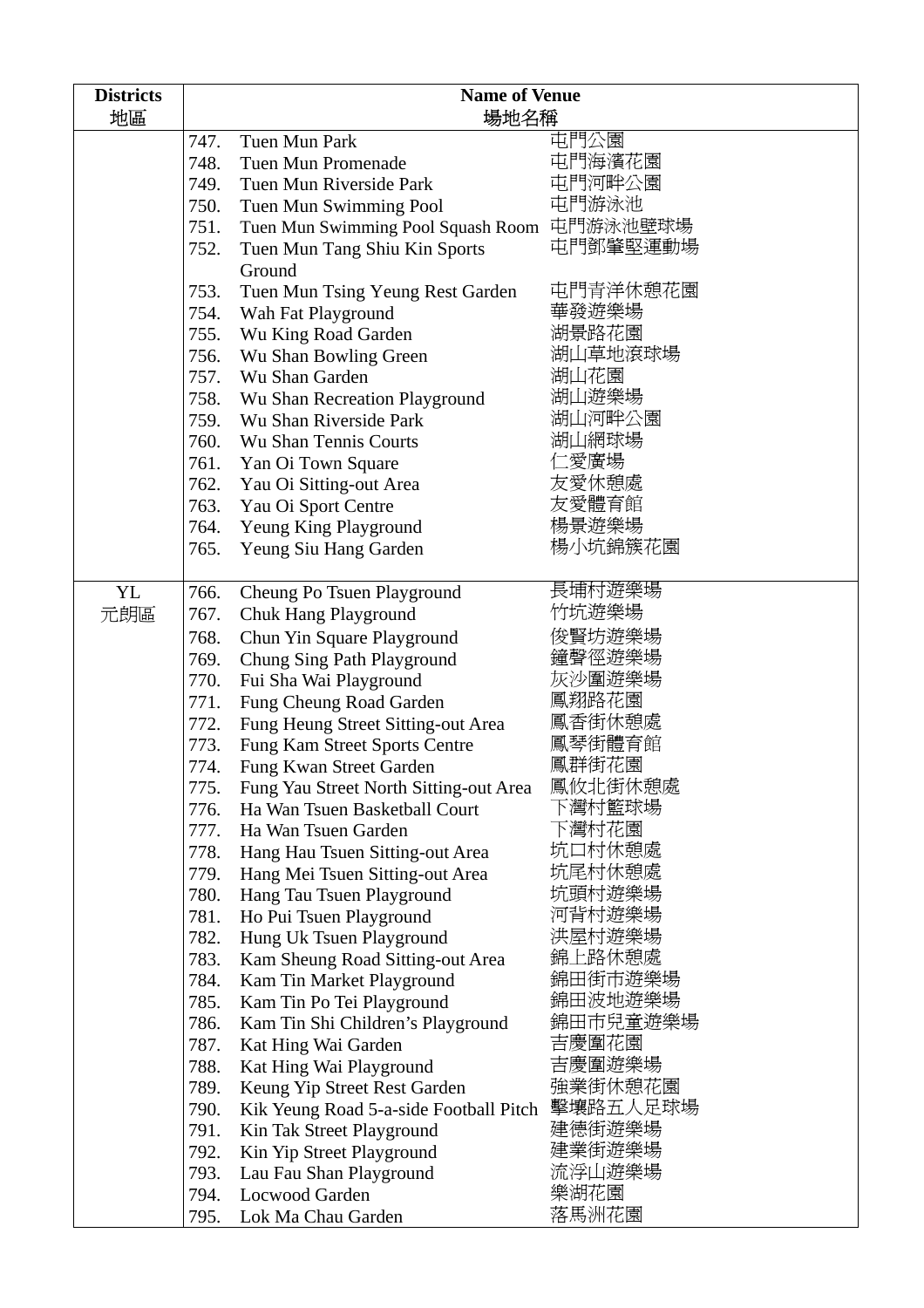| <b>Districts</b> | <b>Name of Venue</b> |                                             |          |  |
|------------------|----------------------|---------------------------------------------|----------|--|
| 地區               |                      | 場地名稱                                        |          |  |
|                  | 747.                 | Tuen Mun Park                               | 屯門公園     |  |
|                  | 748.                 | Tuen Mun Promenade                          | 屯門海濱花園   |  |
|                  | 749.                 | Tuen Mun Riverside Park                     | 屯門河畔公園   |  |
|                  | 750.                 | Tuen Mun Swimming Pool                      | 屯門游泳池    |  |
|                  | 751.                 | Tuen Mun Swimming Pool Squash Room 屯門游泳池壁球場 |          |  |
|                  | 752.                 | Tuen Mun Tang Shiu Kin Sports               | 屯門鄧肇堅運動場 |  |
|                  |                      | Ground                                      |          |  |
|                  | 753.                 | Tuen Mun Tsing Yeung Rest Garden            | 屯門青洋休憩花園 |  |
|                  | 754.                 | Wah Fat Playground                          | 華發遊樂場    |  |
|                  | 755.                 | Wu King Road Garden                         | 湖景路花園    |  |
|                  | 756.                 | Wu Shan Bowling Green                       | 湖山草地滾球場  |  |
|                  | 757.                 | Wu Shan Garden                              | 湖山花園     |  |
|                  | 758.                 | Wu Shan Recreation Playground               | 湖山遊樂場    |  |
|                  | 759.                 | Wu Shan Riverside Park                      | 湖山河畔公園   |  |
|                  | 760.                 | <b>Wu Shan Tennis Courts</b>                | 湖山網球場    |  |
|                  | 761.                 | Yan Oi Town Square                          | 二愛廣場     |  |
|                  | 762.                 | Yau Oi Sitting-out Area                     | 友愛休憩處    |  |
|                  | 763.                 | Yau Oi Sport Centre                         | 友愛體育館    |  |
|                  | 764.                 | Yeung King Playground                       | 楊景遊樂場    |  |
|                  | 765.                 | Yeung Siu Hang Garden                       | 楊小坑錦簇花園  |  |
|                  |                      |                                             |          |  |
| <b>YL</b>        | 766.                 | Cheung Po Tsuen Playground                  | 長埔村遊樂場   |  |
| 元朗區              | 767.                 | <b>Chuk Hang Playground</b>                 | 竹坑遊樂場    |  |
|                  | 768.                 | Chun Yin Square Playground                  | 俊賢坊遊樂場   |  |
|                  | 769.                 | Chung Sing Path Playground                  | 鐘聲徑遊樂場   |  |
|                  | 770.                 | Fui Sha Wai Playground                      | 灰沙圍遊樂場   |  |
|                  | 771.                 | Fung Cheung Road Garden                     | 鳳翔路花園    |  |
|                  | 772.                 | Fung Heung Street Sitting-out Area          | 鳳香街休憩處   |  |
|                  | 773.                 | Fung Kam Street Sports Centre               | 鳳琴街體育館   |  |
|                  | 774.                 | Fung Kwan Street Garden                     | 鳳群街花園    |  |
|                  | 775.                 | Fung Yau Street North Sitting-out Area      | 鳳攸北街休憩處  |  |
|                  | 776.                 | Ha Wan Tsuen Basketball Court               | 下灣村籃球場   |  |
|                  | 777.                 | Ha Wan Tsuen Garden                         | 下灣村花園    |  |
|                  | 778.                 | Hang Hau Tsuen Sitting-out Area             | 坑口村休憩處   |  |
|                  | 779.                 | Hang Mei Tsuen Sitting-out Area             | 坑尾村休憩處   |  |
|                  | 780.                 | Hang Tau Tsuen Playground                   | 坑頭村遊樂場   |  |
|                  | 781.                 | Ho Pui Tsuen Playground                     | 河背村遊樂場   |  |
|                  | 782.                 | Hung Uk Tsuen Playground                    | 洪屋村遊樂場   |  |
|                  | 783.                 | Kam Sheung Road Sitting-out Area            | 錦上路休憩處   |  |
|                  | 784.                 | Kam Tin Market Playground                   | 錦田街市遊樂場  |  |
|                  | 785.                 | Kam Tin Po Tei Playground                   | 錦田波地遊樂場  |  |
|                  | 786.                 | Kam Tin Shi Children's Playground           | 錦田市兒童遊樂場 |  |
|                  | 787.                 | Kat Hing Wai Garden                         | 吉慶圍花園    |  |
|                  | 788.                 | Kat Hing Wai Playground                     | 吉慶圍遊樂場   |  |
|                  | 789.                 | Keung Yip Street Rest Garden                | 強業街休憩花園  |  |
|                  | 790.                 | Kik Yeung Road 5-a-side Football Pitch      | 擊壤路五人足球場 |  |
|                  | 791.                 | Kin Tak Street Playground                   | 建德街遊樂場   |  |
|                  | 792.                 | Kin Yip Street Playground                   | 建業街遊樂場   |  |
|                  | 793.                 | Lau Fau Shan Playground                     | 流浮山遊樂場   |  |
|                  | 794.                 | <b>Locwood Garden</b>                       | 樂湖花園     |  |
|                  | 795.                 | Lok Ma Chau Garden                          | 落馬洲花園    |  |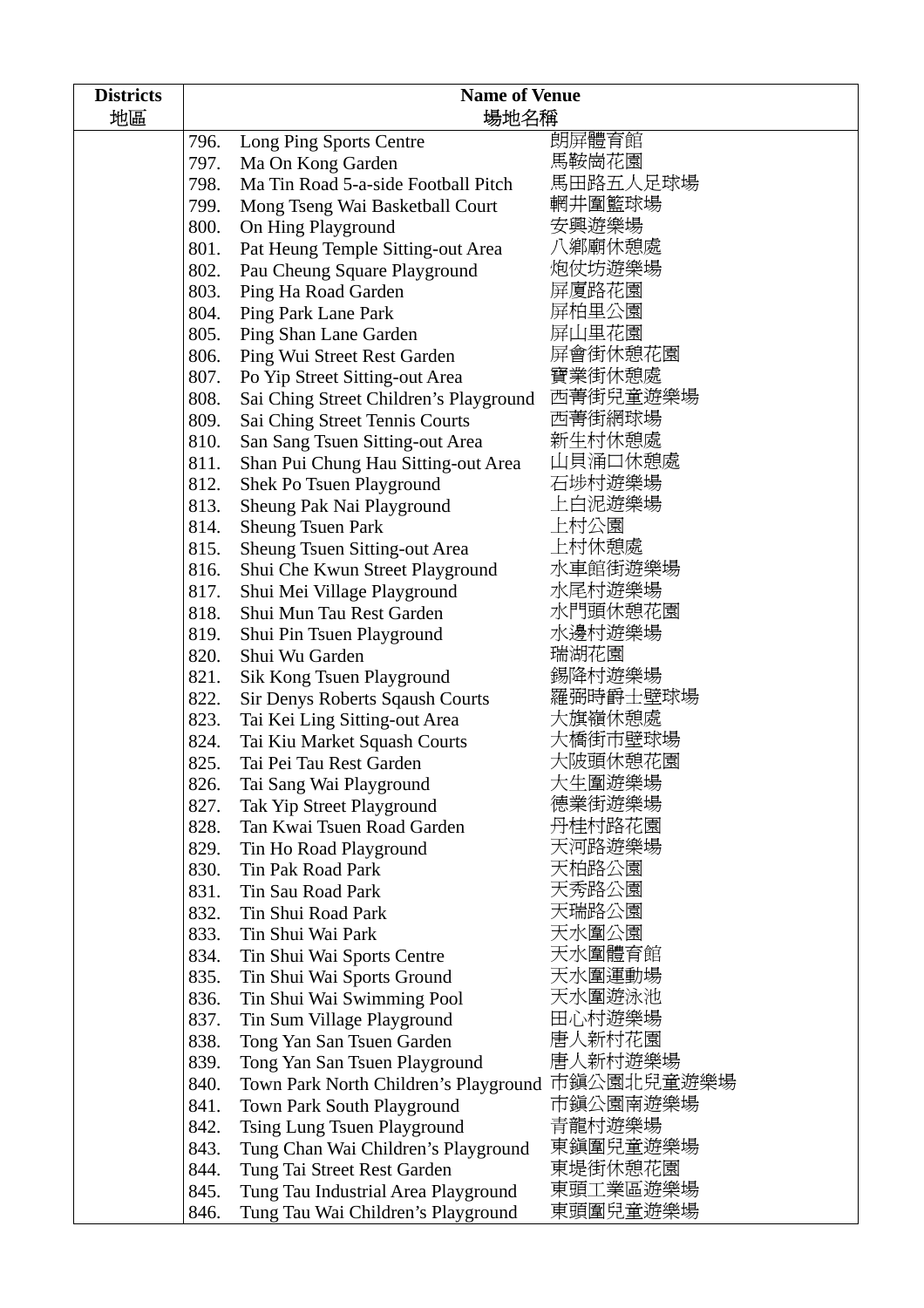| <b>Districts</b><br>地區 | <b>Name of Venue</b><br>場地名稱 |                                        |                     |
|------------------------|------------------------------|----------------------------------------|---------------------|
|                        | 796.                         | Long Ping Sports Centre                | 朗屏體育館               |
|                        | 797.                         | Ma On Kong Garden                      | 馬鞍崗花園               |
|                        | 798.                         | Ma Tin Road 5-a-side Football Pitch    | 馬田路五人足球場            |
|                        | 799.                         | Mong Tseng Wai Basketball Court        | 輞井圍籃球場              |
|                        | 800.                         | On Hing Playground                     | 安興遊樂場               |
|                        | 801.                         | Pat Heung Temple Sitting-out Area      | 八鄉廟休憩處              |
|                        | 802.                         | Pau Cheung Square Playground           | 炮仗坊遊樂場              |
|                        | 803.                         | Ping Ha Road Garden                    | 屏厦路花園               |
|                        | 804.                         | Ping Park Lane Park                    | 屏柏里公園               |
|                        | 805.                         | Ping Shan Lane Garden                  | 屏山里花園               |
|                        | 806.                         | Ping Wui Street Rest Garden            | 屏會街休憩花園             |
|                        | 807.                         | Po Yip Street Sitting-out Area         | 寶業街休憩處              |
|                        | 808.                         | Sai Ching Street Children's Playground | 西菁街兒童遊樂場            |
|                        | 809.                         | Sai Ching Street Tennis Courts         | 西菁街網球場              |
|                        | 810.                         | San Sang Tsuen Sitting-out Area        | 新生村休憩處              |
|                        | 811.                         | Shan Pui Chung Hau Sitting-out Area    | 山貝涌口休憩處             |
|                        | 812.                         | Shek Po Tsuen Playground               | 石埗村遊樂場              |
|                        | 813.                         | Sheung Pak Nai Playground              | 上白泥遊樂場              |
|                        | 814.                         | <b>Sheung Tsuen Park</b>               | 上村公園                |
|                        | 815.                         | <b>Sheung Tsuen Sitting-out Area</b>   | 上村休憩處               |
|                        | 816.                         | Shui Che Kwun Street Playground        | 水車館街遊樂場             |
|                        | 817.                         | Shui Mei Village Playground            | 水尾村遊樂場              |
|                        | 818.                         | Shui Mun Tau Rest Garden               | 水門頭休憩花園             |
|                        | 819.                         | Shui Pin Tsuen Playground              | 水邊村遊樂場              |
|                        | 820.                         | Shui Wu Garden                         | 瑞湖花園                |
|                        | 821.                         | Sik Kong Tsuen Playground              | 錫降村遊樂場              |
|                        | 822.                         | Sir Denys Roberts Sqaush Courts        | 羅弼時爵士壁球場            |
|                        | 823.                         | Tai Kei Ling Sitting-out Area          | 大旗嶺休憩處              |
|                        | 824.                         | Tai Kiu Market Squash Courts           | 大橋街市壁球場             |
|                        | 825.                         | Tai Pei Tau Rest Garden                | 大陂頭休憩花園             |
|                        | 826.                         | Tai Sang Wai Playground                | 大生圍遊樂場              |
|                        | 827.                         | Tak Yip Street Playground              | 德業街遊樂場              |
|                        | 828.                         | Tan Kwai Tsuen Road Garden             | 丹桂村路花園              |
|                        | 829.                         | Tin Ho Road Playground                 | 天河路遊樂場              |
|                        | 830.                         | Tin Pak Road Park                      | 天柏路公園               |
|                        | 831.                         | Tin Sau Road Park                      | 天秀路公園               |
|                        | 832.                         | Tin Shui Road Park                     | 天瑞路公園               |
|                        | 833.                         | Tin Shui Wai Park                      | 天水圍公園               |
|                        | 834.                         | Tin Shui Wai Sports Centre             | 天水圍體育館              |
|                        | 835.                         | Tin Shui Wai Sports Ground             | 天水圍運動場              |
|                        | 836.                         | Tin Shui Wai Swimming Pool             | 天水圍遊泳池              |
|                        | 837.                         | Tin Sum Village Playground             | 田心村遊樂場              |
|                        | 838.                         | Tong Yan San Tsuen Garden              | 唐人新村花園              |
|                        | 839.                         | Tong Yan San Tsuen Playground          | 唐人新村遊樂場             |
|                        | 840.                         | Town Park North Children's Playground  | 市鎭公園北兒童遊樂場          |
|                        | 841.                         | Town Park South Playground             | 市鎭公園南遊樂場            |
|                        | 842.                         | Tsing Lung Tsuen Playground            | 青龍村遊樂場              |
|                        | 843.                         | Tung Chan Wai Children's Playground    | 東鎭圍兒童遊樂場            |
|                        | 844.                         | Tung Tai Street Rest Garden            | 東堤街休憩花園<br>東頭工業區遊樂場 |
|                        | 845.                         | Tung Tau Industrial Area Playground    | 東頭圍兒童遊樂場            |
|                        | 846.                         | Tung Tau Wai Children's Playground     |                     |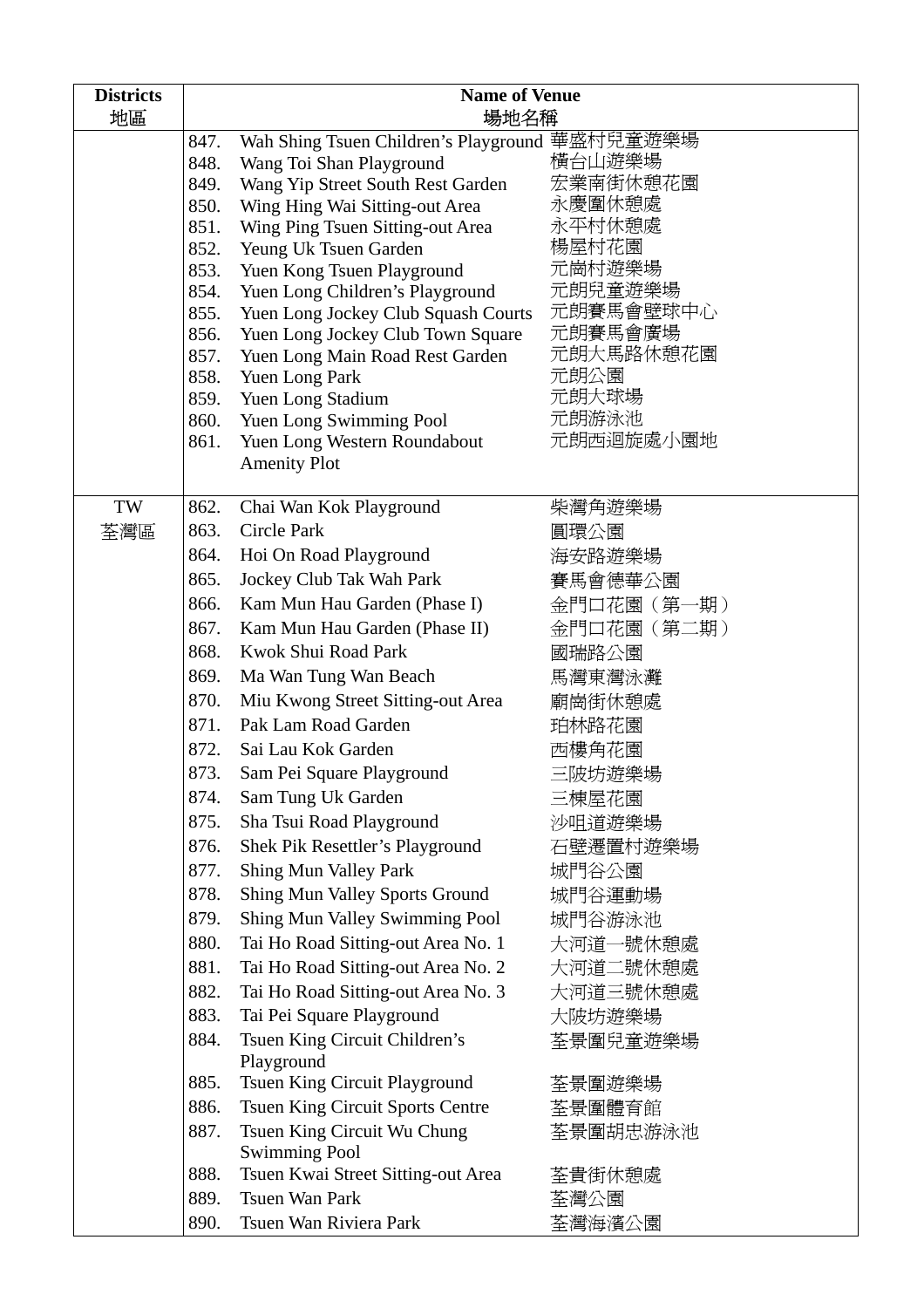| <b>Districts</b>                     | <b>Name of Venue</b>                          |                                                                        |                          |  |
|--------------------------------------|-----------------------------------------------|------------------------------------------------------------------------|--------------------------|--|
| 地區                                   | 場地名稱                                          |                                                                        |                          |  |
|                                      | 847.                                          | Wah Shing Tsuen Children's Playground 華盛村兒童遊樂場                         |                          |  |
|                                      | 848.                                          | Wang Toi Shan Playground                                               | 橫台山遊樂場                   |  |
|                                      | 849.                                          | Wang Yip Street South Rest Garden                                      | 宏業南街休憩花園                 |  |
|                                      | 850.                                          | Wing Hing Wai Sitting-out Area                                         | 永慶圍休憩處                   |  |
|                                      | 851.                                          | Wing Ping Tsuen Sitting-out Area                                       | 永平村休憩處                   |  |
|                                      | 852.                                          | Yeung Uk Tsuen Garden                                                  | 楊屋村花園                    |  |
|                                      | 853.                                          | Yuen Kong Tsuen Playground                                             | 元崗村遊樂場<br>元朗兒童遊樂場        |  |
|                                      | 854.<br>855.                                  | Yuen Long Children's Playground<br>Yuen Long Jockey Club Squash Courts | 元朗賽馬會壁球中心                |  |
|                                      | 856.                                          | Yuen Long Jockey Club Town Square                                      | 元朗賽馬會廣場                  |  |
|                                      | 857.                                          | Yuen Long Main Road Rest Garden                                        | 元朗大馬路休憩花園                |  |
|                                      | 858.                                          | Yuen Long Park                                                         | 元朗公園                     |  |
|                                      | 859.                                          | Yuen Long Stadium                                                      | 元朗大球場                    |  |
|                                      | 860.                                          | Yuen Long Swimming Pool                                                | 元朗游泳池                    |  |
|                                      | 861.                                          | Yuen Long Western Roundabout                                           | 元朗西迴旋處小園地                |  |
|                                      |                                               | <b>Amenity Plot</b>                                                    |                          |  |
|                                      |                                               |                                                                        |                          |  |
| TW                                   | 862.                                          | Chai Wan Kok Playground                                                | 柴灣角遊樂場                   |  |
| 荃灣區                                  | 863.                                          | Circle Park                                                            | 圓環公園                     |  |
|                                      | 864.                                          | Hoi On Road Playground                                                 | 海安路遊樂場                   |  |
|                                      | 865.                                          | Jockey Club Tak Wah Park                                               | 賽馬會德華公園                  |  |
| 866.<br>Kam Mun Hau Garden (Phase I) |                                               |                                                                        | 金門口花園(第一期)<br>金門口花園(第二期) |  |
|                                      | 867.<br>Kam Mun Hau Garden (Phase II)         |                                                                        |                          |  |
|                                      | 868.                                          | Kwok Shui Road Park                                                    | 國瑞路公園                    |  |
|                                      | 869.                                          | Ma Wan Tung Wan Beach                                                  | 馬灣東灣泳灘                   |  |
|                                      | 870.                                          | Miu Kwong Street Sitting-out Area                                      | 廟崗街休憩處                   |  |
|                                      | 871.                                          | Pak Lam Road Garden                                                    | 珀林路花園                    |  |
|                                      | 872.                                          | Sai Lau Kok Garden                                                     | 西樓角花園                    |  |
|                                      | 873.                                          | Sam Pei Square Playground                                              | 三陂坊遊樂場                   |  |
|                                      | 874.                                          | Sam Tung Uk Garden                                                     | 三棟屋花園                    |  |
|                                      | 875.                                          | Sha Tsui Road Playground                                               | 沙咀道遊樂場                   |  |
|                                      | 876.                                          | Shek Pik Resettler's Playground                                        | 石壁遷置村遊樂場                 |  |
|                                      | 877.                                          | <b>Shing Mun Valley Park</b>                                           | 城門谷公園                    |  |
|                                      | 878.<br><b>Shing Mun Valley Sports Ground</b> |                                                                        | 城門谷運動場                   |  |
|                                      | 879.                                          | Shing Mun Valley Swimming Pool                                         | 城門谷游泳池                   |  |
|                                      | 880.                                          | Tai Ho Road Sitting-out Area No. 1                                     | 大河道一號休憩處                 |  |
|                                      | 881.                                          | Tai Ho Road Sitting-out Area No. 2                                     | 大河道二號休憩處                 |  |
|                                      | 882.                                          | Tai Ho Road Sitting-out Area No. 3                                     | 大河道三號休憩處                 |  |
|                                      | 883.                                          | Tai Pei Square Playground                                              | 大陂坊遊樂場                   |  |
|                                      | 884.                                          | Tsuen King Circuit Children's                                          | 荃景圍兒童遊樂場                 |  |
|                                      |                                               | Playground                                                             |                          |  |
|                                      | 885.                                          | Tsuen King Circuit Playground                                          | 荃景圍遊樂場                   |  |
|                                      | 886.                                          | <b>Tsuen King Circuit Sports Centre</b>                                | 荃景圍體育館                   |  |
|                                      | 887.                                          | Tsuen King Circuit Wu Chung                                            | 荃景圍胡忠游泳池                 |  |
|                                      |                                               | <b>Swimming Pool</b>                                                   |                          |  |
|                                      | 888.                                          | Tsuen Kwai Street Sitting-out Area                                     | 荃貴街休憩處                   |  |
|                                      | 889.                                          | Tsuen Wan Park                                                         | 荃灣公園                     |  |
|                                      | 890.                                          | Tsuen Wan Riviera Park                                                 | 荃灣海濱公園                   |  |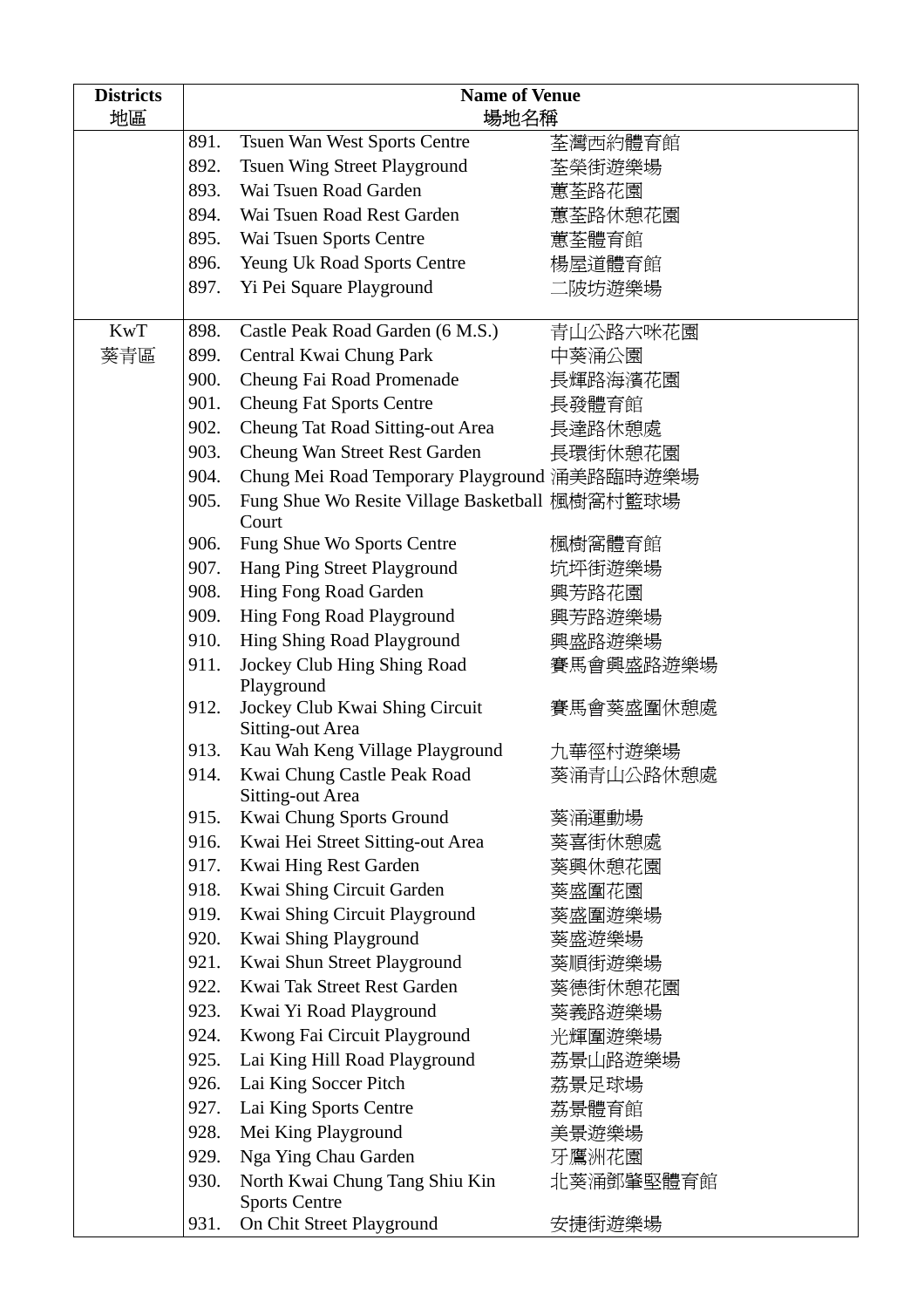| <b>Districts</b>                  | <b>Name of Venue</b>               |                                                         |           |
|-----------------------------------|------------------------------------|---------------------------------------------------------|-----------|
| 地區                                |                                    | 場地名稱                                                    |           |
|                                   | 891.                               | Tsuen Wan West Sports Centre                            | 荃灣西約體育館   |
|                                   | 892.                               | <b>Tsuen Wing Street Playground</b>                     | 荃榮街遊樂場    |
|                                   | 893.                               | Wai Tsuen Road Garden                                   | 蕙荃路花園     |
|                                   | 894.                               | Wai Tsuen Road Rest Garden                              | 蕙荃路休憩花園   |
|                                   | 895.                               | Wai Tsuen Sports Centre                                 | 蕙荃體育館     |
|                                   | 896.                               | <b>Yeung Uk Road Sports Centre</b>                      | 楊屋道體育館    |
|                                   | 897.                               | Yi Pei Square Playground                                | 二陂坊遊樂場    |
| <b>KwT</b>                        | 898.                               | Castle Peak Road Garden (6 M.S.)                        | 青山公路六咪花園  |
| 葵青區                               | 899.                               | Central Kwai Chung Park                                 | 中葵涌公園     |
|                                   | 900.                               | Cheung Fai Road Promenade                               | 長輝路海濱花園   |
|                                   | 901.                               | <b>Cheung Fat Sports Centre</b>                         | 長發體育館     |
|                                   | 902.                               | <b>Cheung Tat Road Sitting-out Area</b>                 | 長達路休憩處    |
|                                   | 903.                               | Cheung Wan Street Rest Garden                           | 長環街休憩花園   |
|                                   | 904.                               | Chung Mei Road Temporary Playground 涌美路臨時遊樂場            |           |
|                                   | 905.                               | Fung Shue Wo Resite Village Basketball 楓樹窩村籃球場<br>Court |           |
|                                   | 906.                               | Fung Shue Wo Sports Centre                              | 楓樹窩體育館    |
|                                   | 907.                               | Hang Ping Street Playground                             | 坑坪街遊樂場    |
|                                   | 908.                               | Hing Fong Road Garden                                   | 興芳路花園     |
| 909.<br>Hing Fong Road Playground |                                    |                                                         | 興芳路遊樂場    |
|                                   | 910.<br>Hing Shing Road Playground |                                                         | 興盛路遊樂場    |
|                                   | 911.                               | Jockey Club Hing Shing Road<br>Playground               | 賽馬會興盛路遊樂場 |
|                                   | 912.                               | Jockey Club Kwai Shing Circuit<br>Sitting-out Area      | 賽馬會葵盛圍休憩處 |
|                                   | 913.                               | Kau Wah Keng Village Playground                         | 九華徑村遊樂場   |
|                                   | 914.                               | Kwai Chung Castle Peak Road<br>Sitting-out Area         | 葵涌青山公路休憩處 |
|                                   | 915.                               | Kwai Chung Sports Ground                                | 葵涌運動場     |
|                                   | 916.                               | Kwai Hei Street Sitting-out Area                        | 葵喜街休憩處    |
|                                   | 917.                               | Kwai Hing Rest Garden                                   | 葵興休憩花園    |
|                                   | 918.                               | Kwai Shing Circuit Garden                               | 葵盛圍花園     |
|                                   | 919.                               | Kwai Shing Circuit Playground                           | 葵盛圍遊樂場    |
|                                   | 920.                               | Kwai Shing Playground                                   | 葵盛遊樂場     |
| 921.                              |                                    | Kwai Shun Street Playground                             | 葵順街遊樂場    |
|                                   | 922.                               | Kwai Tak Street Rest Garden                             | 葵德街休憩花園   |
|                                   | 923.                               | Kwai Yi Road Playground                                 | 葵義路遊樂場    |
|                                   | 924.                               | Kwong Fai Circuit Playground                            | 光輝圍遊樂場    |
|                                   | 925.                               | Lai King Hill Road Playground                           | 荔景山路遊樂場   |
|                                   | 926.                               | Lai King Soccer Pitch                                   | 荔景足球場     |
|                                   | 927.                               | Lai King Sports Centre                                  | 荔景體育館     |
|                                   | 928.                               | Mei King Playground                                     | 美景遊樂場     |
|                                   | 929.                               | Nga Ying Chau Garden                                    | 牙鷹洲花園     |
|                                   | 930.                               | North Kwai Chung Tang Shiu Kin                          | 北葵涌鄧肇堅體育館 |
|                                   |                                    | <b>Sports Centre</b>                                    |           |
|                                   | 931.                               | On Chit Street Playground                               | 安捷街遊樂場    |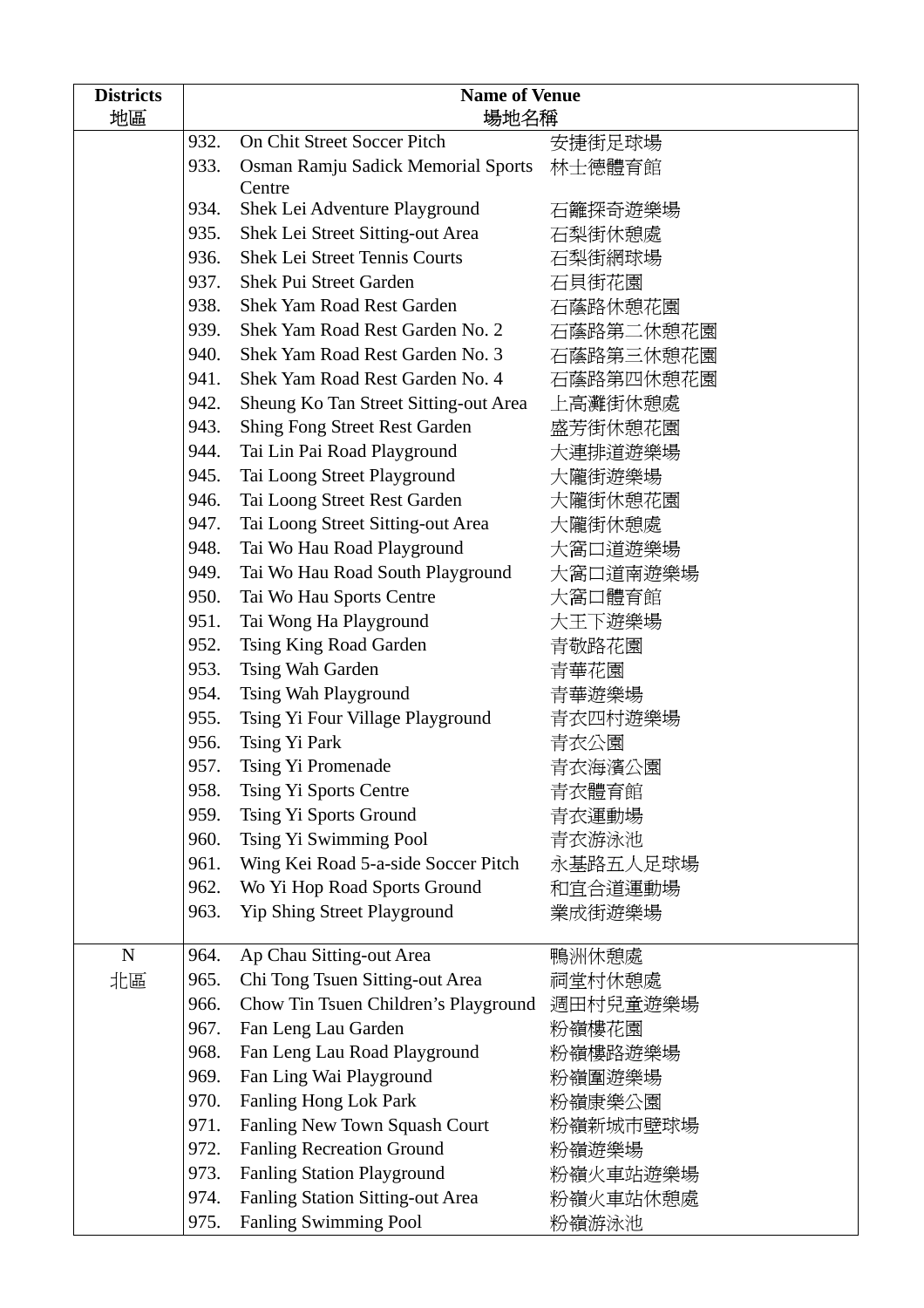| <b>Districts</b><br>地區              | <b>Name of Venue</b><br>場地名稱         |                                       |           |
|-------------------------------------|--------------------------------------|---------------------------------------|-----------|
|                                     | 932.                                 | On Chit Street Soccer Pitch           | 安捷街足球場    |
|                                     | 933.                                 | Osman Ramju Sadick Memorial Sports    | 林士德體育館    |
|                                     |                                      | Centre                                |           |
|                                     | 934.                                 | Shek Lei Adventure Playground         | 石籬探奇遊樂場   |
|                                     | 935.                                 | Shek Lei Street Sitting-out Area      | 石梨街休憩處    |
|                                     | 936.                                 | <b>Shek Lei Street Tennis Courts</b>  | 石梨街網球場    |
|                                     | 937.                                 | Shek Pui Street Garden                | 石貝街花園     |
|                                     | 938.                                 | <b>Shek Yam Road Rest Garden</b>      | 石蔭路休憩花園   |
|                                     | 939.                                 | Shek Yam Road Rest Garden No. 2       | 石蔭路第二休憩花園 |
|                                     | 940.                                 | Shek Yam Road Rest Garden No. 3       | 石蔭路第三休憩花園 |
|                                     | 941.                                 | Shek Yam Road Rest Garden No. 4       | 石蔭路第四休憩花園 |
|                                     | 942.                                 | Sheung Ko Tan Street Sitting-out Area | 上高灘街休憩處   |
|                                     | 943.                                 | <b>Shing Fong Street Rest Garden</b>  | 盛芳街休憩花園   |
|                                     | 944.                                 | Tai Lin Pai Road Playground           | 大連排道遊樂場   |
|                                     | 945.                                 | Tai Loong Street Playground           | 大隴街遊樂場    |
|                                     | 946.                                 | Tai Loong Street Rest Garden          | 大隴街休憩花園   |
|                                     | 947.                                 | Tai Loong Street Sitting-out Area     | 大隴街休憩處    |
|                                     | 948.                                 | Tai Wo Hau Road Playground            | 大窩口道遊樂場   |
|                                     | 949.                                 | Tai Wo Hau Road South Playground      | 大窩口道南遊樂場  |
|                                     | 950.                                 | Tai Wo Hau Sports Centre              | 大窩口體育館    |
|                                     | 951.                                 | Tai Wong Ha Playground                | 大王下遊樂場    |
|                                     | 952.                                 | Tsing King Road Garden                | 青敬路花園     |
|                                     | 953.                                 | Tsing Wah Garden                      | 青華花園      |
|                                     | 954.                                 | Tsing Wah Playground                  | 青華遊樂場     |
|                                     | 955.                                 | Tsing Yi Four Village Playground      | 青衣四村遊樂場   |
|                                     | 956.                                 | Tsing Yi Park                         | 青衣公園      |
|                                     | 957.                                 | Tsing Yi Promenade                    | 青衣海濱公園    |
|                                     | 958.                                 | Tsing Yi Sports Centre                | 青衣體育館     |
|                                     | 959.                                 | Tsing Yi Sports Ground                | 青衣運動場     |
|                                     | 960.                                 | Tsing Yi Swimming Pool                | 青衣游泳池     |
|                                     | 961.                                 | Wing Kei Road 5-a-side Soccer Pitch   | 永基路五人足球場  |
|                                     | 962.<br>Wo Yi Hop Road Sports Ground |                                       | 和宜合道運動場   |
| Yip Shing Street Playground<br>963. |                                      |                                       | 業成街遊樂場    |
| $\mathbf N$                         | 964.                                 | Ap Chau Sitting-out Area              | 鴨洲休憩處     |
| 北區                                  | 965.                                 | Chi Tong Tsuen Sitting-out Area       | 祠堂村休憩處    |
|                                     | 966.                                 | Chow Tin Tsuen Children's Playground  | 週田村兒童遊樂場  |
|                                     | 967.                                 | Fan Leng Lau Garden                   | 粉嶺樓花園     |
|                                     | 968.                                 | Fan Leng Lau Road Playground          | 粉嶺樓路遊樂場   |
|                                     | 969.                                 | Fan Ling Wai Playground               | 粉嶺圍遊樂場    |
|                                     | 970.                                 | Fanling Hong Lok Park                 | 粉嶺康樂公園    |
|                                     | 971.                                 | Fanling New Town Squash Court         | 粉嶺新城市壁球場  |
|                                     | 972.                                 | <b>Fanling Recreation Ground</b>      | 粉嶺遊樂場     |
|                                     | 973.                                 | <b>Fanling Station Playground</b>     | 粉嶺火車站遊樂場  |
|                                     | 974.                                 | Fanling Station Sitting-out Area      | 粉嶺火車站休憩處  |
|                                     | 975.                                 | <b>Fanling Swimming Pool</b>          | 粉嶺游泳池     |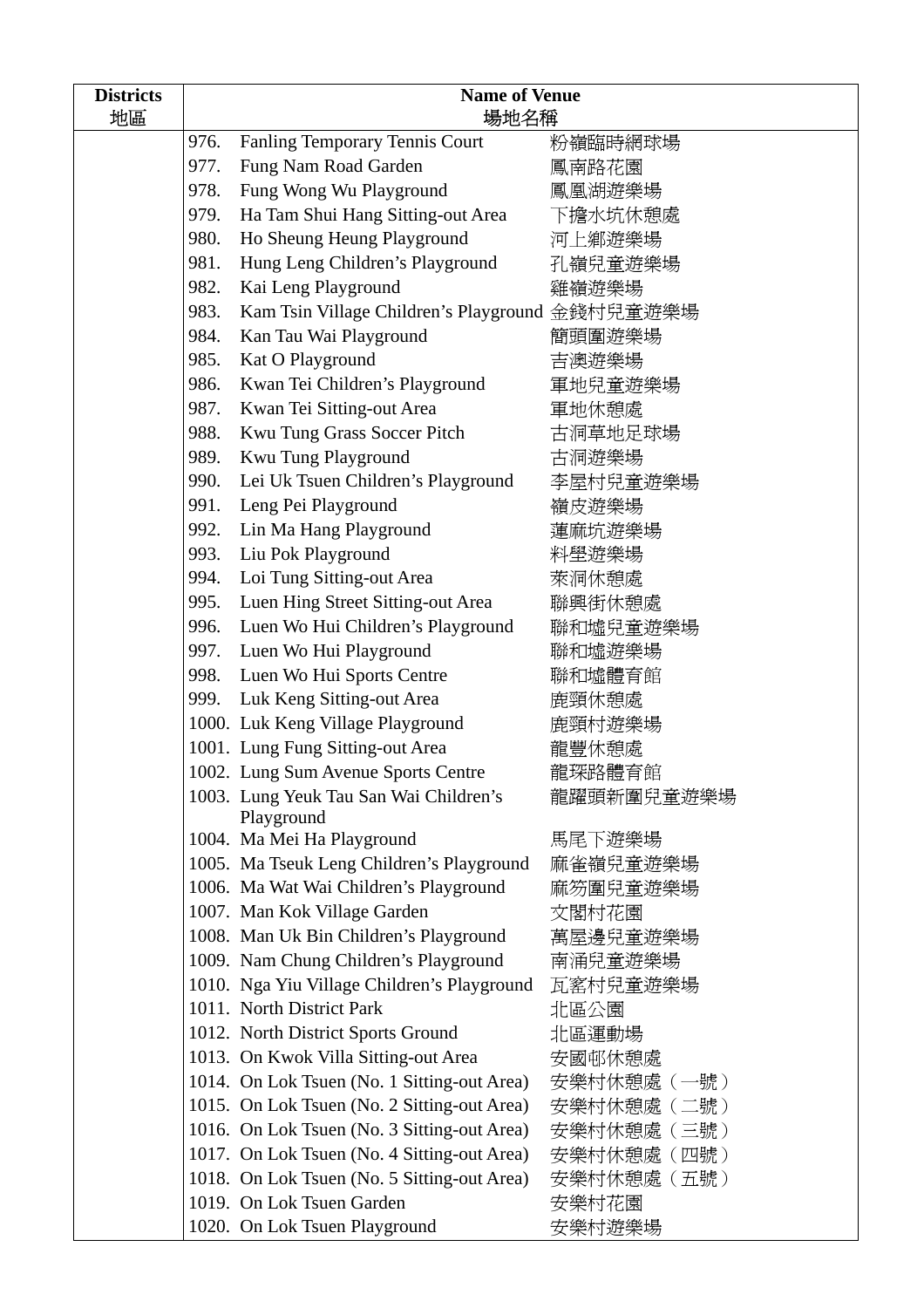| <b>Districts</b>                          | <b>Name of Venue</b>        |                                                 |             |  |
|-------------------------------------------|-----------------------------|-------------------------------------------------|-------------|--|
| 地區                                        | 場地名稱                        |                                                 |             |  |
|                                           | 976.                        | Fanling Temporary Tennis Court                  | 粉嶺臨時網球場     |  |
|                                           | 977.                        | Fung Nam Road Garden                            | 鳳南路花園       |  |
|                                           | 978.                        | Fung Wong Wu Playground                         | 鳳凰湖遊樂場      |  |
|                                           | 979.                        | Ha Tam Shui Hang Sitting-out Area               | 下擔水坑休憩處     |  |
|                                           | 980.                        | Ho Sheung Heung Playground                      | 河上鄉遊樂場      |  |
|                                           | 981.                        | Hung Leng Children's Playground                 | 孔嶺兒童遊樂場     |  |
|                                           | 982.<br>Kai Leng Playground |                                                 | 雞嶺遊樂場       |  |
|                                           | 983.                        | Kam Tsin Village Children's Playground 金錢村兒童遊樂場 |             |  |
|                                           | 984.                        | Kan Tau Wai Playground                          | 簡頭圍遊樂場      |  |
|                                           | 985.                        | Kat O Playground                                | 吉澳遊樂場       |  |
|                                           | 986.                        | Kwan Tei Children's Playground                  | 軍地兒童遊樂場     |  |
|                                           | 987.                        | Kwan Tei Sitting-out Area                       | 軍地休憩處       |  |
|                                           | 988.                        | Kwu Tung Grass Soccer Pitch                     | 古洞草地足球場     |  |
|                                           | 989.                        | Kwu Tung Playground                             | 古洞遊樂場       |  |
|                                           | 990.                        | Lei Uk Tsuen Children's Playground              | 李屋村兒童遊樂場    |  |
|                                           | 991.                        | Leng Pei Playground                             | 嶺皮遊樂場       |  |
|                                           | 992.                        | Lin Ma Hang Playground                          | 蓮麻坑遊樂場      |  |
|                                           | 993.                        | Liu Pok Playground                              | 料壆遊樂場       |  |
|                                           | 994.                        | Loi Tung Sitting-out Area                       | 萊洞休憩處       |  |
| Luen Hing Street Sitting-out Area<br>995. |                             |                                                 | 聯興街休憩處      |  |
| 996.                                      |                             | Luen Wo Hui Children's Playground               | 聯和墟兒童遊樂場    |  |
|                                           | 997.                        | Luen Wo Hui Playground                          | 聯和墟遊樂場      |  |
|                                           | 998.                        | Luen Wo Hui Sports Centre                       | 聯和墟體育館      |  |
|                                           | 999.                        | Luk Keng Sitting-out Area                       | 鹿頸休憩處       |  |
|                                           |                             | 1000. Luk Keng Village Playground               | 鹿頸村遊樂場      |  |
|                                           |                             | 1001. Lung Fung Sitting-out Area                | 龍豐休憩處       |  |
|                                           |                             | 1002. Lung Sum Avenue Sports Centre             | 龍琛路體育館      |  |
|                                           |                             | 1003. Lung Yeuk Tau San Wai Children's          | 龍躍頭新圍兒童遊樂場  |  |
|                                           |                             | Playground                                      |             |  |
|                                           |                             | 1004. Ma Mei Ha Playground                      | 馬尾下遊樂場      |  |
|                                           |                             | 1005. Ma Tseuk Leng Children's Playground       | 麻雀嶺兒童遊樂場    |  |
|                                           |                             | 1006. Ma Wat Wai Children's Playground          | 麻笏圍兒童遊樂場    |  |
|                                           |                             | 1007. Man Kok Village Garden                    | 文閣村花園       |  |
|                                           |                             | 1008. Man Uk Bin Children's Playground          | 萬屋邊兒童遊樂場    |  |
|                                           |                             | 1009. Nam Chung Children's Playground           | 南涌兒童遊樂場     |  |
|                                           |                             | 1010. Nga Yiu Village Children's Playground     | 瓦窰村兒童遊樂場    |  |
|                                           |                             | 1011. North District Park                       | 北區公園        |  |
|                                           |                             | 1012. North District Sports Ground              | 北區運動場       |  |
|                                           |                             | 1013. On Kwok Villa Sitting-out Area            | 安國邨休憩處      |  |
|                                           |                             | 1014. On Lok Tsuen (No. 1 Sitting-out Area)     | 安樂村休憩處(一號)  |  |
|                                           |                             | 1015. On Lok Tsuen (No. 2 Sitting-out Area)     | 安樂村休憩處 (二號) |  |
|                                           |                             | 1016. On Lok Tsuen (No. 3 Sitting-out Area)     | 安樂村休憩處 (三號) |  |
|                                           |                             | 1017. On Lok Tsuen (No. 4 Sitting-out Area)     | 安樂村休憩處 (四號) |  |
|                                           |                             | 1018. On Lok Tsuen (No. 5 Sitting-out Area)     | 安樂村休憩處(五號)  |  |
|                                           |                             | 1019. On Lok Tsuen Garden                       | 安樂村花園       |  |
|                                           |                             | 1020. On Lok Tsuen Playground                   | 安樂村遊樂場      |  |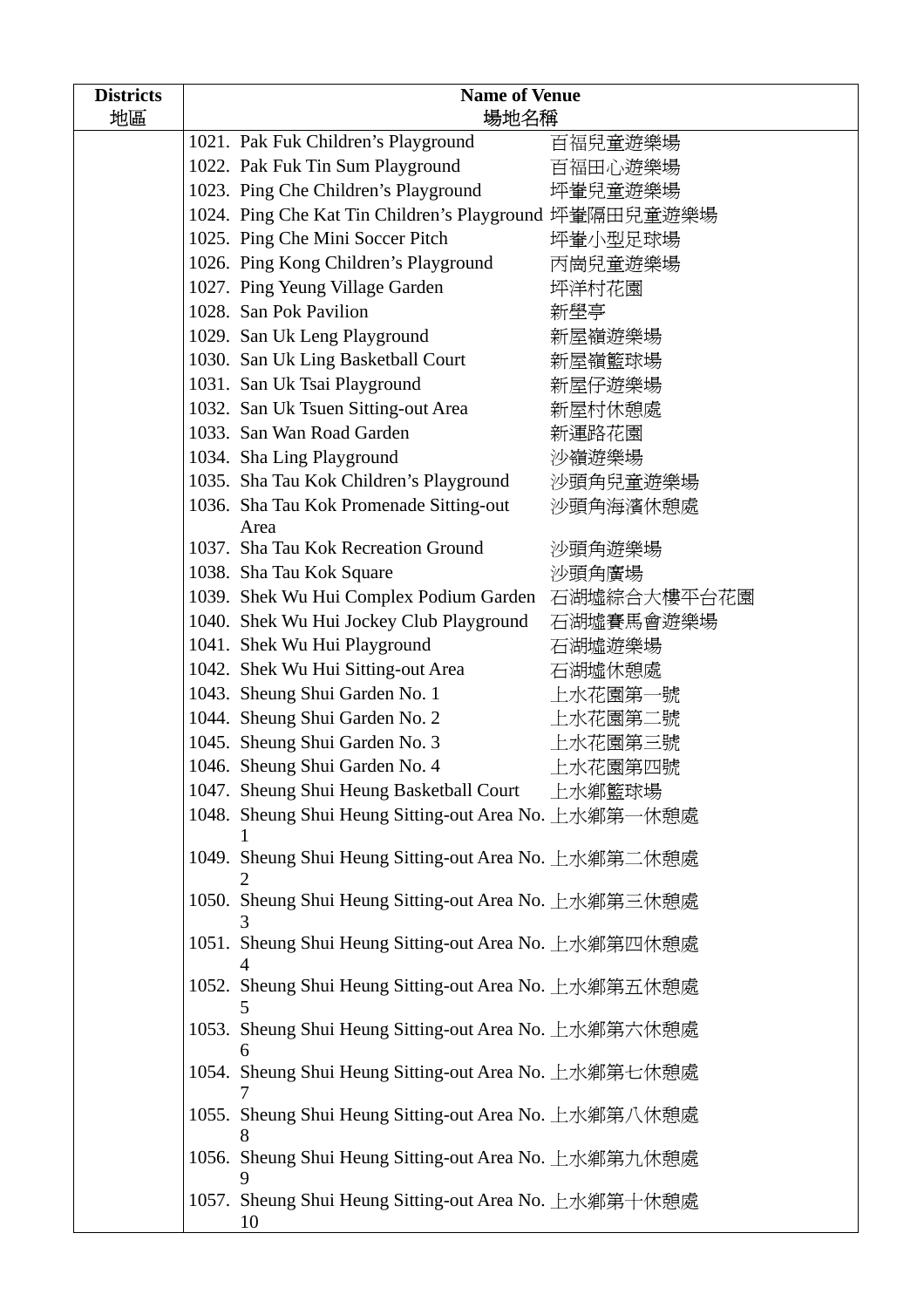| <b>Districts</b> | <b>Name of Venue</b> |                                                             |             |
|------------------|----------------------|-------------------------------------------------------------|-------------|
| 地區               | 場地名稱                 |                                                             |             |
|                  |                      | 1021. Pak Fuk Children's Playground                         | 百福兒童遊樂場     |
|                  |                      | 1022. Pak Fuk Tin Sum Playground                            | 百福田心遊樂場     |
|                  |                      | 1023. Ping Che Children's Playground                        | 坪輋兒童遊樂場     |
|                  |                      | 1024. Ping Che Kat Tin Children's Playground 坪輋隔田兒童遊樂場      |             |
|                  |                      | 1025. Ping Che Mini Soccer Pitch                            | 坪輋小型足球場     |
|                  |                      | 1026. Ping Kong Children's Playground                       | 丙崗兒童遊樂場     |
|                  |                      | 1027. Ping Yeung Village Garden                             | 坪洋村花園       |
|                  |                      | 1028. San Pok Pavilion                                      | 新壆亭         |
|                  |                      | 1029. San Uk Leng Playground                                | 新屋嶺遊樂場      |
|                  |                      | 1030. San Uk Ling Basketball Court                          | 新屋嶺籃球場      |
|                  |                      | 1031. San Uk Tsai Playground                                | 新屋仔遊樂場      |
|                  |                      | 1032. San Uk Tsuen Sitting-out Area                         | 新屋村休憩處      |
|                  |                      | 1033. San Wan Road Garden                                   | 新運路花園       |
|                  |                      | 1034. Sha Ling Playground                                   | 沙嶺遊樂場       |
|                  |                      | 1035. Sha Tau Kok Children's Playground                     | 沙頭角兒童遊樂場    |
|                  |                      | 1036. Sha Tau Kok Promenade Sitting-out<br>Area             | 沙頭角海濱休憩處    |
|                  |                      | 1037. Sha Tau Kok Recreation Ground                         | 沙頭角遊樂場      |
|                  |                      | 1038. Sha Tau Kok Square                                    | 沙頭角廣場       |
|                  |                      | 1039. Shek Wu Hui Complex Podium Garden                     | 石湖墟綜合大樓平台花園 |
|                  |                      | 1040. Shek Wu Hui Jockey Club Playground                    | 石湖墟賽馬會遊樂場   |
|                  |                      | 1041. Shek Wu Hui Playground                                | 石湖墟遊樂場      |
|                  |                      | 1042. Shek Wu Hui Sitting-out Area                          | 石湖墟休憩處      |
|                  |                      | 1043. Sheung Shui Garden No. 1                              | 上水花園第一號     |
|                  |                      | 1044. Sheung Shui Garden No. 2                              | 上水花園第二號     |
|                  |                      | 1045. Sheung Shui Garden No. 3                              | 上水花園第三號     |
|                  |                      | 1046. Sheung Shui Garden No. 4                              | 上水花園第四號     |
|                  |                      | 1047. Sheung Shui Heung Basketball Court                    | 上水鄉籃球場      |
|                  |                      | 1048. Sheung Shui Heung Sitting-out Area No. 上水鄉第一休憩處       |             |
|                  |                      |                                                             |             |
|                  |                      | 1049. Sheung Shui Heung Sitting-out Area No. 上水鄉第二休憩處       |             |
|                  |                      | 1050. Sheung Shui Heung Sitting-out Area No. 上水鄉第三休憩處       |             |
|                  |                      | 1051. Sheung Shui Heung Sitting-out Area No. 上水鄉第四休憩處       |             |
|                  |                      |                                                             |             |
|                  |                      | 1052. Sheung Shui Heung Sitting-out Area No. 上水鄉第五休憩處       |             |
|                  |                      | 1053. Sheung Shui Heung Sitting-out Area No. 上水鄉第六休憩處<br>6  |             |
|                  |                      | 1054. Sheung Shui Heung Sitting-out Area No. 上水鄉第七休憩處       |             |
|                  |                      | 1055. Sheung Shui Heung Sitting-out Area No. 上水鄉第八休憩處       |             |
|                  |                      | 1056. Sheung Shui Heung Sitting-out Area No. 上水鄉第九休憩處       |             |
|                  |                      | 1057. Sheung Shui Heung Sitting-out Area No. 上水鄉第十休憩處<br>10 |             |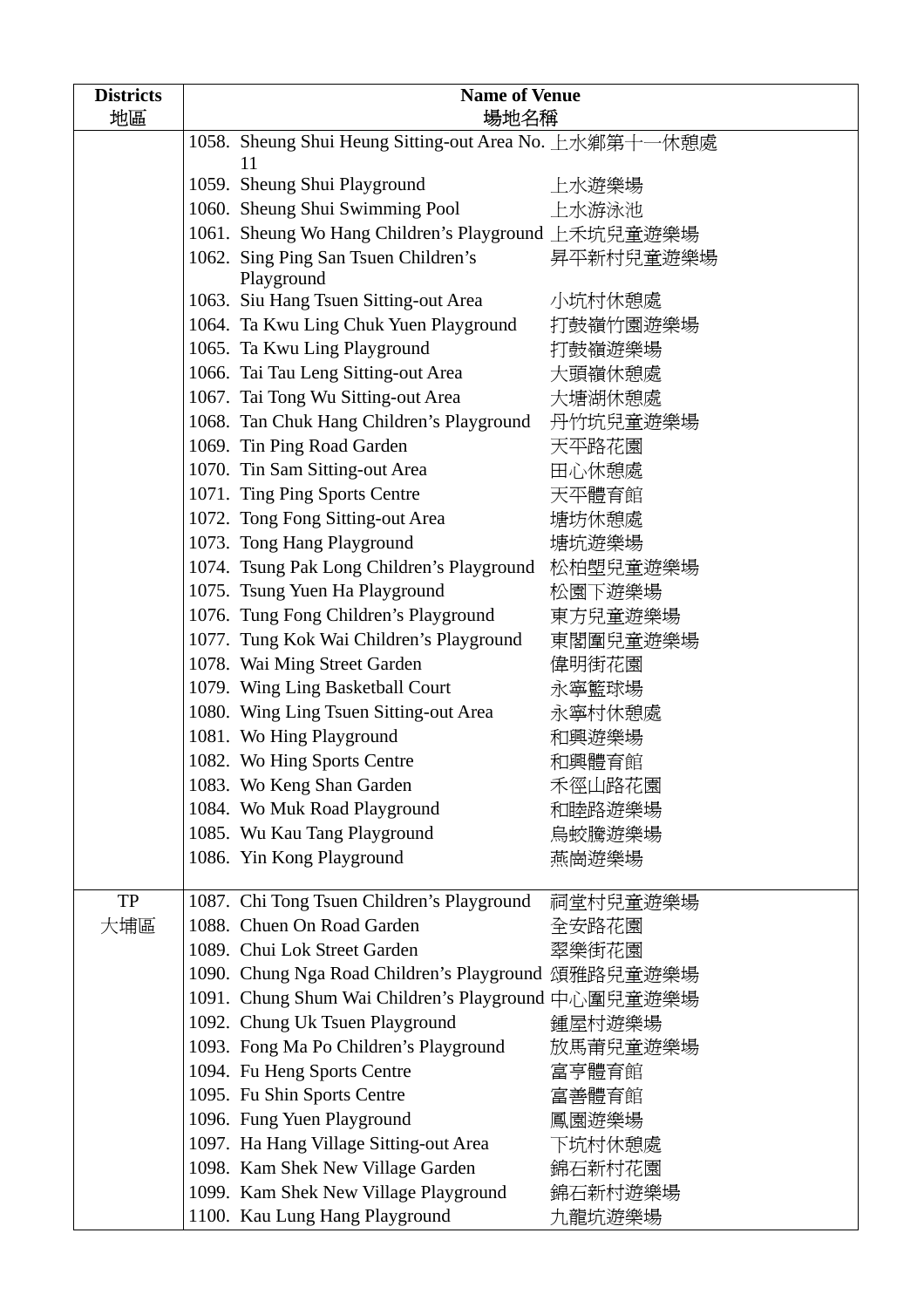| <b>Districts</b> | <b>Name of Venue</b>                                                                   |                                                                          |           |
|------------------|----------------------------------------------------------------------------------------|--------------------------------------------------------------------------|-----------|
| 地區               | 場地名稱                                                                                   |                                                                          |           |
|                  | 1058. Sheung Shui Heung Sitting-out Area No. 上水鄉第十一休憩處                                 |                                                                          |           |
|                  |                                                                                        | 11                                                                       |           |
|                  |                                                                                        | 1059. Sheung Shui Playground                                             | 上水遊樂場     |
|                  |                                                                                        | 1060. Sheung Shui Swimming Pool                                          | 上水游泳池     |
|                  |                                                                                        | 1061. Sheung Wo Hang Children's Playground 上禾坑兒童遊樂場                      |           |
|                  |                                                                                        | 1062. Sing Ping San Tsuen Children's<br>Playground                       | 昇平新村兒童遊樂場 |
|                  |                                                                                        | 1063. Siu Hang Tsuen Sitting-out Area                                    | 小坑村休憩處    |
|                  |                                                                                        | 1064. Ta Kwu Ling Chuk Yuen Playground                                   | 打鼓嶺竹園遊樂場  |
|                  |                                                                                        | 1065. Ta Kwu Ling Playground                                             | 打鼓嶺遊樂場    |
|                  |                                                                                        | 1066. Tai Tau Leng Sitting-out Area                                      | 大頭嶺休憩處    |
|                  |                                                                                        | 1067. Tai Tong Wu Sitting-out Area                                       | 大塘湖休憩處    |
|                  |                                                                                        | 1068. Tan Chuk Hang Children's Playground                                | 丹竹坑兒童遊樂場  |
|                  |                                                                                        | 1069. Tin Ping Road Garden                                               | 天平路花園     |
|                  |                                                                                        | 1070. Tin Sam Sitting-out Area                                           | 田心休憩處     |
|                  |                                                                                        | 1071. Ting Ping Sports Centre                                            | 天平體育館     |
|                  |                                                                                        | 1072. Tong Fong Sitting-out Area                                         | 塘坊休憩處     |
|                  |                                                                                        | 1073. Tong Hang Playground                                               | 塘坑遊樂場     |
|                  |                                                                                        | 1074. Tsung Pak Long Children's Playground 松柏塱兒童遊樂場                      |           |
|                  |                                                                                        | 1075. Tsung Yuen Ha Playground                                           | 松園下遊樂場    |
|                  |                                                                                        | 1076. Tung Fong Children's Playground                                    | 東方兒童遊樂場   |
|                  |                                                                                        | 1077. Tung Kok Wai Children's Playground                                 | 東閣圍兒童遊樂場  |
|                  |                                                                                        | 1078. Wai Ming Street Garden                                             | 偉明街花園     |
|                  |                                                                                        | 1079. Wing Ling Basketball Court                                         | 永寧籃球場     |
|                  |                                                                                        | 1080. Wing Ling Tsuen Sitting-out Area                                   | 永寧村休憩處    |
|                  |                                                                                        | 1081. Wo Hing Playground                                                 | 和興遊樂場     |
|                  |                                                                                        | 1082. Wo Hing Sports Centre                                              | 和興體育館     |
|                  |                                                                                        | 1083. Wo Keng Shan Garden                                                | 禾徑山路花園    |
|                  |                                                                                        | 1084. Wo Muk Road Playground                                             | 和睦路遊樂場    |
|                  |                                                                                        | 1085. Wu Kau Tang Playground                                             | 鳥蛟騰遊樂場    |
|                  |                                                                                        | 1086. Yin Kong Playground                                                | 燕崗遊樂場     |
|                  |                                                                                        |                                                                          |           |
| TP               |                                                                                        | 1087. Chi Tong Tsuen Children's Playground<br>1088. Chuen On Road Garden | 祠堂村兒童遊樂場  |
| 大埔區              |                                                                                        | 1089. Chui Lok Street Garden                                             | 全安路花園     |
|                  |                                                                                        |                                                                          | 翠樂街花園     |
|                  |                                                                                        | 1090. Chung Nga Road Children's Playground 頌雅路兒童遊樂場                      |           |
|                  | 1091. Chung Shum Wai Children's Playground 中心圍兒童遊樂場<br>1092. Chung Uk Tsuen Playground |                                                                          | 鍾屋村遊樂場    |
|                  |                                                                                        | 1093. Fong Ma Po Children's Playground                                   | 放馬莆兒童遊樂場  |
|                  |                                                                                        | 1094. Fu Heng Sports Centre                                              | 富亨體育館     |
|                  |                                                                                        | 1095. Fu Shin Sports Centre                                              | 富善體育館     |
|                  |                                                                                        | 1096. Fung Yuen Playground                                               | 鳳園遊樂場     |
|                  |                                                                                        | 1097. Ha Hang Village Sitting-out Area                                   | 下坑村休憩處    |
|                  |                                                                                        | 1098. Kam Shek New Village Garden                                        | 錦石新村花園    |
|                  |                                                                                        | 1099. Kam Shek New Village Playground                                    | 錦石新村遊樂場   |
|                  |                                                                                        | 1100. Kau Lung Hang Playground                                           | 九龍坑遊樂場    |
|                  |                                                                                        |                                                                          |           |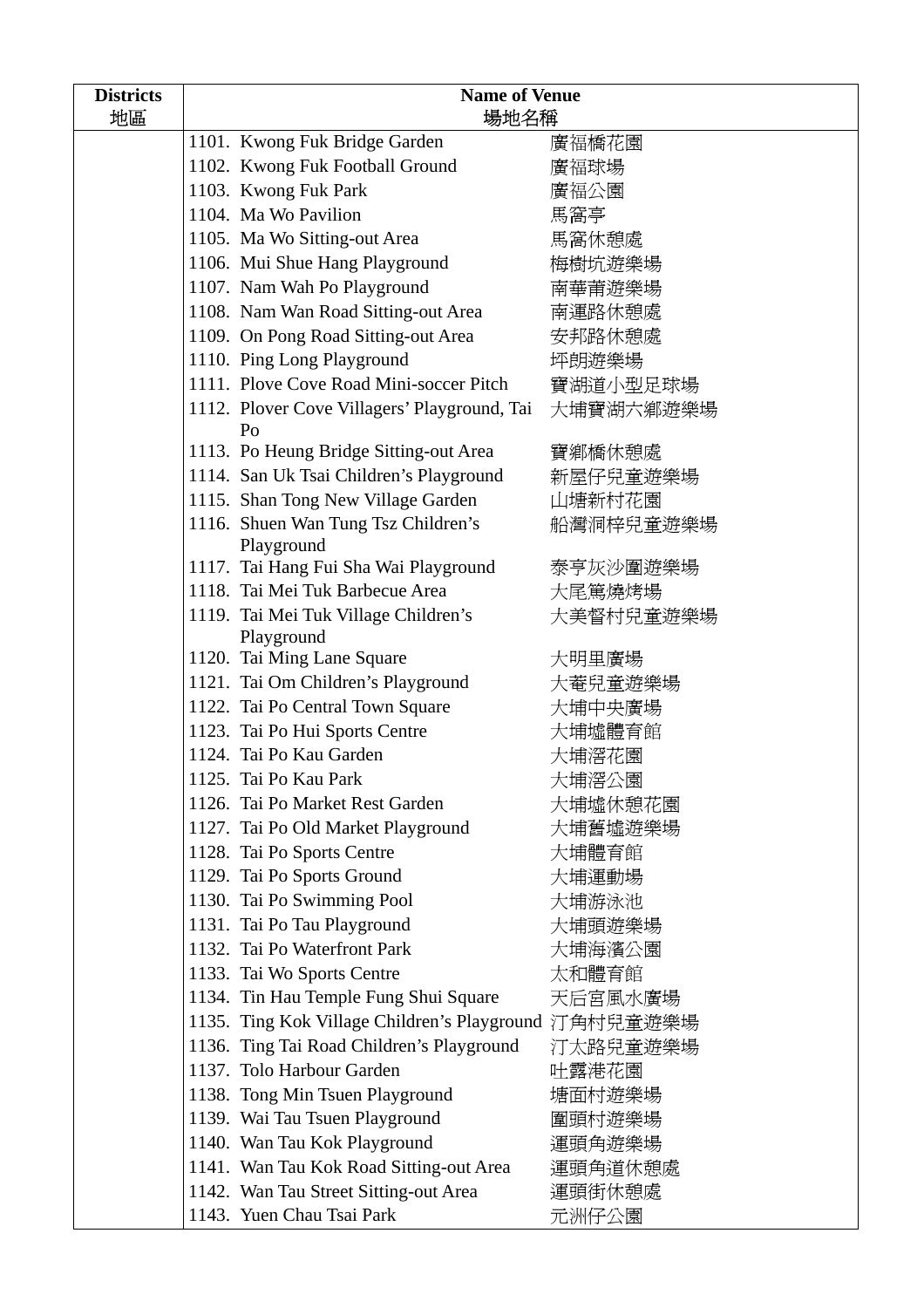| <b>Districts</b> | <b>Name of Venue</b> |                                                                          |           |
|------------------|----------------------|--------------------------------------------------------------------------|-----------|
| 地區               | 場地名稱                 |                                                                          |           |
|                  |                      | 1101. Kwong Fuk Bridge Garden                                            | 廣福橋花園     |
|                  |                      | 1102. Kwong Fuk Football Ground                                          | 廣福球場      |
|                  |                      | 1103. Kwong Fuk Park                                                     | 廣福公園      |
|                  |                      | 1104. Ma Wo Pavilion                                                     | 馬窩亭       |
|                  |                      | 1105. Ma Wo Sitting-out Area                                             | 馬窩休憩處     |
|                  |                      | 1106. Mui Shue Hang Playground                                           | 梅樹坑遊樂場    |
|                  |                      | 1107. Nam Wah Po Playground                                              | 南華莆遊樂場    |
|                  |                      | 1108. Nam Wan Road Sitting-out Area                                      | 南運路休憩處    |
|                  |                      | 1109. On Pong Road Sitting-out Area                                      | 安邦路休憩處    |
|                  |                      | 1110. Ping Long Playground                                               | 坪朗遊樂場     |
|                  |                      | 1111. Plove Cove Road Mini-soccer Pitch                                  | 寶湖道小型足球場  |
|                  |                      | 1112. Plover Cove Villagers' Playground, Tai<br>Po                       | 大埔寶湖六鄉遊樂場 |
|                  |                      | 1113. Po Heung Bridge Sitting-out Area                                   | 寶鄉橋休憩處    |
|                  |                      | 1114. San Uk Tsai Children's Playground                                  | 新屋仔兒童遊樂場  |
|                  |                      | 1115. Shan Tong New Village Garden                                       | 山塘新村花園    |
|                  |                      | 1116. Shuen Wan Tung Tsz Children's                                      | 船灣洞梓兒童遊樂場 |
|                  |                      | Playground                                                               |           |
|                  |                      | 1117. Tai Hang Fui Sha Wai Playground<br>1118. Tai Mei Tuk Barbecue Area | 泰亨灰沙圍遊樂場  |
|                  |                      |                                                                          | 大尾篤燒烤場    |
|                  |                      | 1119. Tai Mei Tuk Village Children's<br>Playground                       | 大美督村兒童遊樂場 |
|                  |                      | 1120. Tai Ming Lane Square                                               | 大明里廣場     |
|                  |                      | 1121. Tai Om Children's Playground                                       | 大菴兒童遊樂場   |
|                  |                      | 1122. Tai Po Central Town Square                                         | 大埔中央廣場    |
|                  |                      | 1123. Tai Po Hui Sports Centre                                           | 大埔墟體育館    |
|                  |                      | 1124. Tai Po Kau Garden                                                  | 大埔滘花園     |
|                  |                      | 1125. Tai Po Kau Park                                                    | 大埔滘公園     |
|                  |                      | 1126. Tai Po Market Rest Garden                                          | 大埔墟休憩花園   |
|                  |                      | 1127. Tai Po Old Market Playground                                       | 大埔舊墟遊樂場   |
|                  |                      | 1128. Tai Po Sports Centre                                               | 大埔體育館     |
|                  |                      | 1129. Tai Po Sports Ground                                               | 大埔運動場     |
|                  |                      | 1130. Tai Po Swimming Pool                                               | 大埔游泳池     |
|                  |                      | 1131. Tai Po Tau Playground                                              | 大埔頭遊樂場    |
|                  |                      | 1132. Tai Po Waterfront Park                                             | 大埔海濱公園    |
|                  |                      | 1133. Tai Wo Sports Centre                                               | 太和體育館     |
|                  |                      | 1134. Tin Hau Temple Fung Shui Square                                    | 天后宮風水廣場   |
|                  |                      | 1135. Ting Kok Village Children's Playground 汀角村兒童遊樂場                    |           |
|                  |                      | 1136. Ting Tai Road Children's Playground                                | 汀太路兒童遊樂場  |
|                  |                      | 1137. Tolo Harbour Garden                                                | 吐露港花園     |
|                  |                      | 1138. Tong Min Tsuen Playground                                          | 塘面村遊樂場    |
|                  |                      | 1139. Wai Tau Tsuen Playground                                           | 圍頭村遊樂場    |
|                  |                      | 1140. Wan Tau Kok Playground                                             | 運頭角遊樂場    |
|                  |                      | 1141. Wan Tau Kok Road Sitting-out Area                                  | 運頭角道休憩處   |
|                  |                      | 1142. Wan Tau Street Sitting-out Area                                    | 運頭街休憩處    |
|                  |                      | 1143. Yuen Chau Tsai Park                                                | 元洲仔公園     |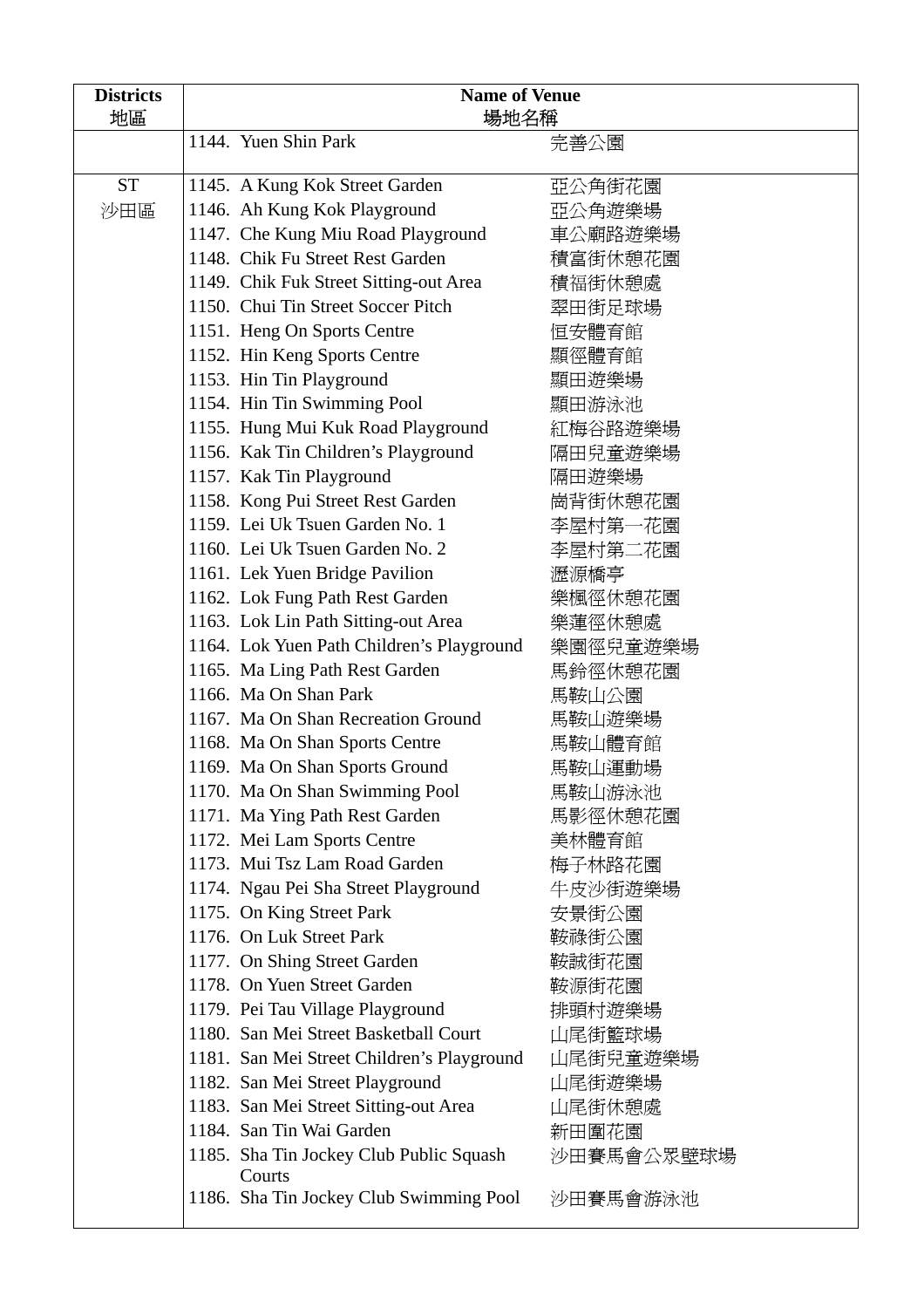| <b>Districts</b> | <b>Name of Venue</b>                              |            |  |
|------------------|---------------------------------------------------|------------|--|
| 地區               |                                                   | 場地名稱       |  |
|                  | 1144. Yuen Shin Park                              | 完善公園       |  |
| <b>ST</b>        | 1145. A Kung Kok Street Garden                    | 亞公角街花園     |  |
| 沙田區              | 1146. Ah Kung Kok Playground                      | 亞公角遊樂場     |  |
|                  | 1147. Che Kung Miu Road Playground                | 車公廟路遊樂場    |  |
|                  | 1148. Chik Fu Street Rest Garden                  | 積富街休憩花園    |  |
|                  | 1149. Chik Fuk Street Sitting-out Area            | 積福街休憩處     |  |
|                  | 1150. Chui Tin Street Soccer Pitch                | 翠田街足球場     |  |
|                  | 1151. Heng On Sports Centre                       | 恒安體育館      |  |
|                  | 1152. Hin Keng Sports Centre                      | 顯徑體育館      |  |
|                  | 1153. Hin Tin Playground                          | 顯田遊樂場      |  |
|                  | 1154. Hin Tin Swimming Pool                       | 顯田游泳池      |  |
|                  | 1155. Hung Mui Kuk Road Playground                | 紅梅谷路遊樂場    |  |
|                  | 1156. Kak Tin Children's Playground               | 隔田兒童遊樂場    |  |
|                  | 1157. Kak Tin Playground                          | 隔田遊樂場      |  |
|                  | 1158. Kong Pui Street Rest Garden                 | 崗背街休憩花園    |  |
|                  | 1159. Lei Uk Tsuen Garden No. 1                   | 李屋村第一花園    |  |
|                  | 1160. Lei Uk Tsuen Garden No. 2                   | 李屋村第二花園    |  |
|                  | 1161. Lek Yuen Bridge Pavilion                    | 瀝源橋亭       |  |
|                  | 1162. Lok Fung Path Rest Garden                   | 樂楓徑休憩花園    |  |
|                  | 1163. Lok Lin Path Sitting-out Area               | 樂蓮徑休憩處     |  |
|                  | 1164. Lok Yuen Path Children's Playground         | 樂園徑兒童遊樂場   |  |
|                  | 1165. Ma Ling Path Rest Garden                    | 馬鈴徑休憩花園    |  |
|                  | 1166. Ma On Shan Park                             | 馬鞍山公園      |  |
|                  | 1167. Ma On Shan Recreation Ground                | 馬鞍山遊樂場     |  |
|                  | 1168. Ma On Shan Sports Centre                    | 馬鞍山體育館     |  |
|                  | 1169. Ma On Shan Sports Ground                    | 馬鞍山運動場     |  |
|                  | 1170. Ma On Shan Swimming Pool                    | 馬鞍山游泳池     |  |
|                  | 1171. Ma Ying Path Rest Garden                    | 馬影徑休憩花園    |  |
|                  | 1172. Mei Lam Sports Centre                       | 美林體育館      |  |
|                  | 1173. Mui Tsz Lam Road Garden                     | 梅子林路花園     |  |
|                  | 1174. Ngau Pei Sha Street Playground              | 牛皮沙街遊樂場    |  |
|                  | 1175. On King Street Park                         | 安景街公園      |  |
|                  | 1176. On Luk Street Park                          | 鞍祿街公園      |  |
|                  | 1177. On Shing Street Garden                      | 鞍誠街花園      |  |
|                  | 1178. On Yuen Street Garden                       | 鞍源街花園      |  |
|                  | 1179. Pei Tau Village Playground                  | 排頭村遊樂場     |  |
|                  | 1180. San Mei Street Basketball Court             | 山尾街籃球場     |  |
|                  | 1181. San Mei Street Children's Playground        | 山尾街兒童遊樂場   |  |
|                  | 1182. San Mei Street Playground                   | 山尾街遊樂場     |  |
|                  | 1183. San Mei Street Sitting-out Area             | 山尾街休憩處     |  |
|                  | 1184. San Tin Wai Garden                          | 新田圍花園      |  |
|                  | 1185. Sha Tin Jockey Club Public Squash<br>Courts | 沙田賽馬會公眾壁球場 |  |
|                  | 1186. Sha Tin Jockey Club Swimming Pool           | 沙田賽馬會游泳池   |  |

Ш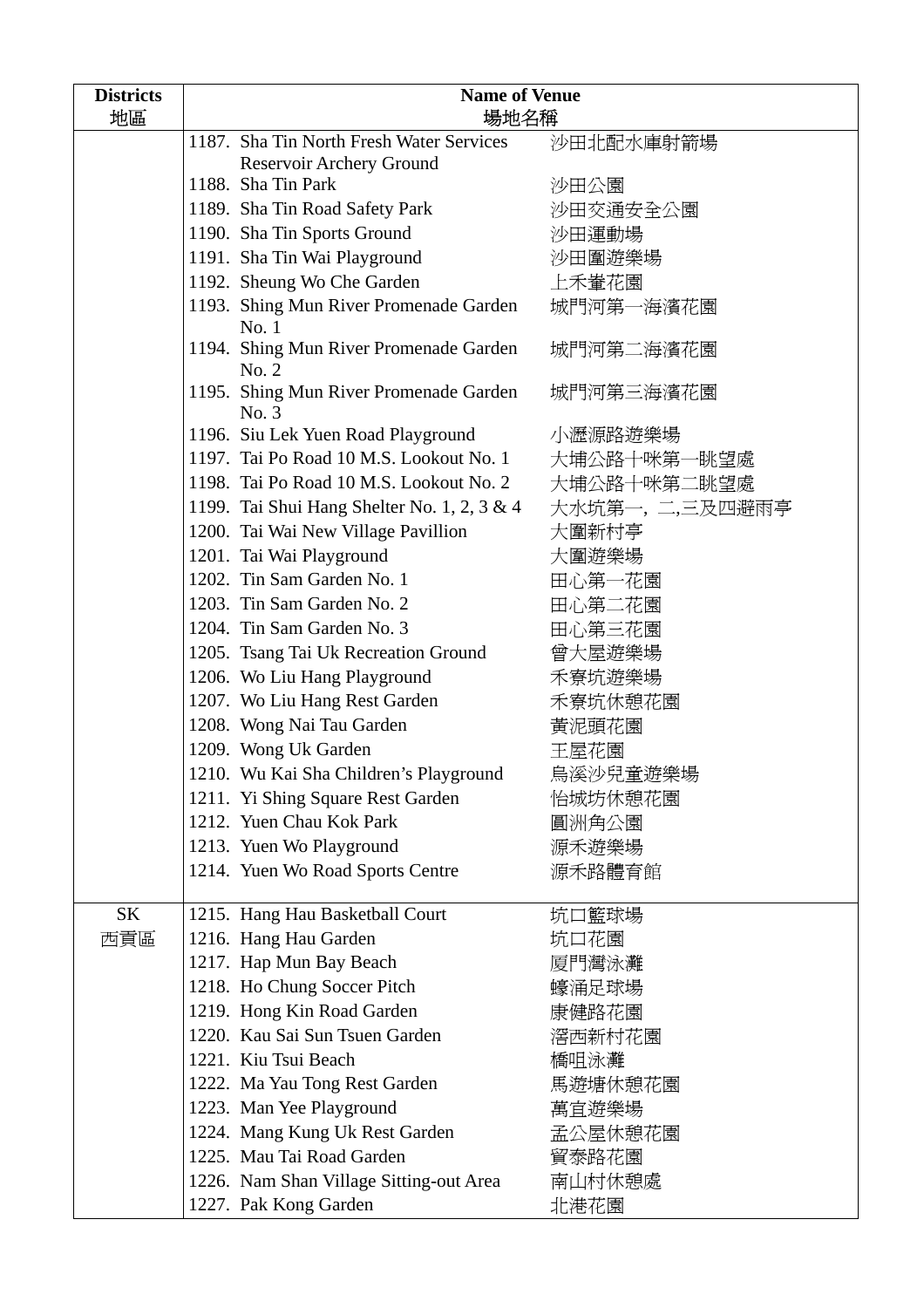| <b>Districts</b><br>地區 | <b>Name of Venue</b><br>場地名稱                    |                 |  |
|------------------------|-------------------------------------------------|-----------------|--|
|                        | 1187. Sha Tin North Fresh Water Services        | 沙田北配水庫射箭場       |  |
|                        | Reservoir Archery Ground                        |                 |  |
|                        | 1188. Sha Tin Park                              | 沙田公園            |  |
|                        | 1189. Sha Tin Road Safety Park                  | 沙田交通安全公園        |  |
|                        | 1190. Sha Tin Sports Ground                     | 沙田運動場           |  |
|                        | 1191. Sha Tin Wai Playground                    | 沙田圍遊樂場          |  |
|                        | 1192. Sheung Wo Che Garden                      | 上禾輋花園           |  |
|                        | 1193. Shing Mun River Promenade Garden<br>No.1  | 城門河第一海濱花園       |  |
|                        | 1194. Shing Mun River Promenade Garden<br>No. 2 | 城門河第二海濱花園       |  |
|                        | 1195. Shing Mun River Promenade Garden<br>No. 3 | 城門河第三海濱花園       |  |
|                        | 1196. Siu Lek Yuen Road Playground              | 小瀝源路遊樂場         |  |
|                        | 1197. Tai Po Road 10 M.S. Lookout No. 1         | 大埔公路十咪第一眺望處     |  |
|                        | 1198. Tai Po Road 10 M.S. Lookout No. 2         | 大埔公路十咪第二眺望處     |  |
|                        | 1199. Tai Shui Hang Shelter No. 1, 2, 3 & 4     | 大水坑第一, 二,三及四避雨亭 |  |
|                        | 1200. Tai Wai New Village Pavillion             | 大圍新村亭           |  |
|                        | 1201. Tai Wai Playground                        | 大圍遊樂場           |  |
|                        | 1202. Tin Sam Garden No. 1                      | 田心第一花園          |  |
|                        | 1203. Tin Sam Garden No. 2                      | 田心第二花園          |  |
|                        | 1204. Tin Sam Garden No. 3                      | 田心第三花園          |  |
|                        | 1205. Tsang Tai Uk Recreation Ground            | 曾大屋遊樂場          |  |
|                        | 1206. Wo Liu Hang Playground                    | 禾寮坑遊樂場          |  |
|                        | 1207. Wo Liu Hang Rest Garden                   | 禾寮坑休憩花園         |  |
|                        | 1208. Wong Nai Tau Garden                       | 黃泥頭花園           |  |
|                        | 1209. Wong Uk Garden                            | 王屋花園            |  |
|                        | 1210. Wu Kai Sha Children's Playground          | 鳥溪沙兒童遊樂場        |  |
|                        | 1211. Yi Shing Square Rest Garden               | 怡城坊休憩花園         |  |
|                        | 1212. Yuen Chau Kok Park                        | 圓洲角公園           |  |
|                        | 1213. Yuen Wo Playground                        | 源禾遊樂場           |  |
|                        | 1214. Yuen Wo Road Sports Centre                | 源禾路體育館          |  |
| <b>SK</b>              | 1215. Hang Hau Basketball Court                 | 坑口籃球場           |  |
| 西貢區                    | 1216. Hang Hau Garden                           | 坑口花園            |  |
|                        | 1217. Hap Mun Bay Beach                         | 厦門灣泳灘           |  |
|                        | 1218. Ho Chung Soccer Pitch                     | 蠔涌足球場           |  |
|                        | 1219. Hong Kin Road Garden                      | 康健路花園           |  |
|                        | 1220. Kau Sai Sun Tsuen Garden                  | 滘西新村花園          |  |
|                        | 1221. Kiu Tsui Beach                            | 橋咀泳灘            |  |
|                        | 1222. Ma Yau Tong Rest Garden                   | 馬遊塘休憩花園         |  |
|                        | 1223. Man Yee Playground                        | 萬宜遊樂場           |  |
|                        | 1224. Mang Kung Uk Rest Garden                  | 孟公屋休憩花園         |  |
|                        | 1225. Mau Tai Road Garden                       | 貿泰路花園           |  |
|                        | 1226. Nam Shan Village Sitting-out Area         | 南山村休憩處          |  |
|                        | 1227. Pak Kong Garden                           | 北港花園            |  |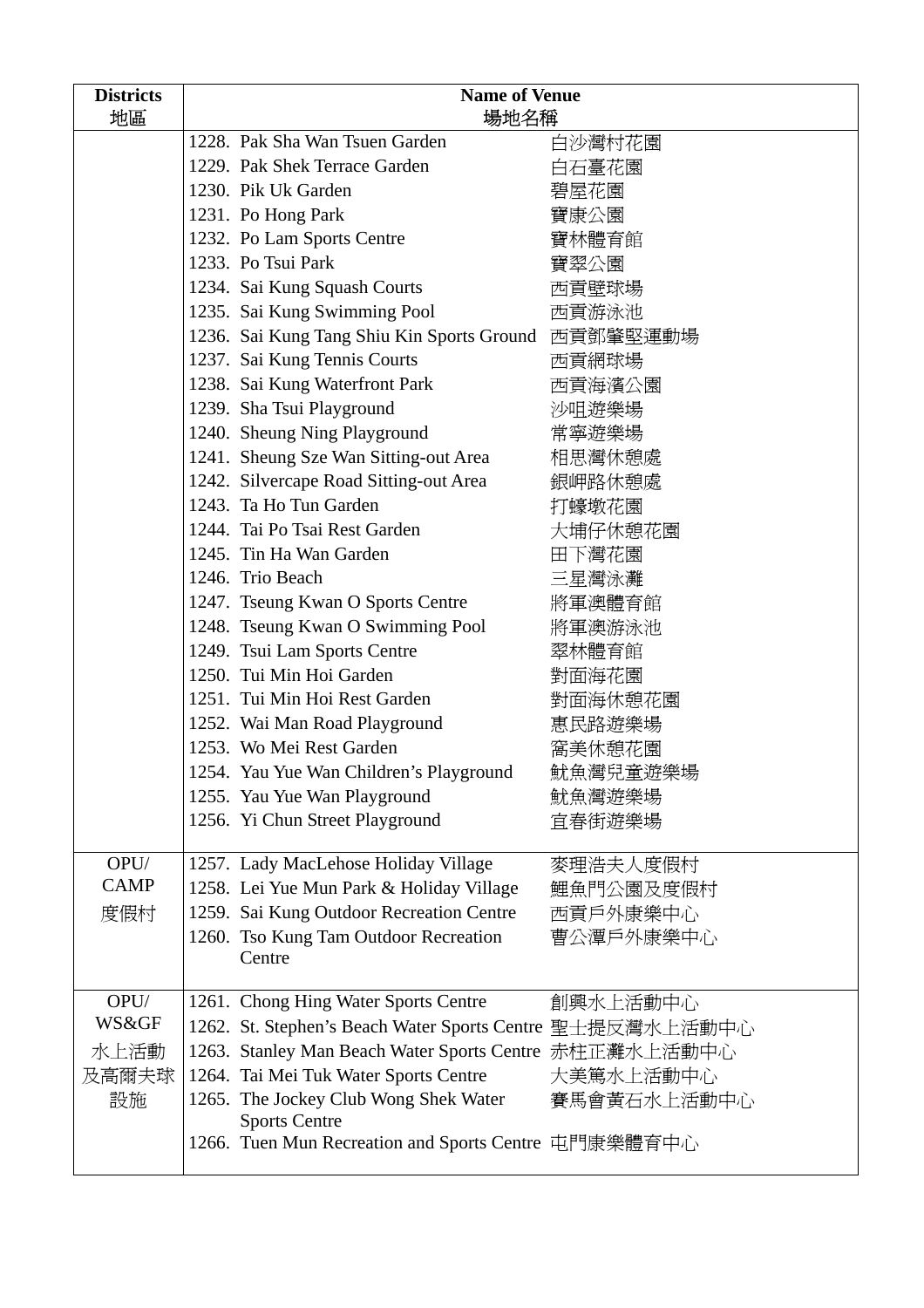| <b>Districts</b>                  | <b>Name of Venue</b>                  |                                                        |             |  |
|-----------------------------------|---------------------------------------|--------------------------------------------------------|-------------|--|
| 地區                                |                                       | 場地名稱                                                   |             |  |
|                                   |                                       | 1228. Pak Sha Wan Tsuen Garden                         | 白沙灣村花園      |  |
|                                   |                                       | 1229. Pak Shek Terrace Garden                          | 白石臺花園       |  |
|                                   |                                       | 1230. Pik Uk Garden                                    | 碧屋花園        |  |
|                                   |                                       | 1231. Po Hong Park                                     | 寶康公園        |  |
|                                   |                                       | 1232. Po Lam Sports Centre                             | 寶林體育館       |  |
|                                   |                                       | 1233. Po Tsui Park                                     | 寶翠公園        |  |
|                                   |                                       | 1234. Sai Kung Squash Courts                           | 西貢壁球場       |  |
|                                   |                                       | 1235. Sai Kung Swimming Pool                           | 西貢游泳池       |  |
|                                   |                                       | 1236. Sai Kung Tang Shiu Kin Sports Ground 西貢鄧肇堅運動場    |             |  |
|                                   |                                       | 1237. Sai Kung Tennis Courts                           | 西貢網球場       |  |
|                                   |                                       | 1238. Sai Kung Waterfront Park                         | 西貢海濱公園      |  |
|                                   |                                       | 1239. Sha Tsui Playground                              | 沙咀遊樂場       |  |
|                                   |                                       | 1240. Sheung Ning Playground                           | 常寧遊樂場       |  |
|                                   |                                       | 1241. Sheung Sze Wan Sitting-out Area                  | 相思灣休憩處      |  |
|                                   |                                       | 1242. Silvercape Road Sitting-out Area                 | 銀岬路休憩處      |  |
|                                   |                                       | 1243. Ta Ho Tun Garden                                 | 打蠔墩花園       |  |
|                                   |                                       | 1244. Tai Po Tsai Rest Garden                          | 大埔仔休憩花園     |  |
|                                   |                                       | 1245. Tin Ha Wan Garden                                | 田下灣花園       |  |
|                                   | 1246. Trio Beach                      |                                                        | 三星灣泳灘       |  |
| 1247. Tseung Kwan O Sports Centre |                                       |                                                        | 將軍澳體育館      |  |
| 1248. Tseung Kwan O Swimming Pool |                                       |                                                        | 將軍澳游泳池      |  |
|                                   |                                       | 1249. Tsui Lam Sports Centre                           | 翠林體育館       |  |
|                                   |                                       | 1250. Tui Min Hoi Garden                               | 對面海花園       |  |
|                                   |                                       | 1251. Tui Min Hoi Rest Garden                          | 對面海休憩花園     |  |
|                                   |                                       | 1252. Wai Man Road Playground                          | 惠民路遊樂場      |  |
|                                   |                                       | 1253. Wo Mei Rest Garden                               | 窩美休憩花園      |  |
|                                   |                                       | 1254. Yau Yue Wan Children's Playground                | 魷魚灣兒童遊樂場    |  |
|                                   |                                       | 1255. Yau Yue Wan Playground                           | 魷魚灣遊樂場      |  |
|                                   |                                       | 1256. Yi Chun Street Playground                        | 宜春街遊樂場      |  |
|                                   |                                       |                                                        |             |  |
| OPU/<br><b>CAMP</b>               |                                       | 1257. Lady MacLehose Holiday Village                   | 麥理浩夫人度假村    |  |
|                                   |                                       | 1258. Lei Yue Mun Park & Holiday Village               | 鯉魚門公園及度假村   |  |
| 度假村                               |                                       | 1259. Sai Kung Outdoor Recreation Centre               | 西貢戶外康樂中心    |  |
|                                   | 1260. Tso Kung Tam Outdoor Recreation |                                                        | 曹公潭戶外康樂中心   |  |
|                                   | Centre                                |                                                        |             |  |
| OPU/                              |                                       | 1261. Chong Hing Water Sports Centre                   | 創興水上活動中心    |  |
| WS&GF                             |                                       | 1262. St. Stephen's Beach Water Sports Centre          | 聖士提反灣水上活動中心 |  |
| 水上活動                              |                                       | 1263. Stanley Man Beach Water Sports Centre 赤柱正灘水上活動中心 |             |  |
| 及高爾夫球                             |                                       | 1264. Tai Mei Tuk Water Sports Centre                  | 大美篤水上活動中心   |  |
| 設施                                |                                       | 1265. The Jockey Club Wong Shek Water                  | 賽馬會黃石水上活動中心 |  |
|                                   |                                       | <b>Sports Centre</b>                                   |             |  |
|                                   |                                       | 1266. Tuen Mun Recreation and Sports Centre 屯門康樂體育中心   |             |  |
|                                   |                                       |                                                        |             |  |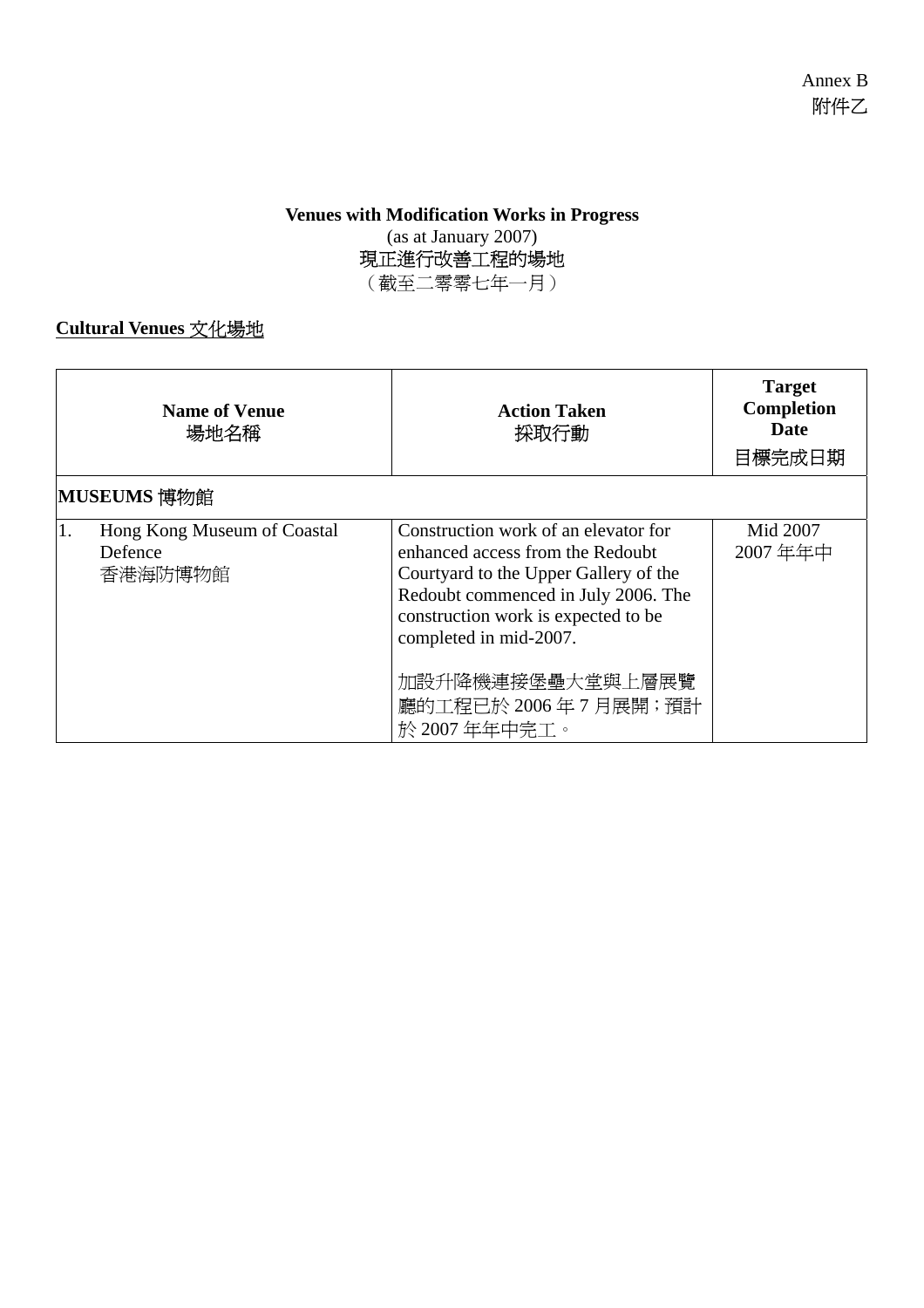#### **Venues with Modification Works in Progress**  (as at January 2007)

現正進行改善工程的場地

(截至二零零七年一月)

### **Cultural Venues** 文化場地

|    | <b>Name of Venue</b><br>場地名稱                      | <b>Action Taken</b><br>採取行動                                                                                                                                                                                               | <b>Target</b><br>Completion<br><b>Date</b><br>目標完成日期 |
|----|---------------------------------------------------|---------------------------------------------------------------------------------------------------------------------------------------------------------------------------------------------------------------------------|------------------------------------------------------|
|    | MUSEUMS 博物館                                       |                                                                                                                                                                                                                           |                                                      |
| 1. | Hong Kong Museum of Coastal<br>Defence<br>香港海防博物館 | Construction work of an elevator for<br>enhanced access from the Redoubt<br>Courtyard to the Upper Gallery of the<br>Redoubt commenced in July 2006. The<br>construction work is expected to be<br>completed in mid-2007. | Mid 2007<br>2007年年中                                  |
|    |                                                   | 加設升降機連接堡壘大堂與上層展覽<br>廳的工程已於 2006年7月展開;預計<br>於 2007 年年中完工。                                                                                                                                                                  |                                                      |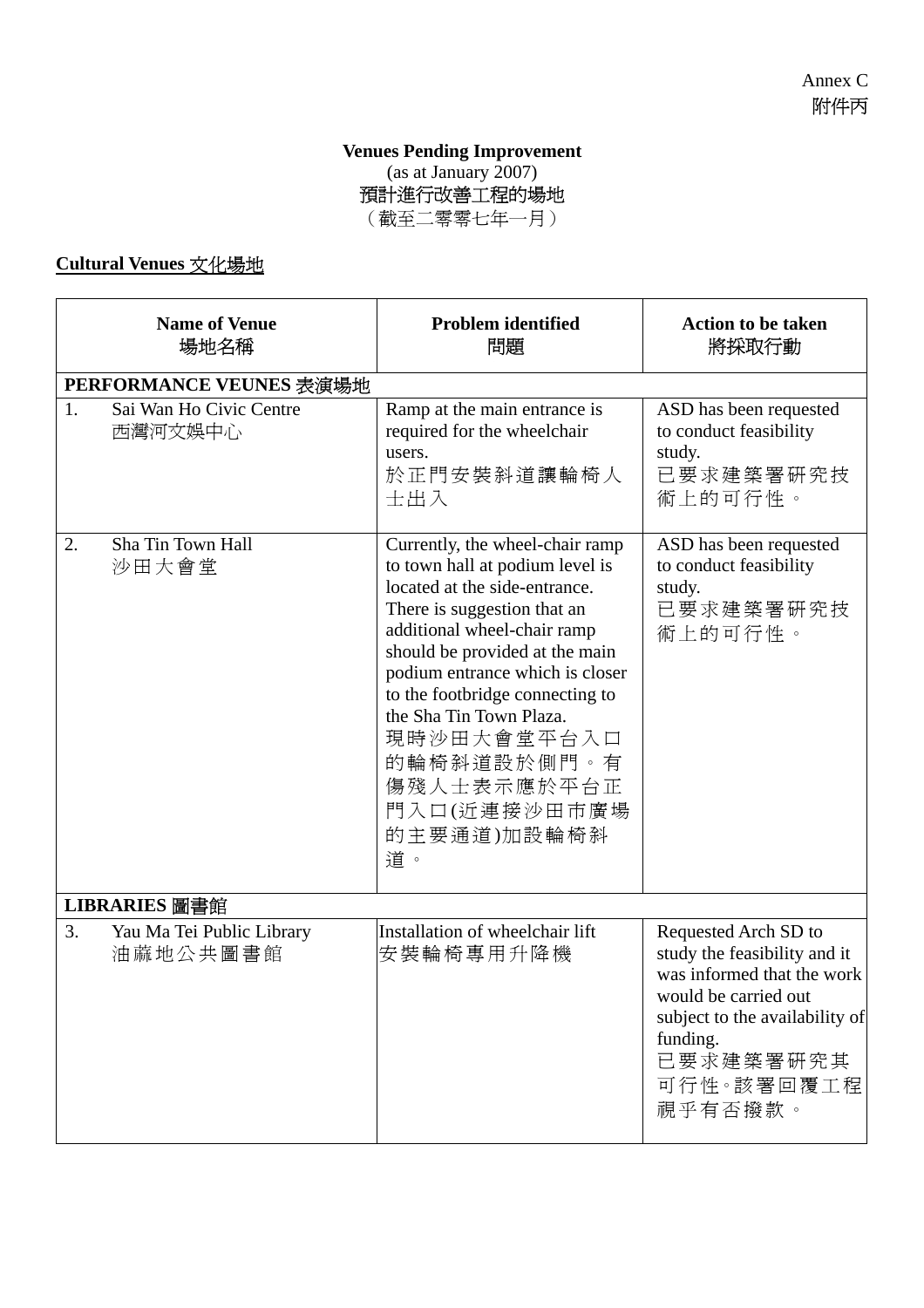#### **Venues Pending Improvement**  (as at January 2007) 預計進行改善工程的場地 (截至二零零七年一月)

**Cultural Venues** 文化場地

|    | <b>Name of Venue</b><br>場地名稱          | <b>Problem identified</b><br>問題                                                                                                                                                                                                                                                                                                                                                        | <b>Action to be taken</b><br>將採取行動                                                                                                                                                             |
|----|---------------------------------------|----------------------------------------------------------------------------------------------------------------------------------------------------------------------------------------------------------------------------------------------------------------------------------------------------------------------------------------------------------------------------------------|------------------------------------------------------------------------------------------------------------------------------------------------------------------------------------------------|
|    | PERFORMANCE VEUNES 表演場地               |                                                                                                                                                                                                                                                                                                                                                                                        |                                                                                                                                                                                                |
| 1. | Sai Wan Ho Civic Centre<br>西灣河文娛中心    | Ramp at the main entrance is<br>required for the wheelchair<br>users.<br>於正門安裝斜道讓輪椅人<br>士出入                                                                                                                                                                                                                                                                                            | ASD has been requested<br>to conduct feasibility<br>study.<br>已要求建築署研究技<br>術上的可行性。                                                                                                             |
| 2. | Sha Tin Town Hall<br>沙田大會堂            | Currently, the wheel-chair ramp<br>to town hall at podium level is<br>located at the side-entrance.<br>There is suggestion that an<br>additional wheel-chair ramp<br>should be provided at the main<br>podium entrance which is closer<br>to the footbridge connecting to<br>the Sha Tin Town Plaza.<br>現時沙田大會堂平台入口<br>的輪椅斜道設於側門。有<br>傷殘人士表示應於平台正<br>門入口(近連接沙田市廣場<br>的主要通道)加設輪椅斜<br>道。 | ASD has been requested<br>to conduct feasibility<br>study.<br>已要求建築署研究技<br>術上的可行性。                                                                                                             |
|    | LIBRARIES 圖書館                         |                                                                                                                                                                                                                                                                                                                                                                                        |                                                                                                                                                                                                |
| 3. | Yau Ma Tei Public Library<br>油蔴地公共圖書館 | Installation of wheelchair lift<br>安裝輪椅專用升降機                                                                                                                                                                                                                                                                                                                                           | Requested Arch SD to<br>study the feasibility and it<br>was informed that the work<br>would be carried out<br>subject to the availability of<br>funding.<br>已要求建築署研究其<br>可行性。該署回覆工程<br>視乎有否撥款。 |